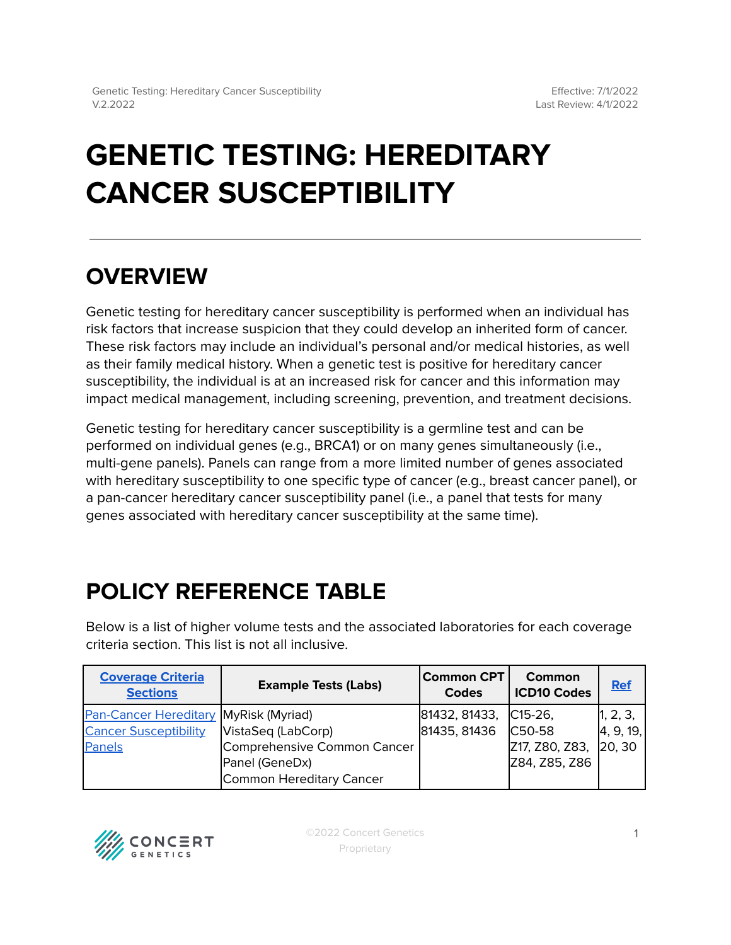# **GENETIC TESTING: HEREDITARY CANCER SUSCEPTIBILITY**

# **OVERVIEW**

Genetic testing for hereditary cancer susceptibility is performed when an individual has risk factors that increase suspicion that they could develop an inherited form of cancer. These risk factors may include an individual's personal and/or medical histories, as well as their family medical history. When a genetic test is positive for hereditary cancer susceptibility, the individual is at an increased risk for cancer and this information may impact medical management, including screening, prevention, and treatment decisions.

Genetic testing for hereditary cancer susceptibility is a germline test and can be performed on individual genes (e.g., BRCA1) or on many genes simultaneously (i.e., multi-gene panels). Panels can range from a more limited number of genes associated with hereditary susceptibility to one specific type of cancer (e.g., breast cancer panel), or a pan-cancer hereditary cancer susceptibility panel (i.e., a panel that tests for many genes associated with hereditary cancer susceptibility at the same time).

# <span id="page-0-0"></span>**POLICY REFERENCE TABLE**

Below is a list of higher volume tests and the associated laboratories for each coverage criteria section. This list is not all inclusive.

| <b>Coverage Criteria</b><br><b>Sections</b> | <b>Example Tests (Labs)</b> | <b>Common CPT</b><br>Codes | Common<br><b>ICD10 Codes</b> | <b>Ref</b> |
|---------------------------------------------|-----------------------------|----------------------------|------------------------------|------------|
| Pan-Cancer Hereditary MyRisk (Myriad)       |                             | 81432, 81433,              | $ C15-26 $                   | 1, 2, 3,   |
| <b>Cancer Susceptibility</b>                | VistaSeq (LabCorp)          | 81435, 81436               | C <sub>50</sub> -58          | 4, 9, 19,  |
| Panels                                      | Comprehensive Common Cancer |                            | Z17, Z80, Z83,               | 20, 30     |
|                                             | Panel (GeneDx)              |                            | Z84, Z85, Z86                |            |
|                                             | Common Hereditary Cancer    |                            |                              |            |

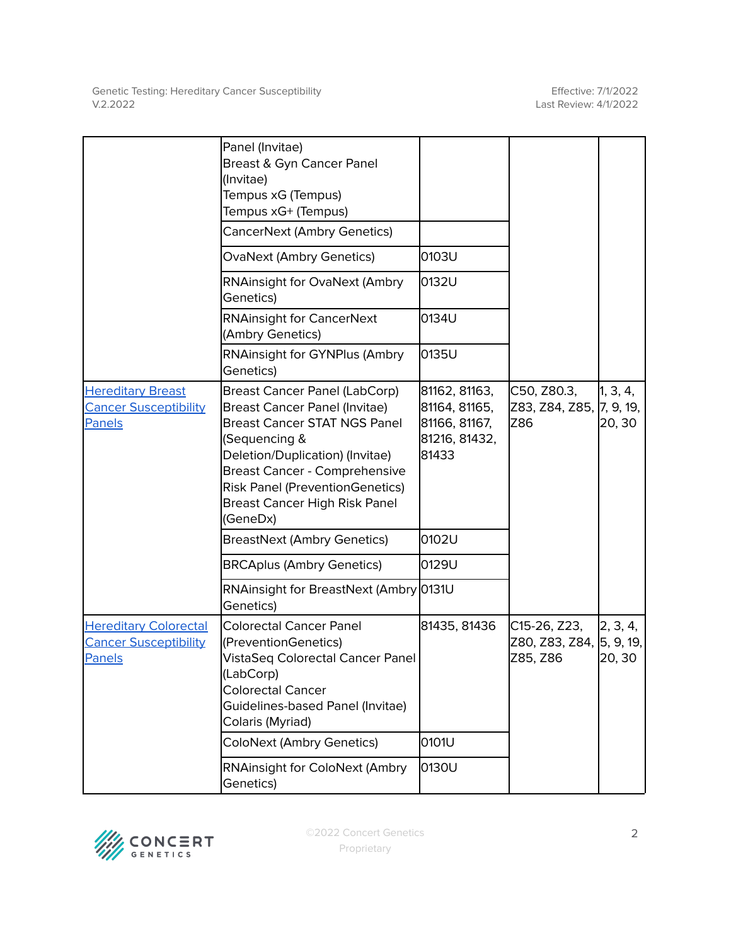|                                                                        | Panel (Invitae)<br>Breast & Gyn Cancer Panel<br>(Invitae)<br>Tempus xG (Tempus)<br>Tempus xG+ (Tempus)<br>CancerNext (Ambry Genetics)                                                                                                                                                           |                                                                           |                                                      |                    |
|------------------------------------------------------------------------|-------------------------------------------------------------------------------------------------------------------------------------------------------------------------------------------------------------------------------------------------------------------------------------------------|---------------------------------------------------------------------------|------------------------------------------------------|--------------------|
|                                                                        | <b>OvaNext (Ambry Genetics)</b>                                                                                                                                                                                                                                                                 | 0103U                                                                     |                                                      |                    |
|                                                                        | <b>RNAinsight for OvaNext (Ambry</b><br>Genetics)                                                                                                                                                                                                                                               | 0132U                                                                     |                                                      |                    |
|                                                                        | <b>RNAinsight for CancerNext</b><br>(Ambry Genetics)                                                                                                                                                                                                                                            | 0134U                                                                     |                                                      |                    |
|                                                                        | RNAinsight for GYNPlus (Ambry<br>Genetics)                                                                                                                                                                                                                                                      | 0135U                                                                     |                                                      |                    |
| <b>Hereditary Breast</b><br><b>Cancer Susceptibility</b><br>Panels     | Breast Cancer Panel (LabCorp)<br><b>Breast Cancer Panel (Invitae)</b><br><b>Breast Cancer STAT NGS Panel</b><br>(Sequencing &<br>Deletion/Duplication) (Invitae)<br><b>Breast Cancer - Comprehensive</b><br><b>Risk Panel (PreventionGenetics)</b><br>Breast Cancer High Risk Panel<br>(GeneDx) | 81162, 81163,<br>81164, 81165,<br>81166, 81167,<br>81216, 81432,<br>81433 | C50, Z80.3,<br>Z83, Z84, Z85, 7, 9, 19,<br>Z86       | 1, 3, 4,<br>20, 30 |
|                                                                        | <b>BreastNext (Ambry Genetics)</b>                                                                                                                                                                                                                                                              | 0102U                                                                     |                                                      |                    |
|                                                                        | <b>BRCAplus (Ambry Genetics)</b>                                                                                                                                                                                                                                                                | 0129U                                                                     |                                                      |                    |
|                                                                        | RNAinsight for BreastNext (Ambry 0131U<br>Genetics)                                                                                                                                                                                                                                             |                                                                           |                                                      |                    |
| <b>Hereditary Colorectal</b><br><b>Cancer Susceptibility</b><br>Panels | <b>Colorectal Cancer Panel</b><br>(PreventionGenetics)<br>VistaSeq Colorectal Cancer Panel<br>(LabCorp)<br><b>Colorectal Cancer</b><br>Guidelines-based Panel (Invitae)<br>Colaris (Myriad)                                                                                                     | 81435, 81436                                                              | C15-26, Z23,<br>Z80, Z83, Z84, 5, 9, 19,<br>Z85, Z86 | 2, 3, 4,<br>20, 30 |
|                                                                        | <b>ColoNext (Ambry Genetics)</b>                                                                                                                                                                                                                                                                | 0101U                                                                     |                                                      |                    |
|                                                                        | <b>RNAinsight for ColoNext (Ambry</b><br>Genetics)                                                                                                                                                                                                                                              | 0130U                                                                     |                                                      |                    |

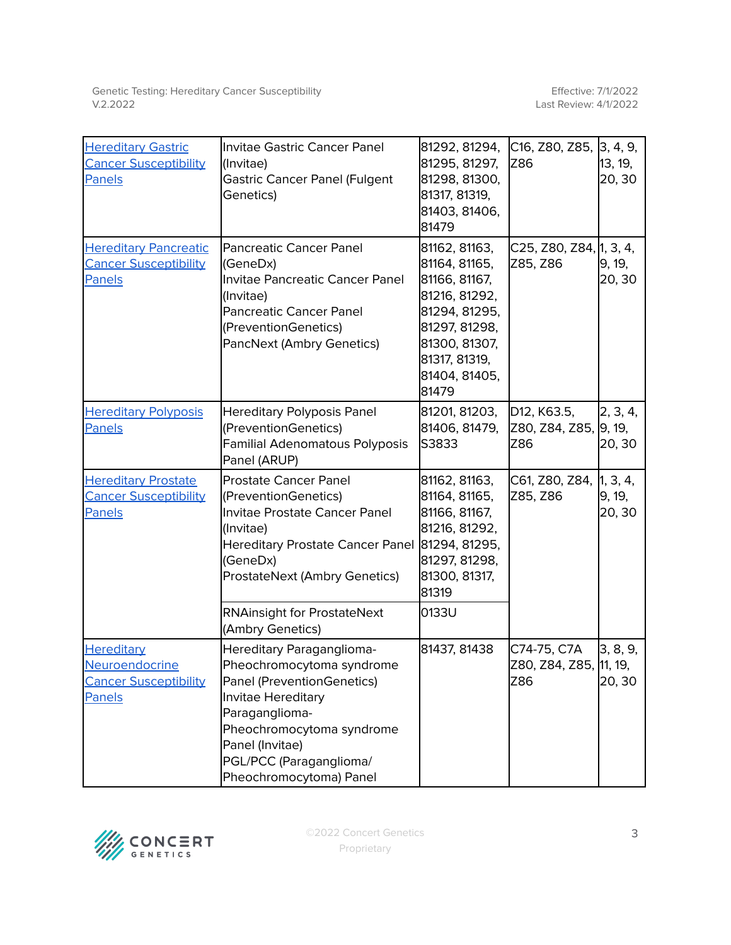| <b>Hereditary Gastric</b><br><b>Cancer Susceptibility</b><br><b>Panels</b>    | Invitae Gastric Cancer Panel<br>(Invitae)<br><b>Gastric Cancer Panel (Fulgent</b><br>Genetics)                                                                                                                                     | 81292, 81294,<br>81295, 81297,<br>81298, 81300,<br>81317, 81319,<br>81403, 81406,<br>81479                                                                     | C16, Z80, Z85, 3, 4, 9,<br>Z86                                        | 13, 19,<br>20, 30            |
|-------------------------------------------------------------------------------|------------------------------------------------------------------------------------------------------------------------------------------------------------------------------------------------------------------------------------|----------------------------------------------------------------------------------------------------------------------------------------------------------------|-----------------------------------------------------------------------|------------------------------|
| <b>Hereditary Pancreatic</b><br><b>Cancer Susceptibility</b><br><b>Panels</b> | <b>Pancreatic Cancer Panel</b><br>(GeneDx)<br>Invitae Pancreatic Cancer Panel<br>(Invitae)<br><b>Pancreatic Cancer Panel</b><br>(PreventionGenetics)<br>PancNext (Ambry Genetics)                                                  | 81162, 81163,<br>81164, 81165,<br>81166, 81167,<br>81216, 81292,<br>81294, 81295,<br>81297, 81298,<br>81300, 81307,<br>81317, 81319,<br>81404, 81405,<br>81479 | C25, Z80, Z84, 1, 3, 4,<br>Z85, Z86                                   | 9, 19,<br>20, 30             |
| <b>Hereditary Polyposis</b><br>Panels                                         | <b>Hereditary Polyposis Panel</b><br>(PreventionGenetics)<br>Familial Adenomatous Polyposis<br>Panel (ARUP)                                                                                                                        | 81201, 81203,<br>81406, 81479,<br>S3833                                                                                                                        | D <sub>12</sub> , K <sub>63.5</sub> ,<br>Z80, Z84, Z85, 9, 19,<br>Z86 | 2, 3, 4,<br>20, 30           |
| <b>Hereditary Prostate</b><br><b>Cancer Susceptibility</b><br>Panels          | <b>Prostate Cancer Panel</b><br>(PreventionGenetics)<br>Invitae Prostate Cancer Panel<br>(Invitae)<br><b>Hereditary Prostate Cancer Panel</b><br>(GeneDx)<br><b>ProstateNext (Ambry Genetics)</b>                                  | 81162, 81163,<br>81164, 81165,<br>81166, 81167,<br>81216, 81292,<br>81294, 81295,<br>81297, 81298,<br>81300, 81317,<br>81319                                   | C61, Z80, Z84,<br>Z85, Z86                                            | 1, 3, 4,<br>9, 19,<br>20, 30 |
|                                                                               | <b>RNAinsight for ProstateNext</b><br>(Ambry Genetics)                                                                                                                                                                             | 0133U                                                                                                                                                          |                                                                       |                              |
| <b>Hereditary</b><br>Neuroendocrine<br><b>Cancer Susceptibility</b><br>Panels | Hereditary Paraganglioma-<br>Pheochromocytoma syndrome<br>Panel (PreventionGenetics)<br>Invitae Hereditary<br>Paraganglioma-<br>Pheochromocytoma syndrome<br>Panel (Invitae)<br>PGL/PCC (Paraganglioma/<br>Pheochromocytoma) Panel | 81437, 81438                                                                                                                                                   | C74-75, C7A<br>Z80, Z84, Z85, 11, 19,<br>Z86                          | 3, 8, 9,<br>20, 30           |

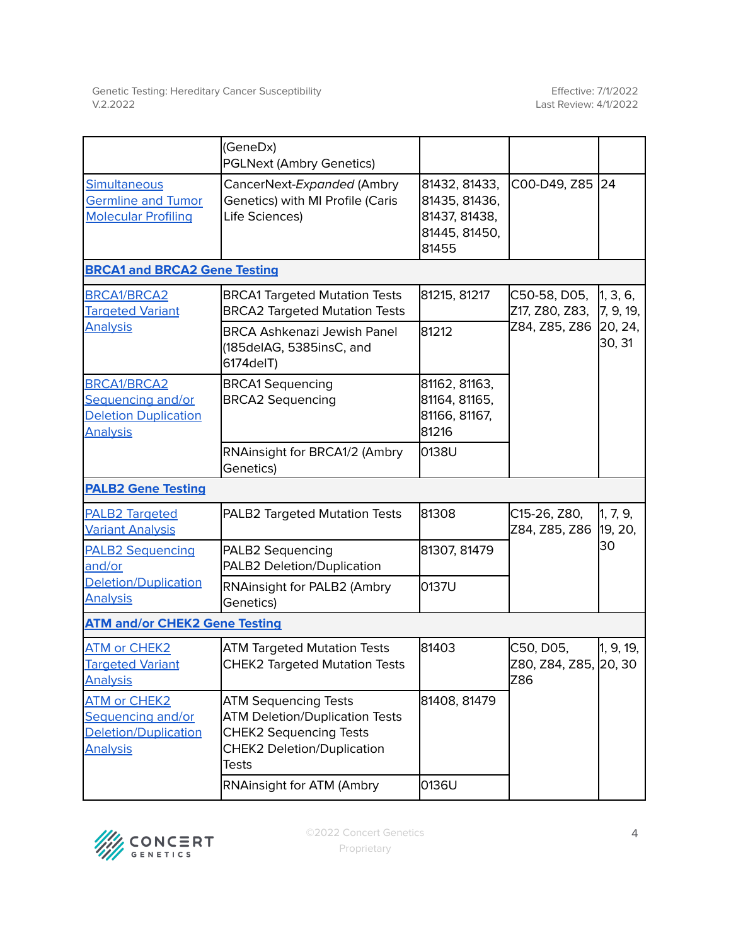|                                                                                           | (GeneDx)<br><b>PGLNext (Ambry Genetics)</b>                                                                                                                |                                                                           |                                           |                       |
|-------------------------------------------------------------------------------------------|------------------------------------------------------------------------------------------------------------------------------------------------------------|---------------------------------------------------------------------------|-------------------------------------------|-----------------------|
| Simultaneous<br><b>Germline and Tumor</b><br><b>Molecular Profiling</b>                   | CancerNext-Expanded (Ambry<br>Genetics) with MI Profile (Caris<br>Life Sciences)                                                                           | 81432, 81433,<br>81435, 81436,<br>81437, 81438,<br>81445, 81450,<br>81455 | C00-D49, Z85 24                           |                       |
| <b>BRCA1 and BRCA2 Gene Testing</b>                                                       |                                                                                                                                                            |                                                                           |                                           |                       |
| BRCA1/BRCA2<br><b>Targeted Variant</b>                                                    | <b>BRCA1 Targeted Mutation Tests</b><br><b>BRCA2 Targeted Mutation Tests</b>                                                                               | 81215, 81217                                                              | C50-58, D05,<br>Z17, Z80, Z83,            | 1, 3, 6,<br>7, 9, 19, |
| <b>Analysis</b>                                                                           | <b>BRCA Ashkenazi Jewish Panel</b><br>(185delAG, 5385insC, and<br>6174delT)                                                                                | 81212                                                                     | Z84, Z85, Z86                             | 20, 24,<br>30, 31     |
| <b>BRCA1/BRCA2</b><br>Sequencing and/or<br><b>Deletion Duplication</b><br><b>Analysis</b> | <b>BRCA1 Sequencing</b><br><b>BRCA2 Sequencing</b>                                                                                                         | 81162, 81163,<br>81164, 81165,<br>81166, 81167,<br>81216                  |                                           |                       |
|                                                                                           | RNAinsight for BRCA1/2 (Ambry<br>Genetics)                                                                                                                 | 0138U                                                                     |                                           |                       |
| <b>PALB2 Gene Testing</b>                                                                 |                                                                                                                                                            |                                                                           |                                           |                       |
| <b>PALB2 Targeted</b><br><b>Variant Analysis</b>                                          | PALB2 Targeted Mutation Tests                                                                                                                              | 81308                                                                     | C15-26, Z80,<br>Z84, Z85, Z86             | 1, 7, 9,<br>19, 20,   |
| <b>PALB2 Sequencing</b><br>and/or                                                         | PALB2 Sequencing<br>PALB2 Deletion/Duplication                                                                                                             | 81307, 81479                                                              |                                           | 30                    |
| Deletion/Duplication<br><b>Analysis</b>                                                   | RNAinsight for PALB2 (Ambry<br>Genetics)                                                                                                                   | 0137U                                                                     |                                           |                       |
| <b>ATM and/or CHEK2 Gene Testing</b>                                                      |                                                                                                                                                            |                                                                           |                                           |                       |
| ATM or CHEK2<br><b>Targeted Variant</b><br><b>Analysis</b>                                | <b>ATM Targeted Mutation Tests</b><br><b>CHEK2 Targeted Mutation Tests</b>                                                                                 | 81403                                                                     | C50, D05,<br>Z80, Z84, Z85, 20, 30<br>Z86 | 1, 9, 19,             |
| <b>ATM or CHEK2</b><br>Sequencing and/or<br>Deletion/Duplication<br><b>Analysis</b>       | <b>ATM Sequencing Tests</b><br><b>ATM Deletion/Duplication Tests</b><br><b>CHEK2 Sequencing Tests</b><br><b>CHEK2 Deletion/Duplication</b><br><b>Tests</b> | 81408, 81479                                                              |                                           |                       |
|                                                                                           | RNAinsight for ATM (Ambry                                                                                                                                  | 0136U                                                                     |                                           |                       |

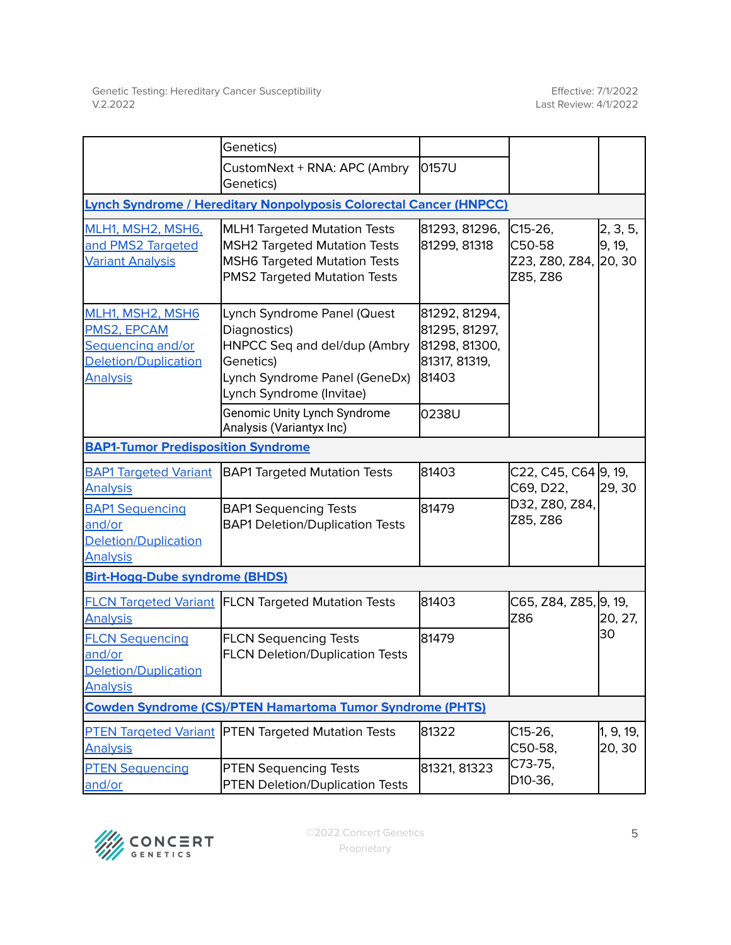|                                                                                                        | Genetics)                                                                                                                                                |                                                                           |                                                          |                     |
|--------------------------------------------------------------------------------------------------------|----------------------------------------------------------------------------------------------------------------------------------------------------------|---------------------------------------------------------------------------|----------------------------------------------------------|---------------------|
|                                                                                                        | CustomNext + RNA: APC (Ambry<br>Genetics)                                                                                                                | 0157U                                                                     |                                                          |                     |
|                                                                                                        | Lynch Syndrome / Hereditary Nonpolyposis Colorectal Cancer (HNPCC)                                                                                       |                                                                           |                                                          |                     |
| MLH1, MSH2, MSH6,<br>and PMS2 Targeted<br><b>Variant Analysis</b>                                      | <b>MLH1 Targeted Mutation Tests</b><br><b>MSH2 Targeted Mutation Tests</b><br><b>MSH6 Targeted Mutation Tests</b><br><b>PMS2 Targeted Mutation Tests</b> | 81293, 81296,<br>81299, 81318                                             | $C15-26,$<br>C50-58<br>Z23, Z80, Z84, 20, 30<br>Z85, Z86 | 2, 3, 5,<br>9, 19,  |
| MLH1, MSH2, MSH6<br>PMS2, EPCAM<br><b>Sequencing and/or</b><br>Deletion/Duplication<br><b>Analysis</b> | Lynch Syndrome Panel (Quest<br>Diagnostics)<br>HNPCC Seq and del/dup (Ambry<br>Genetics)<br>Lynch Syndrome Panel (GeneDx)<br>Lynch Syndrome (Invitae)    | 81292, 81294,<br>81295, 81297,<br>81298, 81300,<br>81317, 81319,<br>81403 |                                                          |                     |
|                                                                                                        | Genomic Unity Lynch Syndrome<br>Analysis (Variantyx Inc)                                                                                                 | 0238U                                                                     |                                                          |                     |
| <b>BAP1-Tumor Predisposition Syndrome</b>                                                              |                                                                                                                                                          |                                                                           |                                                          |                     |
| <b>BAP1 Targeted Variant</b><br><b>Analysis</b>                                                        | <b>BAP1 Targeted Mutation Tests</b>                                                                                                                      | 81403                                                                     | C22, C45, C64 9, 19,<br>C69, D22,                        | 29, 30              |
| <b>BAP1 Sequencing</b><br>and/or<br>Deletion/Duplication<br><b>Analysis</b>                            | <b>BAP1 Sequencing Tests</b><br><b>BAP1 Deletion/Duplication Tests</b>                                                                                   | 81479                                                                     | D32, Z80, Z84,<br>Z85, Z86                               |                     |
| <b>Birt-Hogg-Dube syndrome (BHDS)</b>                                                                  |                                                                                                                                                          |                                                                           |                                                          |                     |
| <b>Analysis</b>                                                                                        | <b>FLCN Targeted Variant FLCN Targeted Mutation Tests</b>                                                                                                | 81403                                                                     | C65, Z84, Z85, 9, 19,<br>Z86                             | 20, 27,             |
| <b>FLCN Sequencing</b><br>and/or<br>Deletion/Duplication<br><b>Analysis</b>                            | <b>FLCN Sequencing Tests</b><br><b>FLCN Deletion/Duplication Tests</b>                                                                                   | 81479                                                                     |                                                          | 30                  |
|                                                                                                        | <b>Cowden Syndrome (CS)/PTEN Hamartoma Tumor Syndrome (PHTS)</b>                                                                                         |                                                                           |                                                          |                     |
| <b>PTEN Targeted Variant</b><br><b>Analysis</b>                                                        | <b>PTEN Targeted Mutation Tests</b>                                                                                                                      | 81322                                                                     | C15-26,<br>C50-58,                                       | 1, 9, 19,<br>20, 30 |
| <b>PTEN Sequencing</b><br>and/or                                                                       | <b>PTEN Sequencing Tests</b><br><b>PTEN Deletion/Duplication Tests</b>                                                                                   | 81321, 81323                                                              | C73-75,<br>D <sub>10</sub> -36,                          |                     |

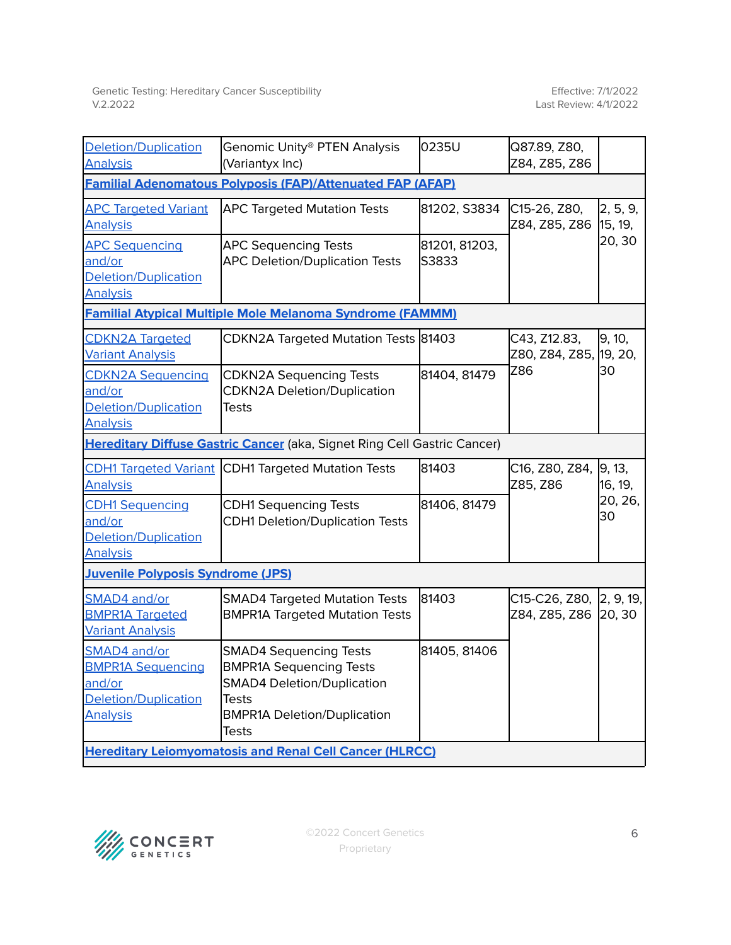| <b>Deletion/Duplication</b><br><b>Analysis</b>                                                       | Genomic Unity® PTEN Analysis<br>(Variantyx Inc)                                                                                                                     | 0235U                  | Q87.89, Z80,<br>Z84, Z85, Z86                   |                     |  |
|------------------------------------------------------------------------------------------------------|---------------------------------------------------------------------------------------------------------------------------------------------------------------------|------------------------|-------------------------------------------------|---------------------|--|
| <b>Familial Adenomatous Polyposis (FAP)/Attenuated FAP (AFAP)</b>                                    |                                                                                                                                                                     |                        |                                                 |                     |  |
| <b>APC Targeted Variant</b><br><b>Analysis</b>                                                       | <b>APC Targeted Mutation Tests</b>                                                                                                                                  | 81202, S3834           | C15-26, Z80,<br>Z84, Z85, Z86                   | 2, 5, 9,<br>15, 19, |  |
| <b>APC Sequencing</b><br>and/or<br><b>Deletion/Duplication</b><br><b>Analysis</b>                    | <b>APC Sequencing Tests</b><br><b>APC Deletion/Duplication Tests</b>                                                                                                | 81201, 81203,<br>S3833 |                                                 | 20, 30              |  |
|                                                                                                      | <b>Familial Atypical Multiple Mole Melanoma Syndrome (FAMMM)</b>                                                                                                    |                        |                                                 |                     |  |
| <b>CDKN2A Targeted</b><br><b>Variant Analysis</b>                                                    | CDKN2A Targeted Mutation Tests 81403                                                                                                                                |                        | C43, Z12.83,<br>Z80, Z84, Z85,                  | 9, 10,<br>19, 20,   |  |
| <b>CDKN2A Sequencing</b><br>and/or<br><b>Deletion/Duplication</b><br><b>Analysis</b>                 | <b>CDKN2A Sequencing Tests</b><br><b>CDKN2A Deletion/Duplication</b><br><b>Tests</b>                                                                                | 81404, 81479           | Z86                                             | 30                  |  |
|                                                                                                      | Hereditary Diffuse Gastric Cancer (aka, Signet Ring Cell Gastric Cancer)                                                                                            |                        |                                                 |                     |  |
| <b>CDH1 Targeted Variant</b><br><b>Analysis</b>                                                      | <b>CDH1 Targeted Mutation Tests</b>                                                                                                                                 | 81403                  | C16, Z80, Z84,<br>Z85, Z86                      | 9, 13,<br>16, 19,   |  |
| <b>CDH1 Sequencing</b><br>and/or<br>Deletion/Duplication<br><b>Analysis</b>                          | <b>CDH1 Sequencing Tests</b><br><b>CDH1 Deletion/Duplication Tests</b>                                                                                              | 81406, 81479           |                                                 | 20, 26,<br>30       |  |
| <b>Juvenile Polyposis Syndrome (JPS)</b>                                                             |                                                                                                                                                                     |                        |                                                 |                     |  |
| SMAD4 and/or<br><b>BMPR1A Targeted</b><br><b>Variant Analysis</b>                                    | <b>SMAD4 Targeted Mutation Tests</b><br><b>BMPR1A Targeted Mutation Tests</b>                                                                                       | 81403                  | C15-C26, Z80, 2, 9, 19,<br>Z84, Z85, Z86 20, 30 |                     |  |
| SMAD4 and/or<br><b>BMPR1A Sequencing</b><br>and/or<br><b>Deletion/Duplication</b><br><b>Analysis</b> | <b>SMAD4 Sequencing Tests</b><br><b>BMPR1A Sequencing Tests</b><br><b>SMAD4 Deletion/Duplication</b><br><b>Tests</b><br><b>BMPR1A Deletion/Duplication</b><br>Tests | 81405, 81406           |                                                 |                     |  |
| <b>Hereditary Leiomyomatosis and Renal Cell Cancer (HLRCC)</b>                                       |                                                                                                                                                                     |                        |                                                 |                     |  |

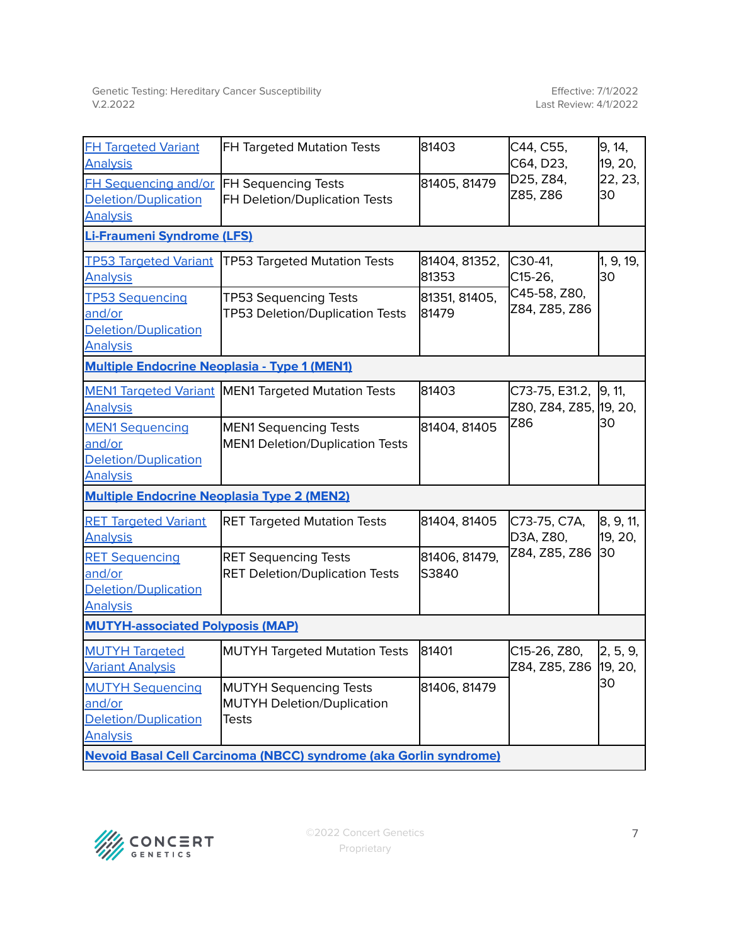| <b>FH Targeted Variant</b><br><b>Analysis</b>                                      | <b>FH Targeted Mutation Tests</b>                                           | 81403                  | C44, C55,<br>C64, D23,                          | 9, 14,<br>19, 20,    |  |
|------------------------------------------------------------------------------------|-----------------------------------------------------------------------------|------------------------|-------------------------------------------------|----------------------|--|
| <b>FH Sequencing and/or</b><br><b>Deletion/Duplication</b><br><b>Analysis</b>      | <b>FH Sequencing Tests</b><br>FH Deletion/Duplication Tests                 | 81405, 81479           | D25, Z84,<br>Z85, Z86                           | 22, 23,<br>30        |  |
| Li-Fraumeni Syndrome (LFS)                                                         |                                                                             |                        |                                                 |                      |  |
| <b>TP53 Targeted Variant</b><br><b>Analysis</b>                                    | <b>TP53 Targeted Mutation Tests</b>                                         | 81404, 81352,<br>81353 | C30-41,<br>C15-26,                              | 1, 9, 19,<br>30      |  |
| <b>TP53 Sequencing</b><br>and/or<br><b>Deletion/Duplication</b><br><b>Analysis</b> | <b>TP53 Sequencing Tests</b><br>TP53 Deletion/Duplication Tests             | 81351, 81405,<br>81479 | C45-58, Z80,<br>Z84, Z85, Z86                   |                      |  |
| <b>Multiple Endocrine Neoplasia - Type 1 (MEN1)</b>                                |                                                                             |                        |                                                 |                      |  |
| <b>Analysis</b>                                                                    | <b>MEN1 Targeted Variant MEN1 Targeted Mutation Tests</b>                   | 81403                  | C73-75, E31.2, 9, 11,<br>Z80, Z84, Z85, 19, 20, |                      |  |
| <b>MEN1 Sequencing</b><br>and/or<br><b>Deletion/Duplication</b><br><b>Analysis</b> | <b>MEN1 Sequencing Tests</b><br><b>MEN1 Deletion/Duplication Tests</b>      | 81404, 81405           | Z86                                             | 30                   |  |
| <b>Multiple Endocrine Neoplasia Type 2 (MEN2)</b>                                  |                                                                             |                        |                                                 |                      |  |
| <b>RET Targeted Variant</b><br><b>Analysis</b>                                     | <b>RET Targeted Mutation Tests</b>                                          | 81404, 81405           | C73-75, C7A,<br>D3A, Z80,                       | 8, 9, 11,<br>19, 20, |  |
| <b>RET Sequencing</b><br>and/or<br>Deletion/Duplication<br><b>Analysis</b>         | <b>RET Sequencing Tests</b><br><b>RET Deletion/Duplication Tests</b>        | 81406, 81479,<br>S3840 | Z84, Z85, Z86                                   | 30                   |  |
| <b>MUTYH-associated Polyposis (MAP)</b>                                            |                                                                             |                        |                                                 |                      |  |
| <b>MUTYH Targeted</b><br><b>Variant Analysis</b>                                   | <b>MUTYH Targeted Mutation Tests</b>                                        | 81401                  | C15-26, Z80,<br>Z84, Z85, Z86 19, 20,           | 2, 5, 9,             |  |
| <b>MUTYH Sequencing</b><br>and/or<br>Deletion/Duplication<br><b>Analysis</b>       | <b>MUTYH Sequencing Tests</b><br><b>MUTYH Deletion/Duplication</b><br>Tests | 81406, 81479           |                                                 | 30                   |  |
| Nevoid Basal Cell Carcinoma (NBCC) syndrome (aka Gorlin syndrome)                  |                                                                             |                        |                                                 |                      |  |

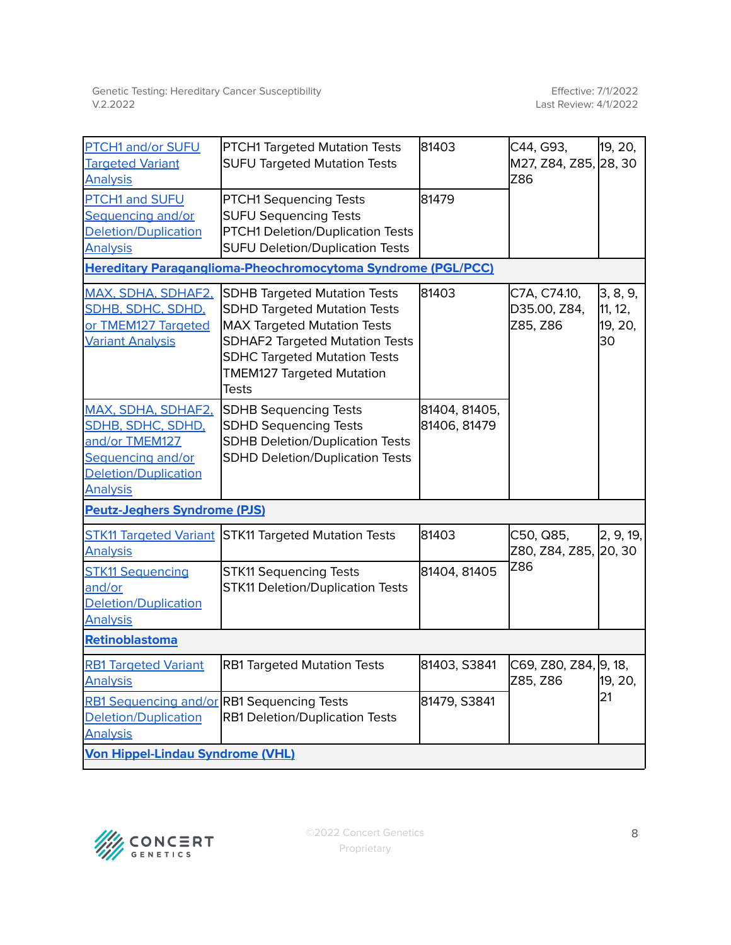| PTCH1 and/or SUFU<br><b>Targeted Variant</b><br><b>Analysis</b>                                                                  | PTCH1 Targeted Mutation Tests<br><b>SUFU Targeted Mutation Tests</b>                                                                                                                                                                          | 81403                         | C44, G93,<br>M27, Z84, Z85, 28, 30<br>Z86 | 19, 20,                              |
|----------------------------------------------------------------------------------------------------------------------------------|-----------------------------------------------------------------------------------------------------------------------------------------------------------------------------------------------------------------------------------------------|-------------------------------|-------------------------------------------|--------------------------------------|
| <b>PTCH1 and SUFU</b><br>Sequencing and/or<br><b>Deletion/Duplication</b><br><b>Analysis</b>                                     | <b>PTCH1 Sequencing Tests</b><br><b>SUFU Sequencing Tests</b><br>PTCH1 Deletion/Duplication Tests<br><b>SUFU Deletion/Duplication Tests</b>                                                                                                   | 81479                         |                                           |                                      |
|                                                                                                                                  | <b>Hereditary Paraganglioma-Pheochromocytoma Syndrome (PGL/PCC)</b>                                                                                                                                                                           |                               |                                           |                                      |
| <b>MAX, SDHA, SDHAF2,</b><br><b>SDHB, SDHC, SDHD,</b><br>or TMEM127 Targeted<br><b>Variant Analysis</b>                          | <b>SDHB Targeted Mutation Tests</b><br><b>SDHD Targeted Mutation Tests</b><br><b>MAX Targeted Mutation Tests</b><br><b>SDHAF2 Targeted Mutation Tests</b><br><b>SDHC Targeted Mutation Tests</b><br><b>TMEM127 Targeted Mutation</b><br>Tests | 81403                         | C7A, C74.10,<br>D35.00, Z84,<br>Z85, Z86  | 3, 8, 9,<br>11, 12,<br>19, 20,<br>30 |
| MAX, SDHA, SDHAF2,<br><b>SDHB, SDHC, SDHD,</b><br>and/or TMEM127<br>Sequencing and/or<br>Deletion/Duplication<br><b>Analysis</b> | <b>SDHB Sequencing Tests</b><br><b>SDHD Sequencing Tests</b><br><b>SDHB Deletion/Duplication Tests</b><br><b>SDHD Deletion/Duplication Tests</b>                                                                                              | 81404, 81405,<br>81406, 81479 |                                           |                                      |
| <b>Peutz-Jeghers Syndrome (PJS)</b>                                                                                              |                                                                                                                                                                                                                                               |                               |                                           |                                      |
| <b>STK11 Targeted Variant</b><br><b>Analysis</b>                                                                                 | <b>STK11 Targeted Mutation Tests</b>                                                                                                                                                                                                          | 81403                         | C50, Q85,<br>Z80, Z84, Z85, 20, 30        | 2, 9, 19,                            |
| <b>STK11 Sequencing</b><br>and/or<br>Deletion/Duplication<br><b>Analysis</b>                                                     | <b>STK11 Sequencing Tests</b><br><b>STK11 Deletion/Duplication Tests</b>                                                                                                                                                                      | 81404, 81405                  | Z86                                       |                                      |
| Retinoblastoma                                                                                                                   |                                                                                                                                                                                                                                               |                               |                                           |                                      |
| <b>RB1 Targeted Variant</b><br><b>Analysis</b>                                                                                   | <b>RB1 Targeted Mutation Tests</b>                                                                                                                                                                                                            | 81403, S3841                  | C69, Z80, Z84, 9, 18,<br>Z85, Z86         | 19, 20,                              |
| <b>RB1 Sequencing and/or RB1 Sequencing Tests</b><br><b>Deletion/Duplication</b><br><b>Analysis</b>                              | <b>RB1 Deletion/Duplication Tests</b>                                                                                                                                                                                                         | 81479, S3841                  |                                           | 21                                   |
| <b>Von Hippel-Lindau Syndrome (VHL)</b>                                                                                          |                                                                                                                                                                                                                                               |                               |                                           |                                      |

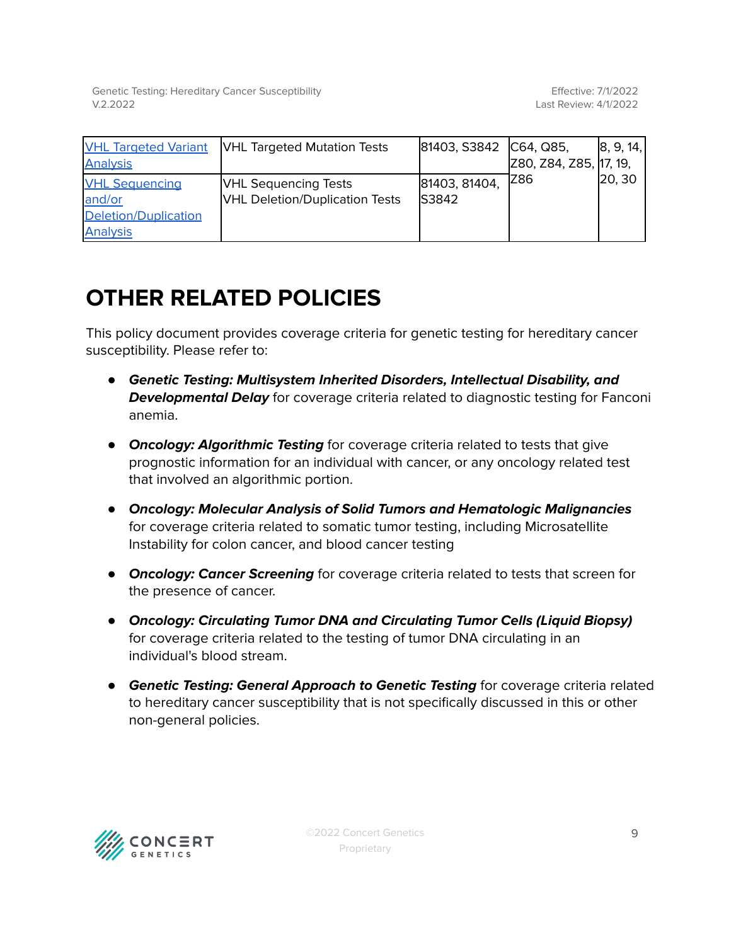Genetic Testing: Hereditary Cancer Susceptibility V.2.2022

| <b>VHL Targeted Variant</b> | <b>VHL Targeted Mutation Tests</b>    | 81403, S3842 C64, Q85, |                        | 8, 9, 14, |
|-----------------------------|---------------------------------------|------------------------|------------------------|-----------|
| <b>Analysis</b>             |                                       |                        | Z80, Z84, Z85, 17, 19, |           |
| <b>VHL Sequencing</b>       | <b>VHL Sequencing Tests</b>           | 81403, 81404,          | IZ86                   | 20, 30    |
| and/or                      | <b>VHL Deletion/Duplication Tests</b> | <b>S3842</b>           |                        |           |
| Deletion/Duplication        |                                       |                        |                        |           |
| <b>Analysis</b>             |                                       |                        |                        |           |

# **OTHER RELATED POLICIES**

This policy document provides coverage criteria for genetic testing for hereditary cancer susceptibility. Please refer to:

- **Genetic Testing: Multisystem Inherited Disorders, Intellectual Disability, and Developmental Delay** for coverage criteria related to diagnostic testing for Fanconi anemia.
- **Oncology: Algorithmic Testing** for coverage criteria related to tests that give prognostic information for an individual with cancer, or any oncology related test that involved an algorithmic portion.
- **Oncology: Molecular Analysis of Solid Tumors and Hematologic Malignancies** for coverage criteria related to somatic tumor testing, including Microsatellite Instability for colon cancer, and blood cancer testing
- **Oncology: Cancer Screening** for coverage criteria related to tests that screen for the presence of cancer.
- **Oncology: Circulating Tumor DNA and Circulating Tumor Cells (Liquid Biopsy)** for coverage criteria related to the testing of tumor DNA circulating in an individual's blood stream.
- **Genetic Testing: General Approach to Genetic Testing** for coverage criteria related to hereditary cancer susceptibility that is not specifically discussed in this or other non-general policies.

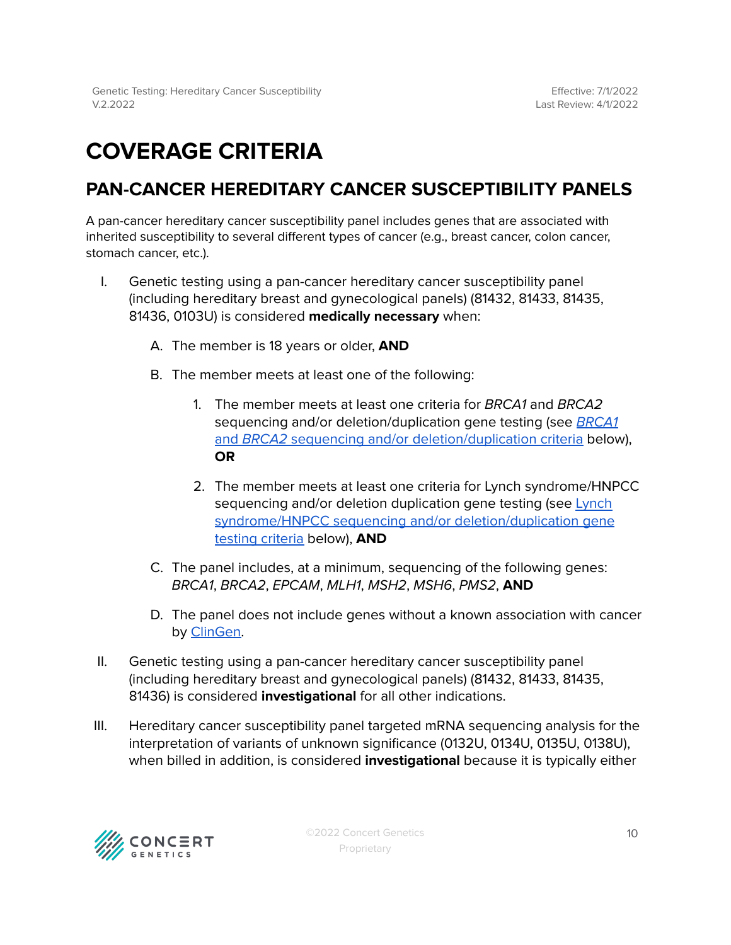# <span id="page-9-0"></span>**COVERAGE CRITERIA**

## <span id="page-9-1"></span>**PAN-CANCER HEREDITARY CANCER SUSCEPTIBILITY PANELS**

A pan-cancer hereditary cancer susceptibility panel includes genes that are associated with inherited susceptibility to several different types of cancer (e.g., breast cancer, colon cancer, stomach cancer, etc.).

- I. Genetic testing using a pan-cancer hereditary cancer susceptibility panel (including hereditary breast and gynecological panels) (81432, 81433, 81435, 81436, 0103U) is considered **medically necessary** when:
	- A. The member is 18 years or older, **AND**
	- B. The member meets at least one of the following:
		- 1. The member meets at least one criteria for BRCA1 and BRCA2 sequencing and/or deletion/duplication gene testing (see **[BRCA1](#page-20-0)** and BRCA2 sequencing and/or [deletion/duplication](#page-20-0) criteria below), **OR**
		- 2. The member meets at least one criteria for Lynch syndrome/HNPCC sequencing and/or deletion duplication gene testing (see [Lynch](#page-25-0) syndrome/HNPCC sequencing and/or [deletion/duplication](#page-25-0) gene testing [criteria](#page-25-0) below), **AND**
	- C. The panel includes, at a minimum, sequencing of the following genes: BRCA1, BRCA2, EPCAM, MLH1, MSH2, MSH6, PMS2, **AND**
	- D. The panel does not include genes without a known association with cancer by [ClinGen.](#page-47-0)
- II. Genetic testing using a pan-cancer hereditary cancer susceptibility panel (including hereditary breast and gynecological panels) (81432, 81433, 81435, 81436) is considered **investigational** for all other indications.
- III. Hereditary cancer susceptibility panel targeted mRNA sequencing analysis for the interpretation of variants of unknown significance (0132U, 0134U, 0135U, 0138U), when billed in addition, is considered **investigational** because it is typically either

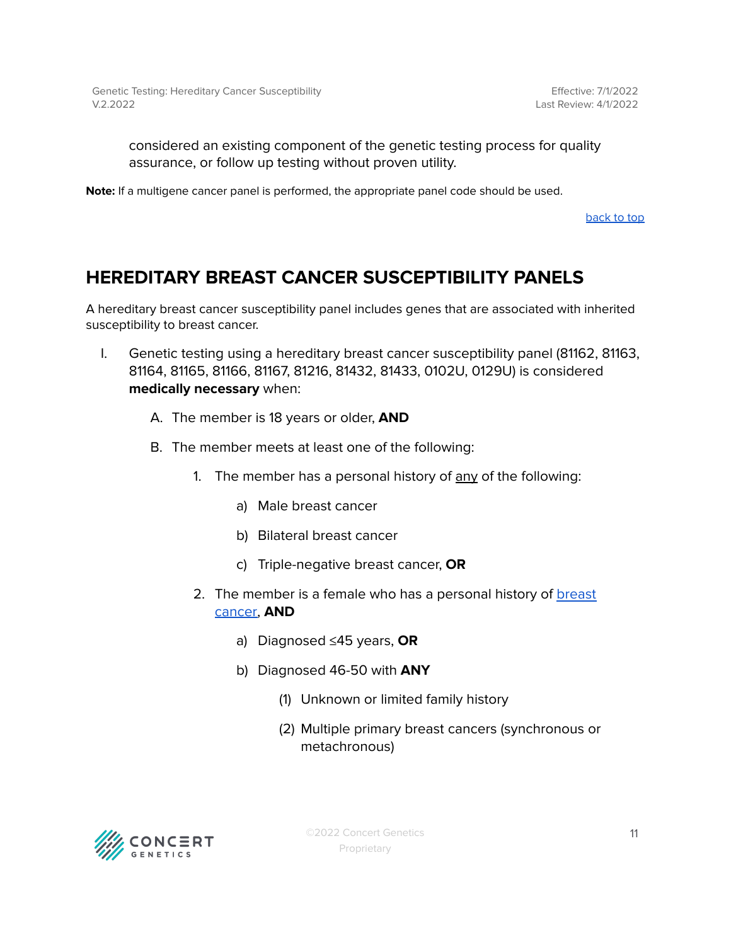considered an existing component of the genetic testing process for quality assurance, or follow up testing without proven utility.

**Note:** If a multigene cancer panel is performed, the appropriate panel code should be used.

[back](#page-0-0) to top

## <span id="page-10-0"></span>**HEREDITARY BREAST CANCER SUSCEPTIBILITY PANELS**

A hereditary breast cancer susceptibility panel includes genes that are associated with inherited susceptibility to breast cancer.

- I. Genetic testing using a hereditary breast cancer susceptibility panel (81162, 81163, 81164, 81165, 81166, 81167, 81216, 81432, 81433, 0102U, 0129U) is considered **medically necessary** when:
	- A. The member is 18 years or older, **AND**
	- B. The member meets at least one of the following:
		- 1. The member has a personal history of  $\frac{any}{any}$  of the following:
			- a) Male breast cancer
			- b) Bilateral breast cancer
			- c) Triple-negative breast cancer, **OR**
		- 2. The member is a female who has a personal history of [breast](#page-47-0) [cancer,](#page-47-0) **AND**
			- a) Diagnosed ≤45 years, **OR**
			- b) Diagnosed 46-50 with **ANY**
				- (1) Unknown or limited family history
				- (2) Multiple primary breast cancers (synchronous or metachronous)

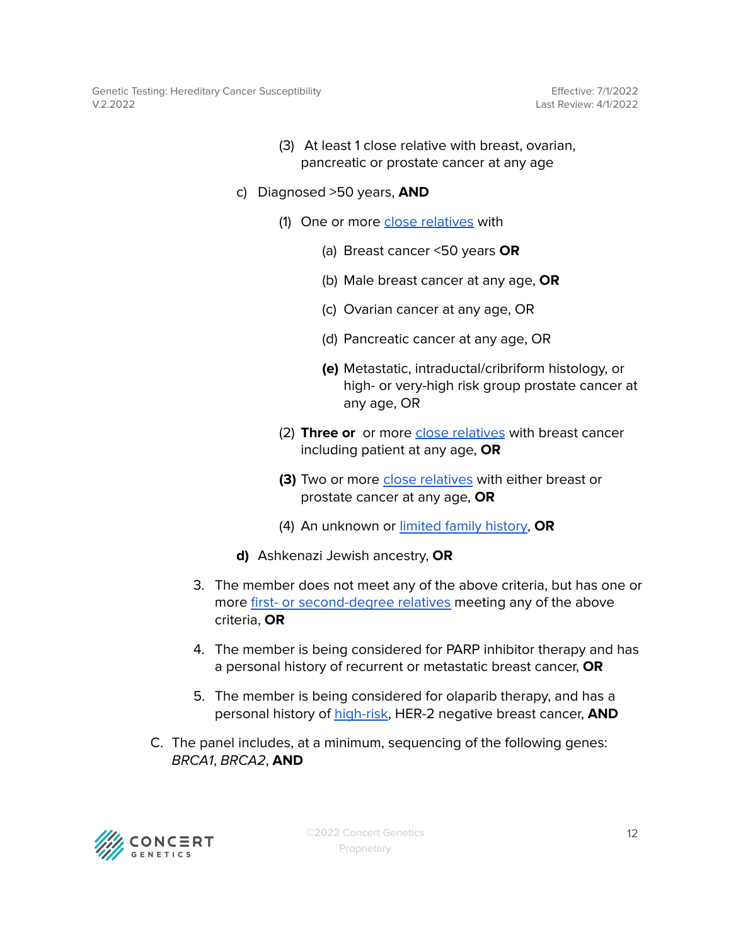Genetic Testing: Hereditary Cancer Susceptibility V.2.2022

Effective: 7/1/2022 Last Review: 4/1/2022

- (3) At least 1 close relative with breast, ovarian, pancreatic or prostate cancer at any age
- c) Diagnosed >50 years, **AND**
	- (1) One or more close [relatives](#page-47-0) with
		- (a) Breast cancer <50 years **OR**
		- (b) Male breast cancer at any age, **OR**
		- (c) Ovarian cancer at any age, OR
		- (d) Pancreatic cancer at any age, OR
		- **(e)** Metastatic, intraductal/cribriform histology, or high- or very-high risk group prostate cancer at any age, OR
	- (2) **Three or** or more close [relatives](#page-47-0) with breast cancer including patient at any age, **OR**
	- **(3)** Two or more close [relatives](#page-47-0) with either breast or prostate cancer at any age, **OR**
	- (4) An unknown or limited family [history,](#page-47-0) **OR**
- **d)** Ashkenazi Jewish ancestry, **OR**
- 3. The member does not meet any of the above criteria, but has one or more first- or [second-degree](#page-47-0) relatives meeting any of the above criteria, **OR**
- 4. The member is being considered for PARP inhibitor therapy and has a personal history of recurrent or metastatic breast cancer, **OR**
- 5. The member is being considered for olaparib therapy, and has a personal history of [high-risk](#page-47-0), HER-2 negative breast cancer, **AND**
- C. The panel includes, at a minimum, sequencing of the following genes: BRCA1, BRCA2, **AND**

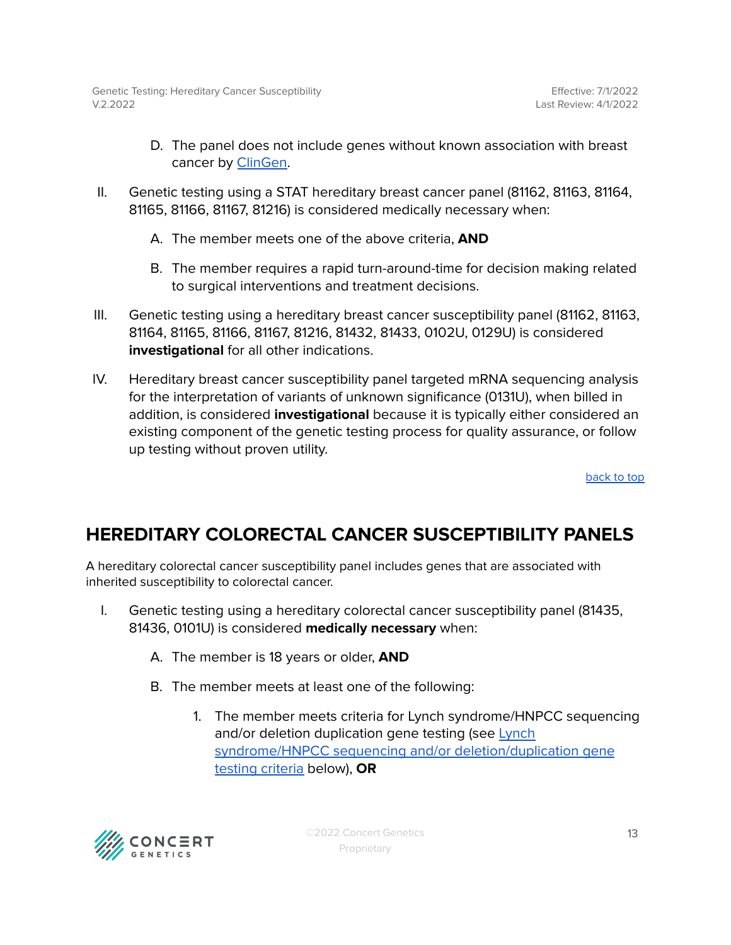- D. The panel does not include genes without known association with breast cancer by [ClinGen.](#page-47-0)
- II. Genetic testing using a STAT hereditary breast cancer panel (81162, 81163, 81164, 81165, 81166, 81167, 81216) is considered medically necessary when:
	- A. The member meets one of the above criteria, **AND**
	- B. The member requires a rapid turn-around-time for decision making related to surgical interventions and treatment decisions.
- III. Genetic testing using a hereditary breast cancer susceptibility panel (81162, 81163, 81164, 81165, 81166, 81167, 81216, 81432, 81433, 0102U, 0129U) is considered **investigational** for all other indications.
- IV. Hereditary breast cancer susceptibility panel targeted mRNA sequencing analysis for the interpretation of variants of unknown significance (0131U), when billed in addition, is considered **investigational** because it is typically either considered an existing component of the genetic testing process for quality assurance, or follow up testing without proven utility.

## <span id="page-12-0"></span>**HEREDITARY COLORECTAL CANCER SUSCEPTIBILITY PANELS**

A hereditary colorectal cancer susceptibility panel includes genes that are associated with inherited susceptibility to colorectal cancer.

- I. Genetic testing using a hereditary colorectal cancer susceptibility panel (81435, 81436, 0101U) is considered **medically necessary** when:
	- A. The member is 18 years or older, **AND**
	- B. The member meets at least one of the following:
		- 1. The member meets criteria for Lynch syndrome/HNPCC sequencing and/or deletion duplication gene testing (see [Lynch](#page-25-0) syndrome/HNPCC sequencing and/or [deletion/duplication](#page-25-0) gene testing [criteria](#page-25-0) below), **OR**

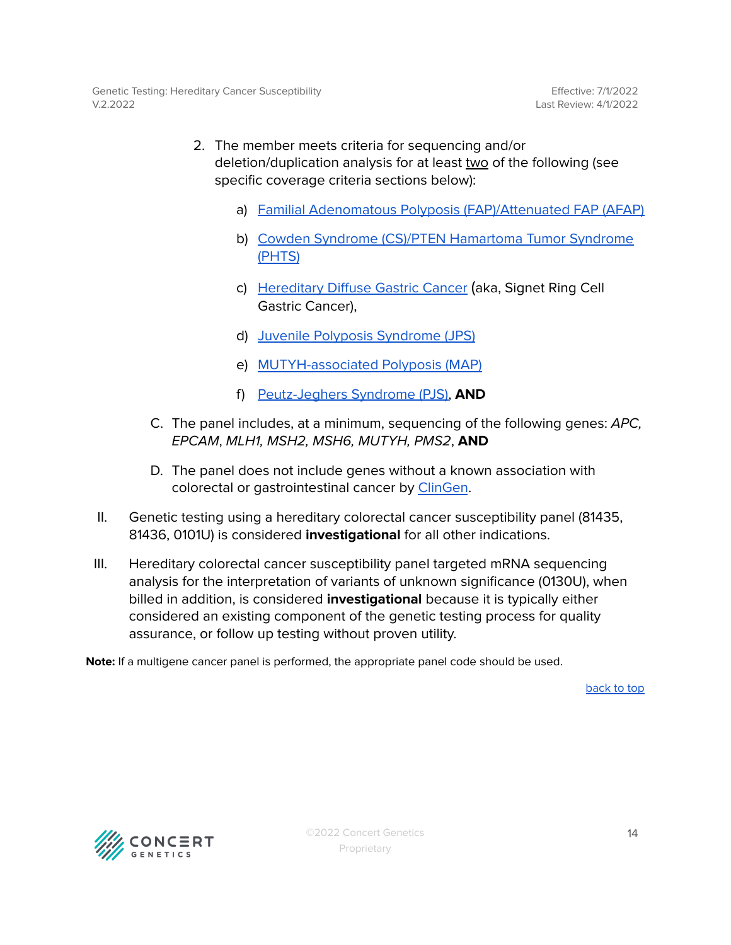- 2. The member meets criteria for sequencing and/or deletion/duplication analysis for at least two of the following (see specific coverage criteria sections below):
	- a) Familial Adenomatous Polyposis [\(FAP\)/Attenuated](#page-31-2) FAP (AFAP)
	- b) Cowden Syndrome (CS)/PTEN [Hamartoma](#page-29-2) Tumor Syndrome [\(PHTS\)](#page-29-2)
	- c) [Hereditary](#page-33-2) Diffuse Gastric Cancer (aka, Signet Ring Cell Gastric Cancer),
	- d) Juvenile Polyposis [Syndrome](#page-34-2) (JPS)
	- e) [MUTYH-associated](#page-40-2) Polyposis (MAP)
	- f) [Peutz-Jeghers](#page-44-2) Syndrome (PJS), **AND**
- C. The panel includes, at a minimum, sequencing of the following genes: APC, EPCAM, MLH1, MSH2, MSH6, MUTYH, PMS2, **AND**
- D. The panel does not include genes without a known association with colorectal or gastrointestinal cancer by [ClinGen](#page-47-0).
- II. Genetic testing using a hereditary colorectal cancer susceptibility panel (81435, 81436, 0101U) is considered **investigational** for all other indications.
- III. Hereditary colorectal cancer susceptibility panel targeted mRNA sequencing analysis for the interpretation of variants of unknown significance (0130U), when billed in addition, is considered **investigational** because it is typically either considered an existing component of the genetic testing process for quality assurance, or follow up testing without proven utility.

**Note:** If a multigene cancer panel is performed, the appropriate panel code should be used.

[back](#page-0-0) to top

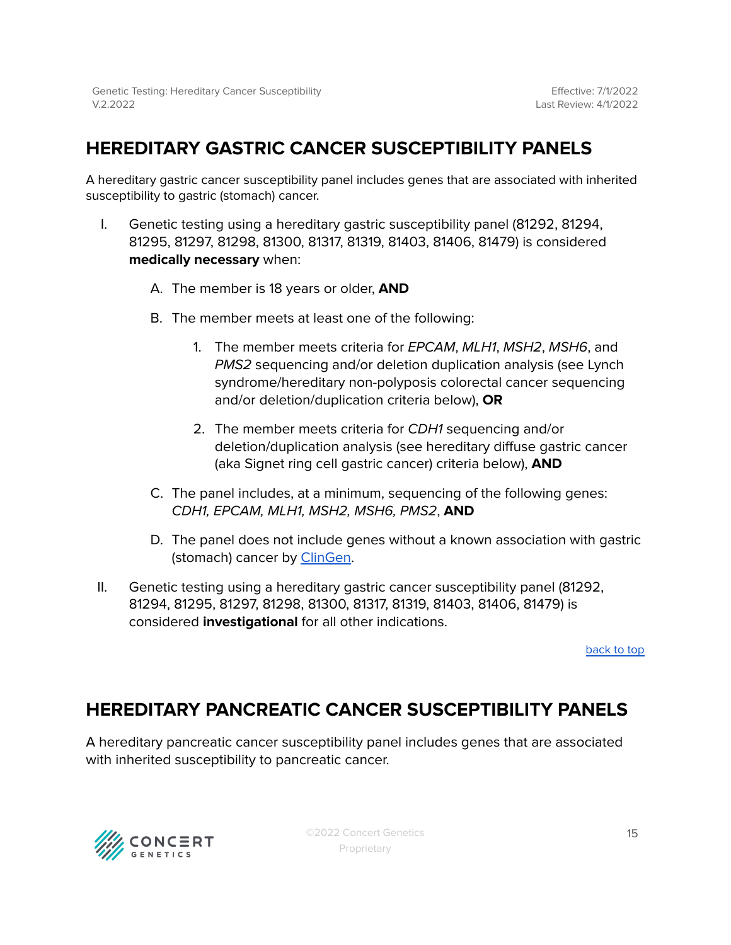# <span id="page-14-0"></span>**HEREDITARY GASTRIC CANCER SUSCEPTIBILITY PANELS**

A hereditary gastric cancer susceptibility panel includes genes that are associated with inherited susceptibility to gastric (stomach) cancer.

- I. Genetic testing using a hereditary gastric susceptibility panel (81292, 81294, 81295, 81297, 81298, 81300, 81317, 81319, 81403, 81406, 81479) is considered **medically necessary** when:
	- A. The member is 18 years or older, **AND**
	- B. The member meets at least one of the following:
		- 1. The member meets criteria for EPCAM, MLH1, MSH2, MSH6, and PMS2 sequencing and/or deletion duplication analysis (see Lynch syndrome/hereditary non-polyposis colorectal cancer sequencing and/or deletion/duplication criteria below), **OR**
		- 2. The member meets criteria for CDH1 sequencing and/or deletion/duplication analysis (see hereditary diffuse gastric cancer (aka Signet ring cell gastric cancer) criteria below), **AND**
	- C. The panel includes, at a minimum, sequencing of the following genes: CDH1, EPCAM, MLH1, MSH2, MSH6, PMS2, **AND**
	- D. The panel does not include genes without a known association with gastric (stomach) cancer by [ClinGen](#page-47-0).
- II. Genetic testing using a hereditary gastric cancer susceptibility panel (81292, 81294, 81295, 81297, 81298, 81300, 81317, 81319, 81403, 81406, 81479) is considered **investigational** for all other indications.

[back](#page-0-0) to top

### <span id="page-14-1"></span>**HEREDITARY PANCREATIC CANCER SUSCEPTIBILITY PANELS**

A hereditary pancreatic cancer susceptibility panel includes genes that are associated with inherited susceptibility to pancreatic cancer.

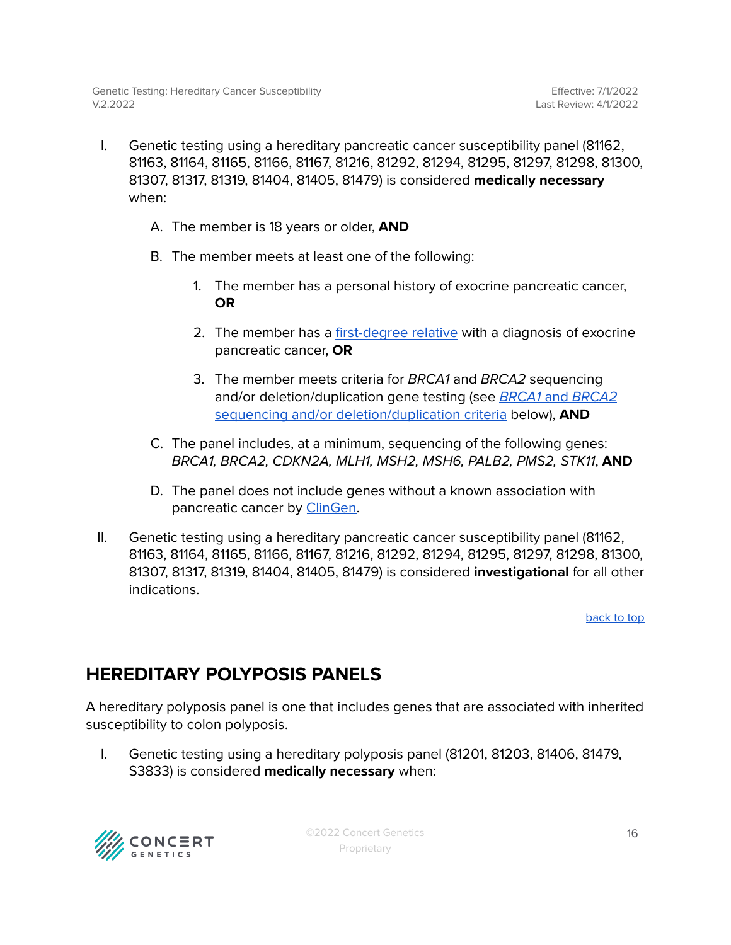- I. Genetic testing using a hereditary pancreatic cancer susceptibility panel (81162, 81163, 81164, 81165, 81166, 81167, 81216, 81292, 81294, 81295, 81297, 81298, 81300, 81307, 81317, 81319, 81404, 81405, 81479) is considered **medically necessary** when:
	- A. The member is 18 years or older, **AND**
	- B. The member meets at least one of the following:
		- 1. The member has a personal history of exocrine pancreatic cancer, **OR**
		- 2. The member has a [first-degree](#page-47-0) relative with a diagnosis of exocrine pancreatic cancer, **OR**
		- 3. The member meets criteria for BRCA1 and BRCA2 sequencing and/or deletion/duplication gene testing (see **BRCA1** and **[BRCA2](#page-20-0)** sequencing and/or [deletion/duplication](#page-20-0) criteria below), **AND**
	- C. The panel includes, at a minimum, sequencing of the following genes: BRCA1, BRCA2, CDKN2A, MLH1, MSH2, MSH6, PALB2, PMS2, STK11, **AND**
	- D. The panel does not include genes without a known association with pancreatic cancer by [ClinGen.](#page-47-0)
- II. Genetic testing using a hereditary pancreatic cancer susceptibility panel (81162, 81163, 81164, 81165, 81166, 81167, 81216, 81292, 81294, 81295, 81297, 81298, 81300, 81307, 81317, 81319, 81404, 81405, 81479) is considered **investigational** for all other indications.

## <span id="page-15-0"></span>**HEREDITARY POLYPOSIS PANELS**

A hereditary polyposis panel is one that includes genes that are associated with inherited susceptibility to colon polyposis.

I. Genetic testing using a hereditary polyposis panel (81201, 81203, 81406, 81479, S3833) is considered **medically necessary** when:

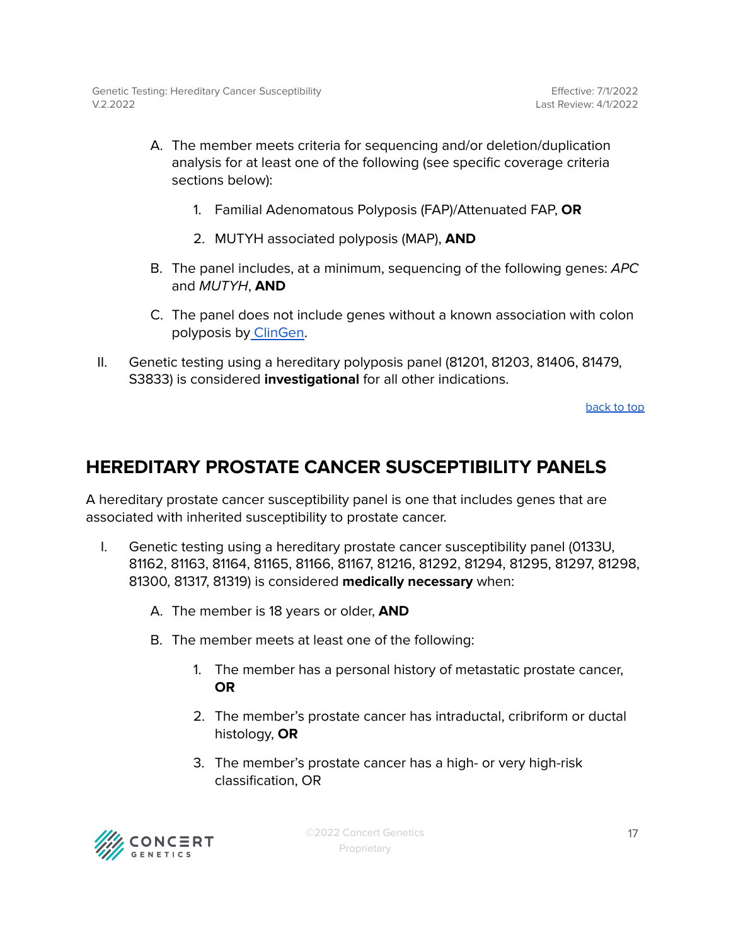- A. The member meets criteria for sequencing and/or deletion/duplication analysis for at least one of the following (see specific coverage criteria sections below):
	- 1. Familial Adenomatous Polyposis (FAP)/Attenuated FAP, **OR**
	- 2. MUTYH associated polyposis (MAP), **AND**
- B. The panel includes, at a minimum, sequencing of the following genes: APC and MUTYH, **AND**
- C. The panel does not include genes without a known association with colon polyposis by [ClinGen.](#page-47-0)
- II. Genetic testing using a hereditary polyposis panel (81201, 81203, 81406, 81479, S3833) is considered **investigational** for all other indications.

## <span id="page-16-0"></span>**HEREDITARY PROSTATE CANCER SUSCEPTIBILITY PANELS**

A hereditary prostate cancer susceptibility panel is one that includes genes that are associated with inherited susceptibility to prostate cancer.

- I. Genetic testing using a hereditary prostate cancer susceptibility panel (0133U, 81162, 81163, 81164, 81165, 81166, 81167, 81216, 81292, 81294, 81295, 81297, 81298, 81300, 81317, 81319) is considered **medically necessary** when:
	- A. The member is 18 years or older, **AND**
	- B. The member meets at least one of the following:
		- 1. The member has a personal history of metastatic prostate cancer, **OR**
		- 2. The member's prostate cancer has intraductal, cribriform or ductal histology, **OR**
		- 3. The member's prostate cancer has a high- or very high-risk classification, OR

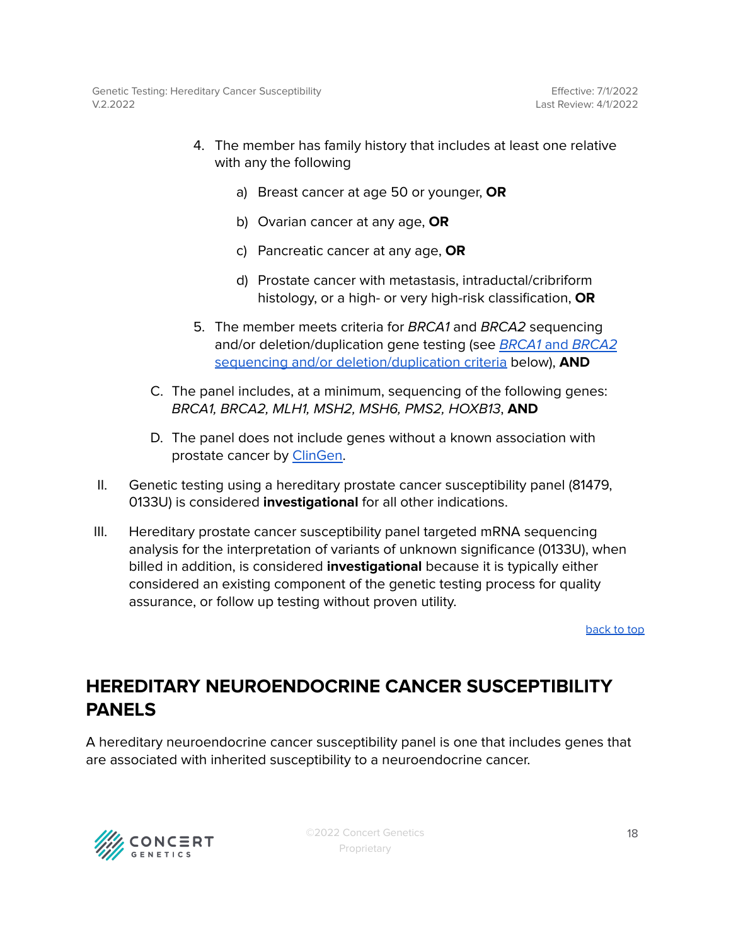- 4. The member has family history that includes at least one relative with any the following
	- a) Breast cancer at age 50 or younger, **OR**
	- b) Ovarian cancer at any age, **OR**
	- c) Pancreatic cancer at any age, **OR**
	- d) Prostate cancer with metastasis, intraductal/cribriform histology, or a high- or very high-risk classification, **OR**
- 5. The member meets criteria for BRCA1 and BRCA2 sequencing and/or deletion/duplication gene testing (see BRCA1 and [BRCA2](#page-20-0) sequencing and/or [deletion/duplication](#page-20-0) criteria below), **AND**
- C. The panel includes, at a minimum, sequencing of the following genes: BRCA1, BRCA2, MLH1, MSH2, MSH6, PMS2, HOXB13, **AND**
- D. The panel does not include genes without a known association with prostate cancer by [ClinGen](#page-47-0).
- II. Genetic testing using a hereditary prostate cancer susceptibility panel (81479, 0133U) is considered **investigational** for all other indications.
- III. Hereditary prostate cancer susceptibility panel targeted mRNA sequencing analysis for the interpretation of variants of unknown significance (0133U), when billed in addition, is considered **investigational** because it is typically either considered an existing component of the genetic testing process for quality assurance, or follow up testing without proven utility.

# <span id="page-17-0"></span>**HEREDITARY NEUROENDOCRINE CANCER SUSCEPTIBILITY PANELS**

A hereditary neuroendocrine cancer susceptibility panel is one that includes genes that are associated with inherited susceptibility to a neuroendocrine cancer.

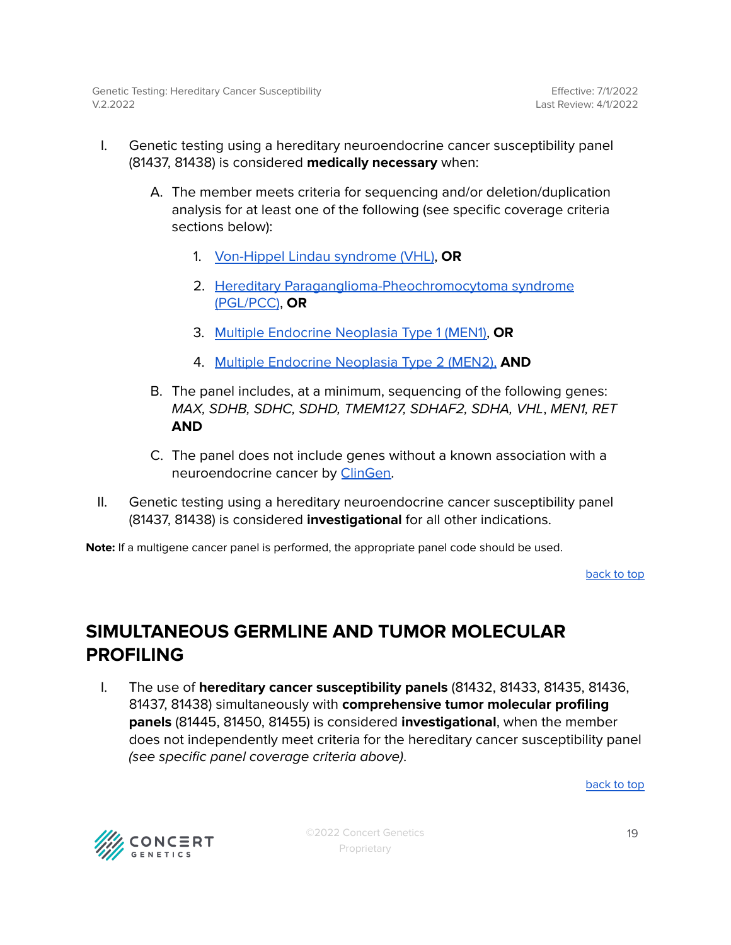- I. Genetic testing using a hereditary neuroendocrine cancer susceptibility panel (81437, 81438) is considered **medically necessary** when:
	- A. The member meets criteria for sequencing and/or deletion/duplication analysis for at least one of the following (see specific coverage criteria sections below):
		- 1. [Von-Hippel](#page-46-2) Lindau syndrome (VHL), **OR**
		- 2. Hereditary [Paraganglioma-Pheochromocytoma](#page-43-2) syndrome [\(PGL/PCC\)](#page-43-2), **OR**
		- 3. Multiple [Endocrine](#page-38-0) Neoplasia Type 1 (MEN1), **OR**
		- 4. Multiple [Endocrine](#page-39-1) Neoplasia Type 2 (MEN2), **AND**
	- B. The panel includes, at a minimum, sequencing of the following genes: MAX, SDHB, SDHC, SDHD, TMEM127, SDHAF2, SDHA, VHL, MEN1, RET **AND**
	- C. The panel does not include genes without a known association with a neuroendocrine cancer by [ClinGen.](#page-47-0)
- II. Genetic testing using a hereditary neuroendocrine cancer susceptibility panel (81437, 81438) is considered **investigational** for all other indications.

**Note:** If a multigene cancer panel is performed, the appropriate panel code should be used.

[back](#page-0-0) to top

### <span id="page-18-0"></span>**SIMULTANEOUS GERMLINE AND TUMOR MOLECULAR PROFILING**

I. The use of **hereditary cancer susceptibility panels** (81432, 81433, 81435, 81436, 81437, 81438) simultaneously with **comprehensive tumor molecular profiling panels** (81445, 81450, 81455) is considered **investigational**, when the member does not independently meet criteria for the hereditary cancer susceptibility panel (see specific panel coverage criteria above).

[back](#page-0-0) to top



©2022 Concert Genetics Proprietary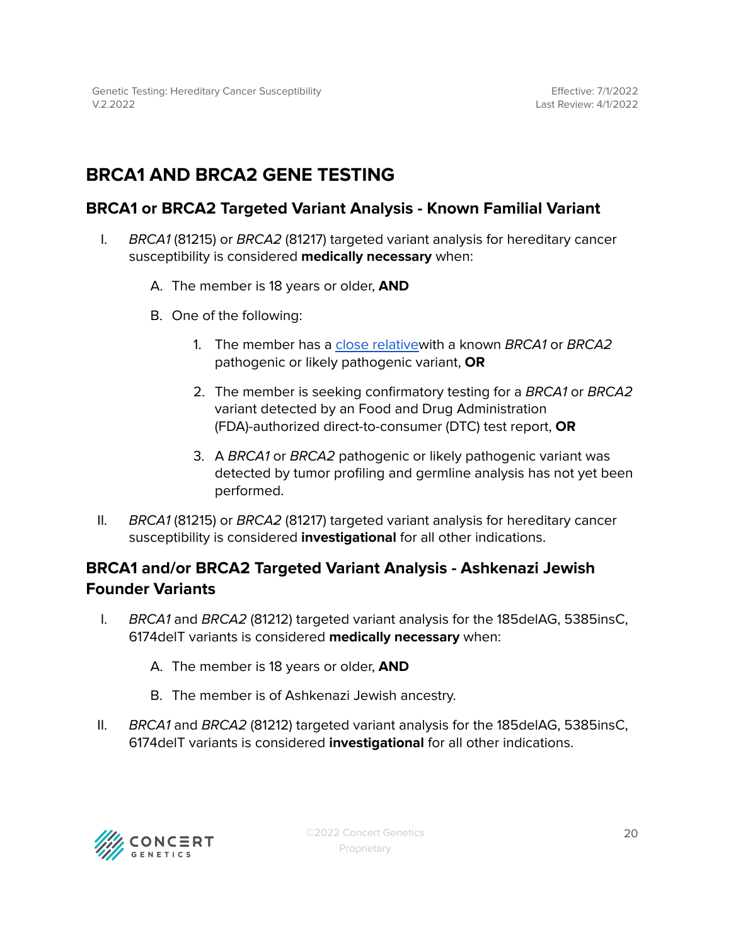# <span id="page-19-0"></span>**BRCA1 AND BRCA2 GENE TESTING**

### <span id="page-19-1"></span>**BRCA1 or BRCA2 Targeted Variant Analysis - Known Familial Variant**

- I. BRCA1 (81215) or BRCA2 (81217) targeted variant analysis for hereditary cancer susceptibility is considered **medically necessary** when:
	- A. The member is 18 years or older, **AND**
	- B. One of the following:
		- 1. The member has a close [relativew](#page-47-0)ith a known BRCA1 or BRCA2 pathogenic or likely pathogenic variant, **OR**
		- 2. The member is seeking confirmatory testing for a BRCA1 or BRCA2 variant detected by an Food and Drug Administration (FDA)-authorized direct-to-consumer (DTC) test report, **OR**
		- 3. A BRCA1 or BRCA2 pathogenic or likely pathogenic variant was detected by tumor profiling and germline analysis has not yet been performed.
- II. BRCA1 (81215) or BRCA2 (81217) targeted variant analysis for hereditary cancer susceptibility is considered **investigational** for all other indications.

### **BRCA1 and/or BRCA2 Targeted Variant Analysis - Ashkenazi Jewish Founder Variants**

- I. BRCA1 and BRCA2 (81212) targeted variant analysis for the 185delAG, 5385insC, 6174delT variants is considered **medically necessary** when:
	- A. The member is 18 years or older, **AND**
	- B. The member is of Ashkenazi Jewish ancestry.
- II. BRCA1 and BRCA2 (81212) targeted variant analysis for the 185delAG, 5385insC, 6174delT variants is considered **investigational** for all other indications.

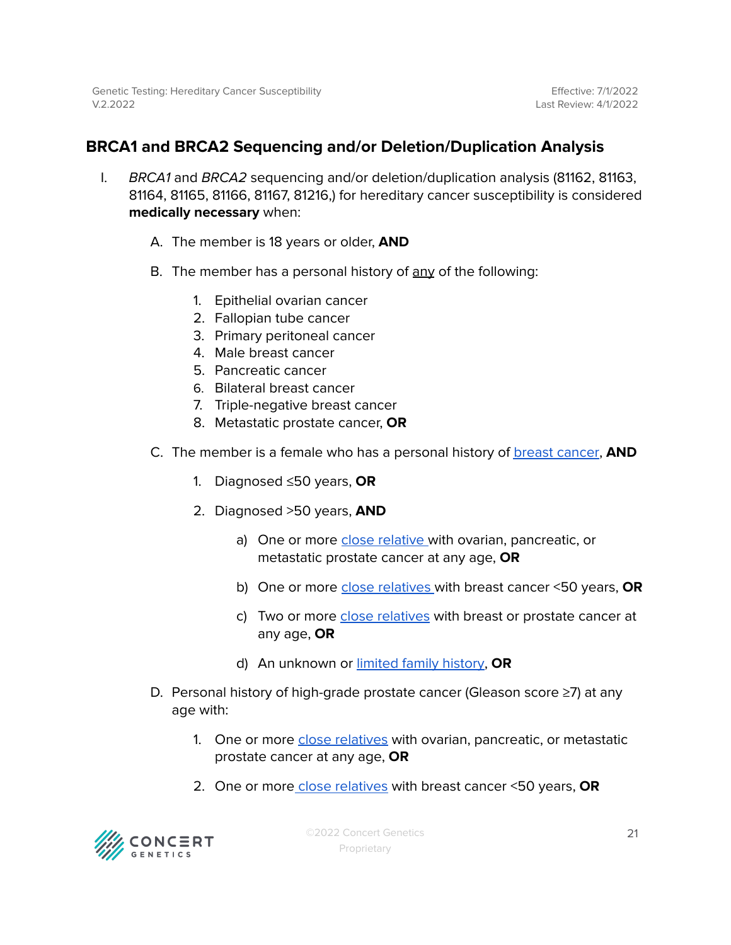### <span id="page-20-0"></span>**BRCA1 and BRCA2 Sequencing and/or Deletion/Duplication Analysis**

- I. BRCA1 and BRCA2 sequencing and/or deletion/duplication analysis (81162, 81163, 81164, 81165, 81166, 81167, 81216,) for hereditary cancer susceptibility is considered **medically necessary** when:
	- A. The member is 18 years or older, **AND**
	- B. The member has a personal history of any of the following:
		- 1. Epithelial ovarian cancer
		- 2. Fallopian tube cancer
		- 3. Primary peritoneal cancer
		- 4. Male breast cancer
		- 5. Pancreatic cancer
		- 6. Bilateral breast cancer
		- 7. Triple-negative breast cancer
		- 8. Metastatic prostate cancer, **OR**
	- C. The member is a female who has a personal history of breast [cancer](#page-47-0), **AND**
		- 1. Diagnosed ≤50 years, **OR**
		- 2. Diagnosed >50 years, **AND**
			- a) One or more close [relative](#page-47-0) with ovarian, pancreatic, or metastatic prostate cancer at any age, **OR**
			- b) One or more close [relatives](#page-47-0) with breast cancer <50 years, **OR**
			- c) Two or more close [relatives](#page-47-0) with breast or prostate cancer at any age, **OR**
			- d) An unknown or limited family [history,](#page-47-0) **OR**
	- D. Personal history of high-grade prostate cancer (Gleason score ≥7) at any age with:
		- 1. One or more close [relatives](#page-47-0) with ovarian, pancreatic, or metastatic prostate cancer at any age, **OR**
		- 2. One or more close [relatives](#page-47-0) with breast cancer <50 years, **OR**

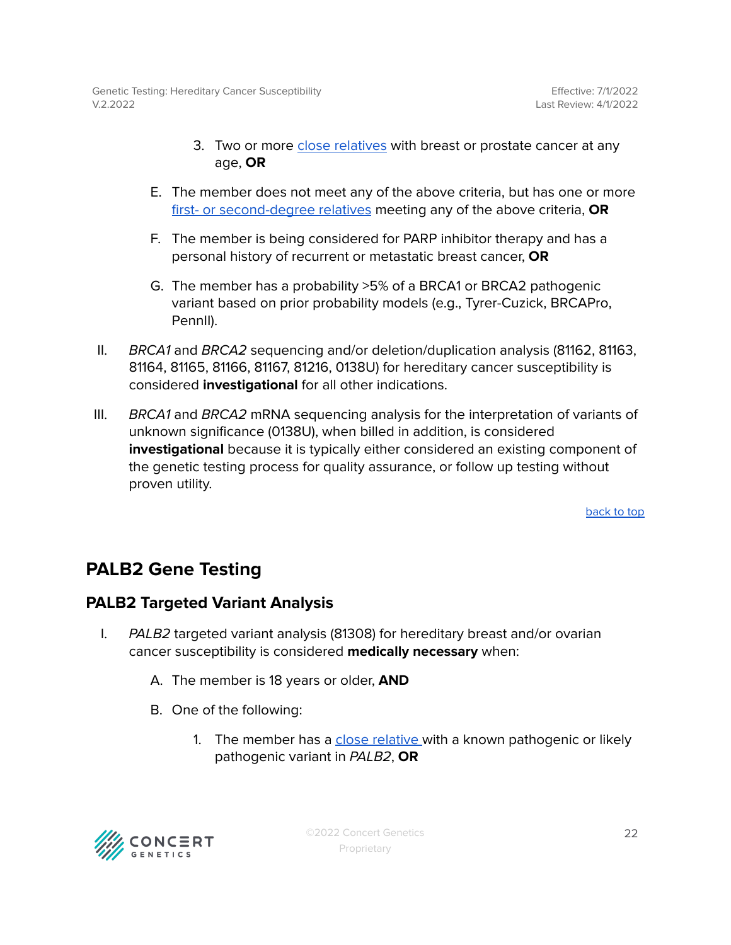- 3. Two or more close [relatives](#page-47-0) with breast or prostate cancer at any age, **OR**
- E. The member does not meet any of the above criteria, but has one or more first- or [second-degree](#page-47-0) relatives meeting any of the above criteria, **OR**
- F. The member is being considered for PARP inhibitor therapy and has a personal history of recurrent or metastatic breast cancer, **OR**
- G. The member has a probability >5% of a BRCA1 or BRCA2 pathogenic variant based on prior probability models (e.g., Tyrer-Cuzick, BRCAPro, PennII).
- II. BRCA1 and BRCA2 sequencing and/or deletion/duplication analysis (81162, 81163, 81164, 81165, 81166, 81167, 81216, 0138U) for hereditary cancer susceptibility is considered **investigational** for all other indications.
- III. BRCA1 and BRCA2 mRNA sequencing analysis for the interpretation of variants of unknown significance (0138U), when billed in addition, is considered **investigational** because it is typically either considered an existing component of the genetic testing process for quality assurance, or follow up testing without proven utility.

## <span id="page-21-0"></span>**PALB2 Gene Testing**

### <span id="page-21-1"></span>**PALB2 Targeted Variant Analysis**

- I. PALB2 targeted variant analysis (81308) for hereditary breast and/or ovarian cancer susceptibility is considered **medically necessary** when:
	- A. The member is 18 years or older, **AND**
	- B. One of the following:
		- 1. The member has a close [relative](#page-47-0) with a known pathogenic or likely pathogenic variant in PALB2, **OR**

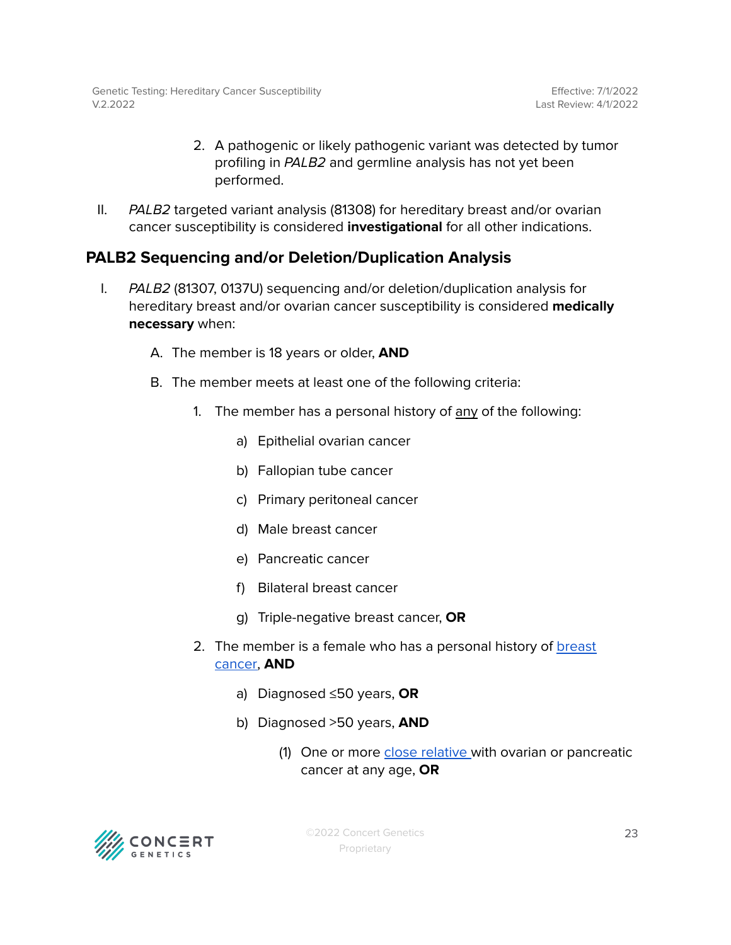- 2. A pathogenic or likely pathogenic variant was detected by tumor profiling in PALB2 and germline analysis has not yet been performed.
- II. PALB2 targeted variant analysis (81308) for hereditary breast and/or ovarian cancer susceptibility is considered **investigational** for all other indications.

### <span id="page-22-0"></span>**PALB2 Sequencing and/or Deletion/Duplication Analysis**

- I. PALB2 (81307, 0137U) sequencing and/or deletion/duplication analysis for hereditary breast and/or ovarian cancer susceptibility is considered **medically necessary** when:
	- A. The member is 18 years or older, **AND**
	- B. The member meets at least one of the following criteria:
		- 1. The member has a personal history of any of the following:
			- a) Epithelial ovarian cancer
			- b) Fallopian tube cancer
			- c) Primary peritoneal cancer
			- d) Male breast cancer
			- e) Pancreatic cancer
			- f) Bilateral breast cancer
			- g) Triple-negative breast cancer, **OR**
		- 2. The member is a female who has a personal history of **[breast](#page-47-0)** [cancer,](#page-47-0) **AND**
			- a) Diagnosed ≤50 years, **OR**
			- b) Diagnosed >50 years, **AND**
				- (1) One or more close [relative](#page-47-0) with ovarian or pancreatic cancer at any age, **OR**

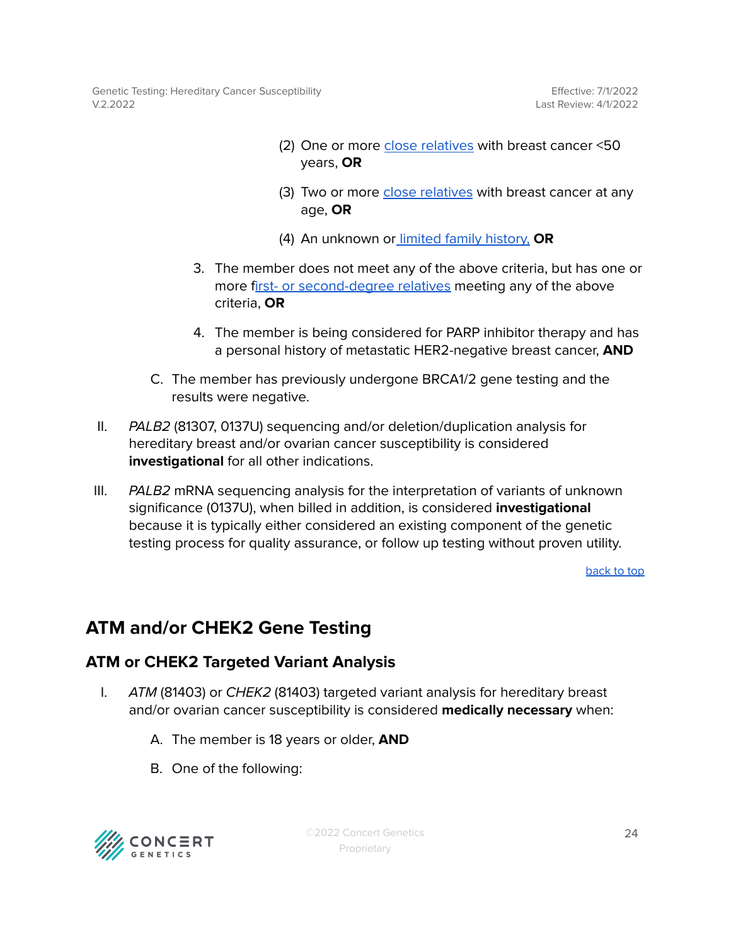Genetic Testing: Hereditary Cancer Susceptibility V.2.2022

- (2) One or more close [relatives](#page-47-0) with breast cancer <50 years, **OR**
- (3) Two or more close [relatives](#page-47-0) with breast cancer at any age, **OR**
- (4) An unknown or limited family [history,](#page-47-0) **OR**
- 3. The member does not meet any of the above criteria, but has one or more first- or [second-degree](#page-47-0) relatives meeting any of the above criteria, **OR**
- 4. The member is being considered for PARP inhibitor therapy and has a personal history of metastatic HER2-negative breast cancer, **AND**
- C. The member has previously undergone BRCA1/2 gene testing and the results were negative.
- II. PALB2 (81307, 0137U) sequencing and/or deletion/duplication analysis for hereditary breast and/or ovarian cancer susceptibility is considered **investigational** for all other indications.
- III.  $PALB2$  mRNA sequencing analysis for the interpretation of variants of unknown significance (0137U), when billed in addition, is considered **investigational** because it is typically either considered an existing component of the genetic testing process for quality assurance, or follow up testing without proven utility.

[back](#page-0-0) to top

### <span id="page-23-0"></span>**ATM and/or CHEK2 Gene Testing**

### <span id="page-23-1"></span>**ATM or CHEK2 Targeted Variant Analysis**

- I. ATM (81403) or CHEK2 (81403) targeted variant analysis for hereditary breast and/or ovarian cancer susceptibility is considered **medically necessary** when:
	- A. The member is 18 years or older, **AND**
	- B. One of the following:

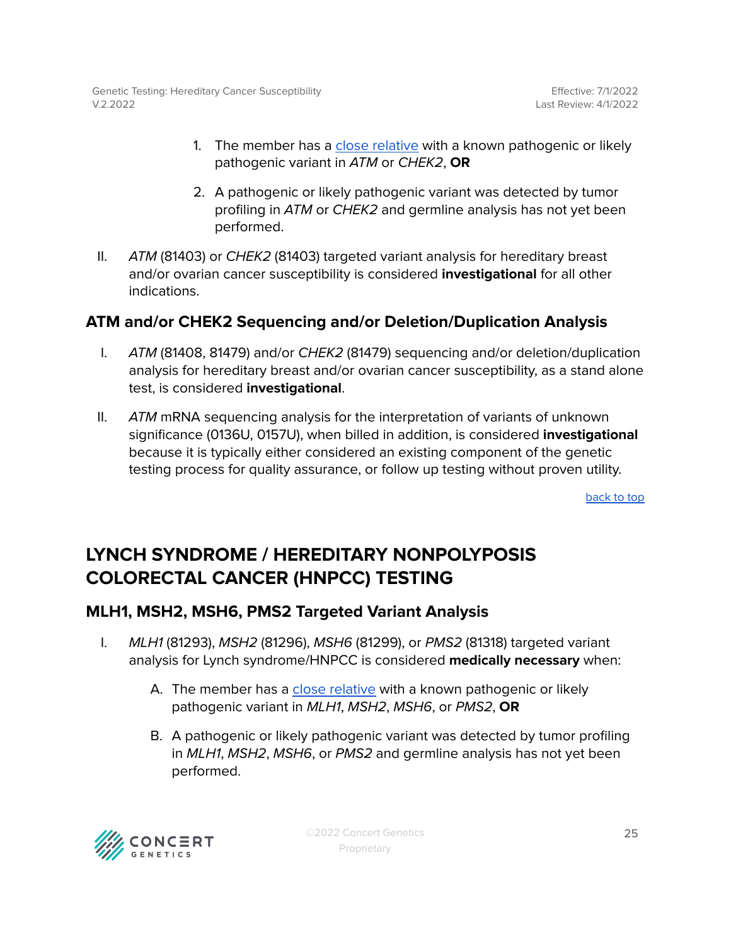- 1. The member has a close [relative](#page-47-0) with a known pathogenic or likely pathogenic variant in ATM or CHEK2, **OR**
- 2. A pathogenic or likely pathogenic variant was detected by tumor profiling in ATM or CHEK2 and germline analysis has not yet been performed.
- II. ATM (81403) or CHEK2 (81403) targeted variant analysis for hereditary breast and/or ovarian cancer susceptibility is considered **investigational** for all other indications.

### <span id="page-24-0"></span>**ATM and/or CHEK2 Sequencing and/or Deletion/Duplication Analysis**

- I. ATM (81408, 81479) and/or CHEK2 (81479) sequencing and/or deletion/duplication analysis for hereditary breast and/or ovarian cancer susceptibility, as a stand alone test, is considered **investigational**.
- II.  $ATM$  mRNA sequencing analysis for the interpretation of variants of unknown significance (0136U, 0157U), when billed in addition, is considered **investigational** because it is typically either considered an existing component of the genetic testing process for quality assurance, or follow up testing without proven utility.

[back](#page-0-0) to top

# <span id="page-24-1"></span>**LYNCH SYNDROME / HEREDITARY NONPOLYPOSIS COLORECTAL CANCER (HNPCC) TESTING**

### <span id="page-24-2"></span>**MLH1, MSH2, MSH6, PMS2 Targeted Variant Analysis**

- I. MLH1 (81293), MSH2 (81296), MSH6 (81299), or PMS2 (81318) targeted variant analysis for Lynch syndrome/HNPCC is considered **medically necessary** when:
	- A. The member has a close [relative](#page-47-0) with a known pathogenic or likely pathogenic variant in MLH1, MSH2, MSH6, or PMS2, **OR**
	- B. A pathogenic or likely pathogenic variant was detected by tumor profiling in MLH1, MSH2, MSH6, or PMS2 and germline analysis has not yet been performed.

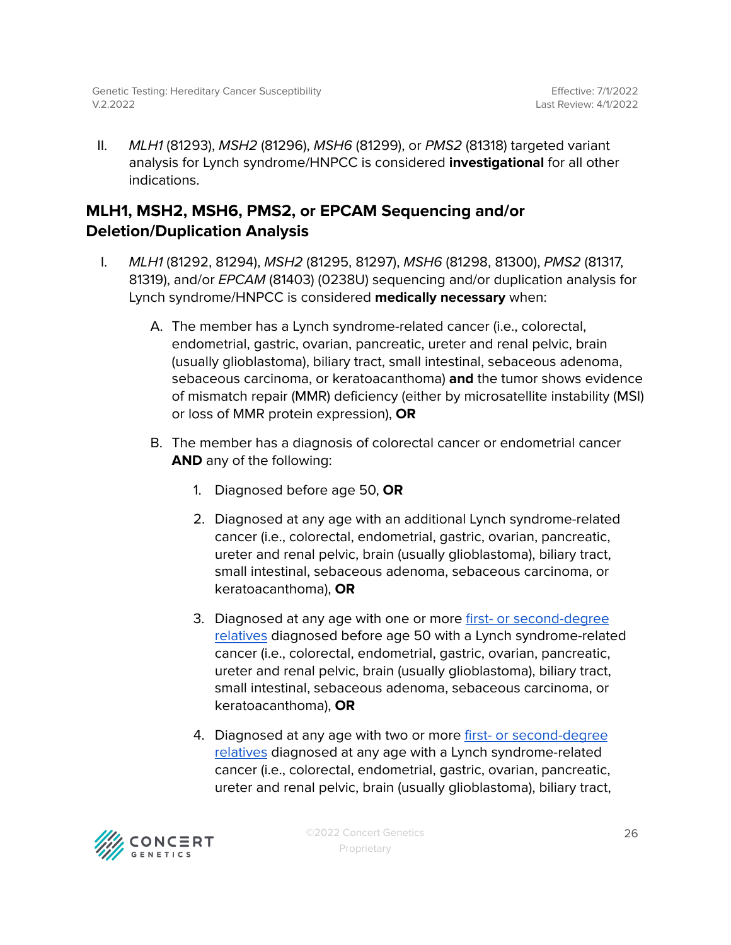II. *MLH1* (81293), *MSH2* (81296), *MSH6* (81299), or *PMS2* (81318) targeted variant analysis for Lynch syndrome/HNPCC is considered **investigational** for all other indications.

### <span id="page-25-0"></span>**MLH1, MSH2, MSH6, PMS2, or EPCAM Sequencing and/or Deletion/Duplication Analysis**

- I. MLH1 (81292, 81294), MSH2 (81295, 81297), MSH6 (81298, 81300), PMS2 (81317, 81319), and/or EPCAM (81403) (0238U) sequencing and/or duplication analysis for Lynch syndrome/HNPCC is considered **medically necessary** when:
	- A. The member has a Lynch syndrome-related cancer (i.e., colorectal, endometrial, gastric, ovarian, pancreatic, ureter and renal pelvic, brain (usually glioblastoma), biliary tract, small intestinal, sebaceous adenoma, sebaceous carcinoma, or keratoacanthoma) **and** the tumor shows evidence of mismatch repair (MMR) deficiency (either by microsatellite instability (MSI) or loss of MMR protein expression), **OR**
	- B. The member has a diagnosis of colorectal cancer or endometrial cancer **AND** any of the following:
		- 1. Diagnosed before age 50, **OR**
		- 2. Diagnosed at any age with an additional Lynch syndrome-related cancer (i.e., colorectal, endometrial, gastric, ovarian, pancreatic, ureter and renal pelvic, brain (usually glioblastoma), biliary tract, small intestinal, sebaceous adenoma, sebaceous carcinoma, or keratoacanthoma), **OR**
		- 3. Diagnosed at any age with one or more first- or [second-degree](#page-47-0) [relatives](#page-47-0) diagnosed before age 50 with a Lynch syndrome-related cancer (i.e., colorectal, endometrial, gastric, ovarian, pancreatic, ureter and renal pelvic, brain (usually glioblastoma), biliary tract, small intestinal, sebaceous adenoma, sebaceous carcinoma, or keratoacanthoma), **OR**
		- 4. Diagnosed at any age with two or more first- or [second-degree](#page-47-0) [relatives](#page-47-0) diagnosed at any age with a Lynch syndrome-related cancer (i.e., colorectal, endometrial, gastric, ovarian, pancreatic, ureter and renal pelvic, brain (usually glioblastoma), biliary tract,

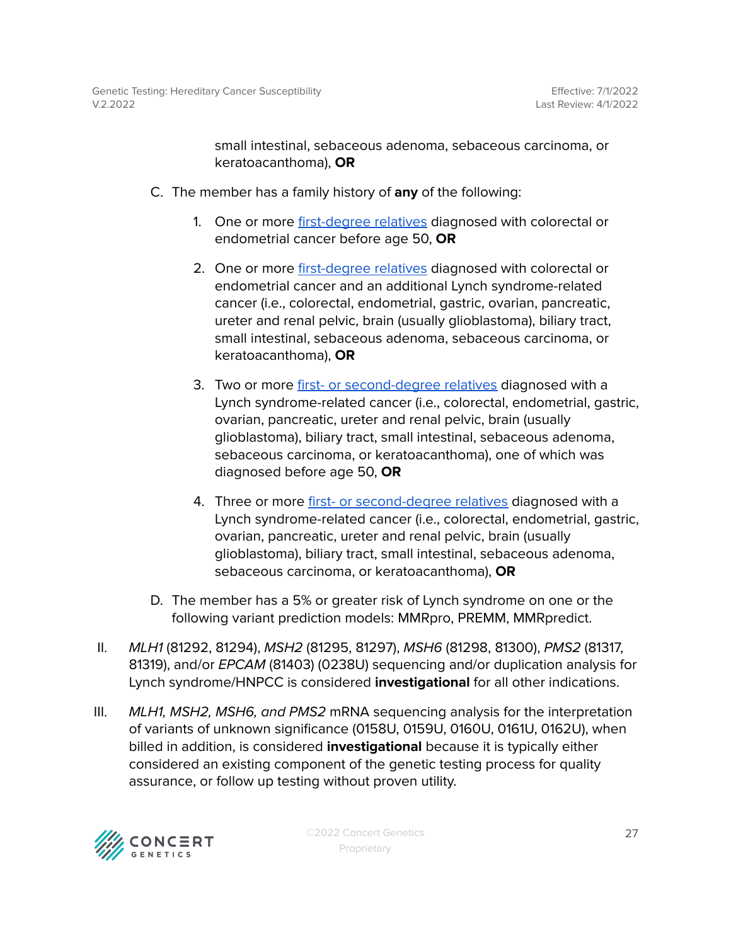small intestinal, sebaceous adenoma, sebaceous carcinoma, or keratoacanthoma), **OR**

- C. The member has a family history of **any** of the following:
	- 1. One or more [first-degree](#page-47-0) relatives diagnosed with colorectal or endometrial cancer before age 50, **OR**
	- 2. One or more [first-degree](#page-47-0) relatives diagnosed with colorectal or endometrial cancer and an additional Lynch syndrome-related cancer (i.e., colorectal, endometrial, gastric, ovarian, pancreatic, ureter and renal pelvic, brain (usually glioblastoma), biliary tract, small intestinal, sebaceous adenoma, sebaceous carcinoma, or keratoacanthoma), **OR**
	- 3. Two or more first- or [second-degree](#page-47-0) relatives diagnosed with a Lynch syndrome-related cancer (i.e., colorectal, endometrial, gastric, ovarian, pancreatic, ureter and renal pelvic, brain (usually glioblastoma), biliary tract, small intestinal, sebaceous adenoma, sebaceous carcinoma, or keratoacanthoma), one of which was diagnosed before age 50, **OR**
	- 4. Three or more first- or [second-degree](#page-47-0) relatives diagnosed with a Lynch syndrome-related cancer (i.e., colorectal, endometrial, gastric, ovarian, pancreatic, ureter and renal pelvic, brain (usually glioblastoma), biliary tract, small intestinal, sebaceous adenoma, sebaceous carcinoma, or keratoacanthoma), **OR**
- D. The member has a 5% or greater risk of Lynch syndrome on one or the following variant prediction models: MMRpro, PREMM, MMRpredict.
- II. MLH1 (81292, 81294), MSH2 (81295, 81297), MSH6 (81298, 81300), PMS2 (81317, 81319), and/or EPCAM (81403) (0238U) sequencing and/or duplication analysis for Lynch syndrome/HNPCC is considered **investigational** for all other indications.
- III. MLH1, MSH2, MSH6, and PMS2 mRNA sequencing analysis for the interpretation of variants of unknown significance (0158U, 0159U, 0160U, 0161U, 0162U), when billed in addition, is considered **investigational** because it is typically either considered an existing component of the genetic testing process for quality assurance, or follow up testing without proven utility.

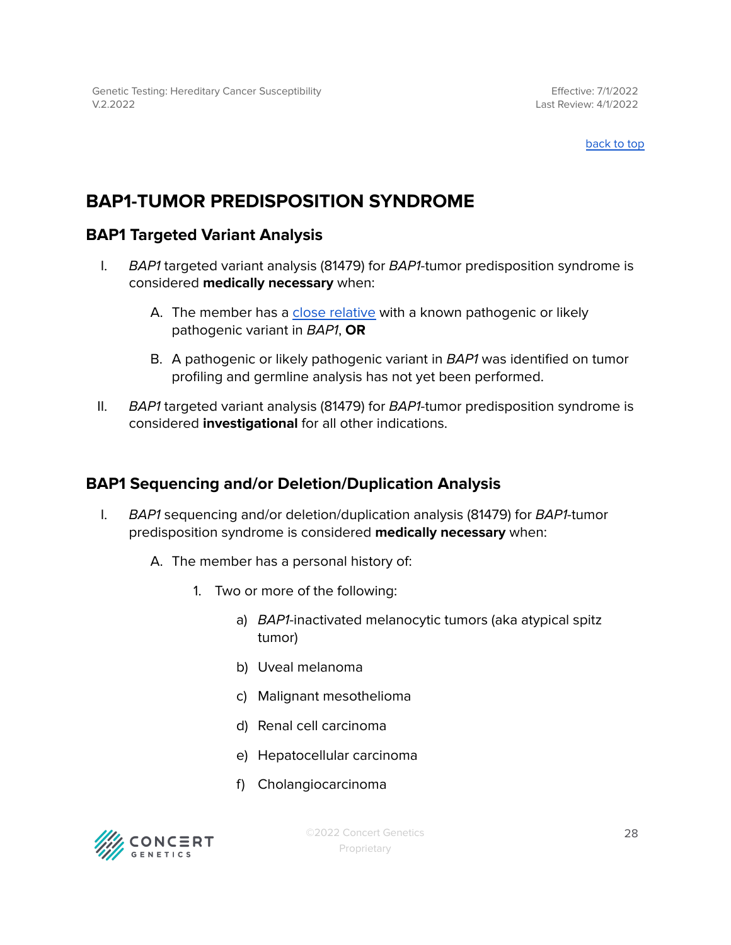# <span id="page-27-0"></span>**BAP1-TUMOR PREDISPOSITION SYNDROME**

### <span id="page-27-1"></span>**BAP1 Targeted Variant Analysis**

- I. BAP1 targeted variant analysis (81479) for BAP1-tumor predisposition syndrome is considered **medically necessary** when:
	- A. The member has a close [relative](#page-47-0) with a known pathogenic or likely pathogenic variant in BAP1, **OR**
	- B. A pathogenic or likely pathogenic variant in BAP1 was identified on tumor profiling and germline analysis has not yet been performed.
- II. BAP1 targeted variant analysis (81479) for BAP1-tumor predisposition syndrome is considered **investigational** for all other indications.

### <span id="page-27-2"></span>**BAP1 Sequencing and/or Deletion/Duplication Analysis**

- I. BAP1 sequencing and/or deletion/duplication analysis (81479) for BAP1-tumor predisposition syndrome is considered **medically necessary** when:
	- A. The member has a personal history of:
		- 1. Two or more of the following:
			- a) BAP1-inactivated melanocytic tumors (aka atypical spitz tumor)
			- b) Uveal melanoma
			- c) Malignant mesothelioma
			- d) Renal cell carcinoma
			- e) Hepatocellular carcinoma
			- f) Cholangiocarcinoma

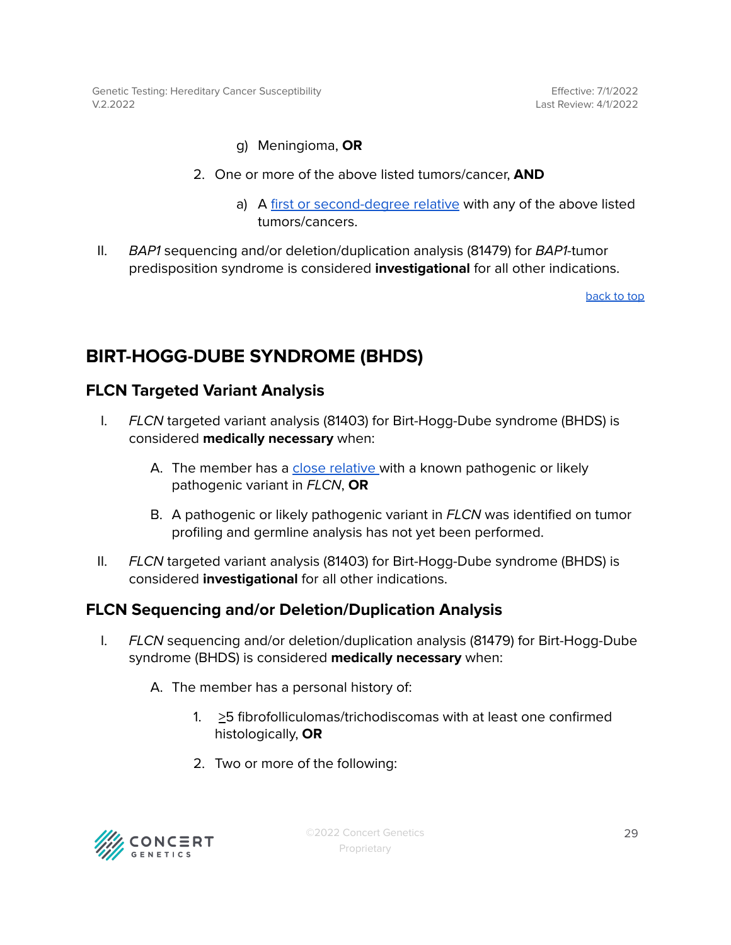Genetic Testing: Hereditary Cancer Susceptibility V.2.2022

Effective: 7/1/2022 Last Review: 4/1/2022

#### g) Meningioma, **OR**

- 2. One or more of the above listed tumors/cancer, **AND**
	- a) A first or [second-degree](#page-47-0) relative with any of the above listed tumors/cancers.
- II. BAP1 sequencing and/or deletion/duplication analysis (81479) for BAP1-tumor predisposition syndrome is considered **investigational** for all other indications.

[back](#page-0-0) to top

### <span id="page-28-0"></span>**BIRT-HOGG-DUBE SYNDROME (BHDS)**

### <span id="page-28-1"></span>**FLCN Targeted Variant Analysis**

- I. FLCN targeted variant analysis (81403) for Birt-Hogg-Dube syndrome (BHDS) is considered **medically necessary** when:
	- A. The member has a close [relative](#page-47-0) with a known pathogenic or likely pathogenic variant in FLCN, **OR**
	- B. A pathogenic or likely pathogenic variant in FLCN was identified on tumor profiling and germline analysis has not yet been performed.
- II. FLCN targeted variant analysis (81403) for Birt-Hogg-Dube syndrome (BHDS) is considered **investigational** for all other indications.

### <span id="page-28-2"></span>**FLCN Sequencing and/or Deletion/Duplication Analysis**

- I. FLCN sequencing and/or deletion/duplication analysis (81479) for Birt-Hogg-Dube syndrome (BHDS) is considered **medically necessary** when:
	- A. The member has a personal history of:
		- 1.  $\geq$ 5 fibrofolliculomas/trichodiscomas with at least one confirmed histologically, **OR**
		- 2. Two or more of the following:

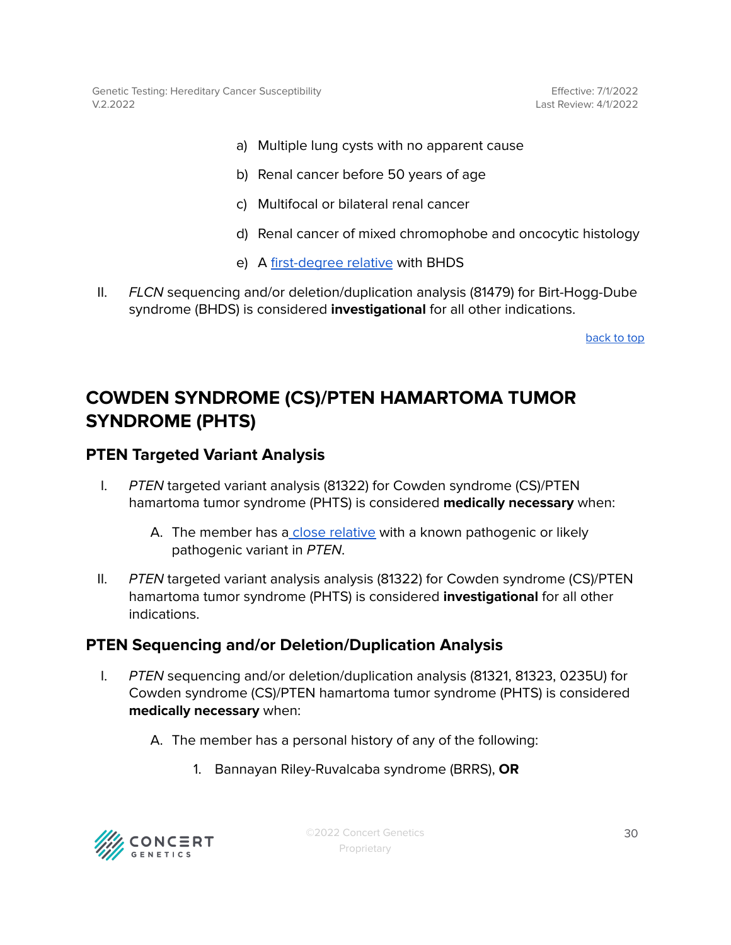Genetic Testing: Hereditary Cancer Susceptibility V.2.2022

Effective: 7/1/2022 Last Review: 4/1/2022

- a) Multiple lung cysts with no apparent cause
- b) Renal cancer before 50 years of age
- c) Multifocal or bilateral renal cancer
- d) Renal cancer of mixed chromophobe and oncocytic histology
- e) A [first-degree](#page-47-0) relative with BHDS
- II. FLCN sequencing and/or deletion/duplication analysis (81479) for Birt-Hogg-Dube syndrome (BHDS) is considered **investigational** for all other indications.

[back](#page-0-0) to top

## <span id="page-29-0"></span>**COWDEN SYNDROME (CS)/PTEN HAMARTOMA TUMOR SYNDROME (PHTS)**

#### <span id="page-29-1"></span>**PTEN Targeted Variant Analysis**

- I. PTEN targeted variant analysis (81322) for Cowden syndrome (CS)/PTEN hamartoma tumor syndrome (PHTS) is considered **medically necessary** when:
	- A. The member has a close [relative](#page-47-0) with a known pathogenic or likely pathogenic variant in PTEN.
- II. PTEN targeted variant analysis analysis (81322) for Cowden syndrome (CS)/PTEN hamartoma tumor syndrome (PHTS) is considered **investigational** for all other indications.

### <span id="page-29-2"></span>**PTEN Sequencing and/or Deletion/Duplication Analysis**

- I. PTEN sequencing and/or deletion/duplication analysis (81321, 81323, 0235U) for Cowden syndrome (CS)/PTEN hamartoma tumor syndrome (PHTS) is considered **medically necessary** when:
	- A. The member has a personal history of any of the following:
		- 1. Bannayan Riley-Ruvalcaba syndrome (BRRS), **OR**



©2022 Concert Genetics Proprietary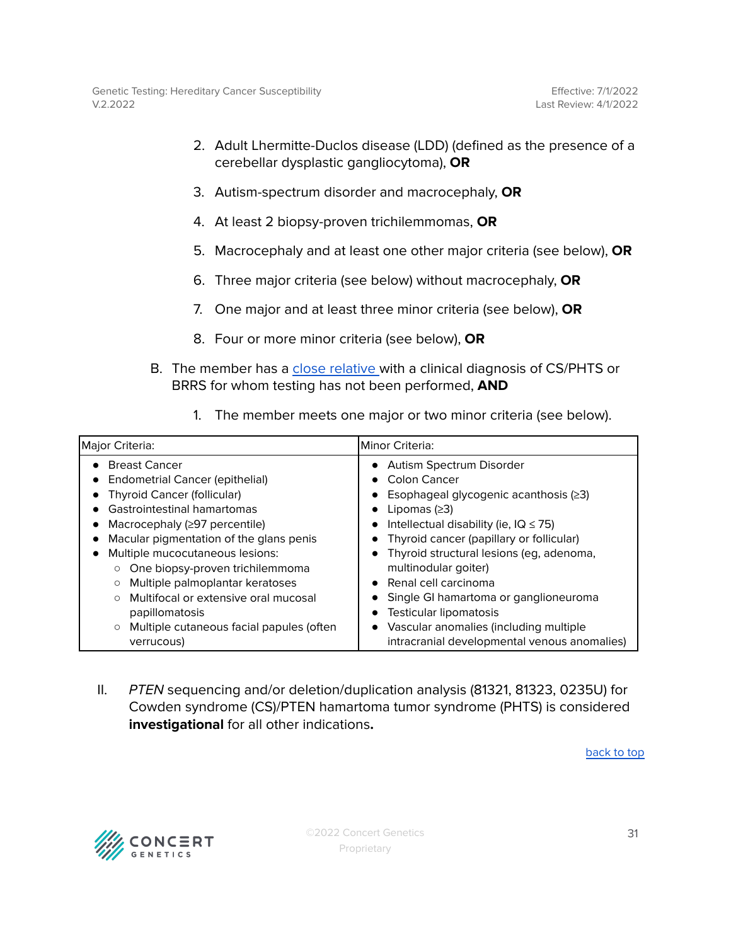- 2. Adult Lhermitte-Duclos disease (LDD) (defined as the presence of a cerebellar dysplastic gangliocytoma), **OR**
- 3. Autism-spectrum disorder and macrocephaly, **OR**
- 4. At least 2 biopsy-proven trichilemmomas, **OR**
- 5. Macrocephaly and at least one other major criteria (see below), **OR**
- 6. Three major criteria (see below) without macrocephaly, **OR**
- 7. One major and at least three minor criteria (see below), **OR**
- 8. Four or more minor criteria (see below), **OR**
- B. The member has a close [relative](#page-47-0) with a clinical diagnosis of CS/PHTS or BRRS for whom testing has not been performed, **AND**

| The member meets one major or two minor criteria (see below).                                                                                                                                                                                                                                                                                    |                                                                                                                                                                                                                                                                                                                                                             |  |  |  |
|--------------------------------------------------------------------------------------------------------------------------------------------------------------------------------------------------------------------------------------------------------------------------------------------------------------------------------------------------|-------------------------------------------------------------------------------------------------------------------------------------------------------------------------------------------------------------------------------------------------------------------------------------------------------------------------------------------------------------|--|--|--|
| Major Criteria:                                                                                                                                                                                                                                                                                                                                  | lMinor Criteria:                                                                                                                                                                                                                                                                                                                                            |  |  |  |
| <b>Breast Cancer</b><br><b>Endometrial Cancer (epithelial)</b><br><b>Thyroid Cancer (follicular)</b><br>Gastrointestinal hamartomas<br>Macrocephaly $(297$ percentile)<br>Macular pigmentation of the glans penis<br>Multiple mucocutaneous lesions:<br>One biopsy-proven trichilemmoma<br>$\circ$<br>Multiple palmoplantar keratoses<br>$\circ$ | Autism Spectrum Disorder<br>Colon Cancer<br>$\bullet$<br>Esophageal glycogenic acanthosis (≥3)<br>$\bullet$<br>Lipomas $(≥3)$<br>$\bullet$<br>Intellectual disability (ie, $IQ \leq 75$ )<br>$\bullet$<br>Thyroid cancer (papillary or follicular)<br>Thyroid structural lesions (eg, adenoma,<br>multinodular goiter)<br>Renal cell carcinoma<br>$\bullet$ |  |  |  |
| Multifocal or extensive oral mucosal                                                                                                                                                                                                                                                                                                             | Single GI hamartoma or ganglioneuroma                                                                                                                                                                                                                                                                                                                       |  |  |  |

II. PTEN sequencing and/or deletion/duplication analysis (81321, 81323, 0235U) for Cowden syndrome (CS)/PTEN hamartoma tumor syndrome (PHTS) is considered **investigational** for all other indications**.**

● Testicular lipomatosis

● Vascular anomalies (including multiple

intracranial developmental venous anomalies)

[back](#page-0-0) to top



papillomatosis

verrucous)

○ Multiple cutaneous facial papules (often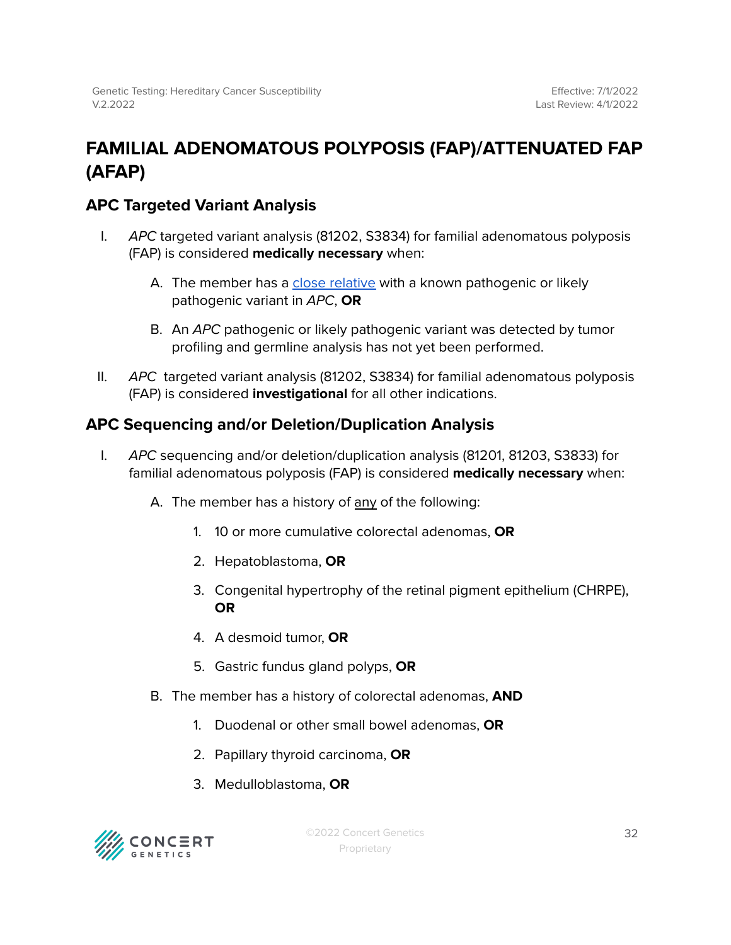# <span id="page-31-0"></span>**FAMILIAL ADENOMATOUS POLYPOSIS (FAP)/ATTENUATED FAP (AFAP)**

### <span id="page-31-1"></span>**APC Targeted Variant Analysis**

- I. APC targeted variant analysis (81202, S3834) for familial adenomatous polyposis (FAP) is considered **medically necessary** when:
	- A. The member has a close [relative](#page-47-0) with a known pathogenic or likely pathogenic variant in APC, **OR**
	- B. An APC pathogenic or likely pathogenic variant was detected by tumor profiling and germline analysis has not yet been performed.
- II. APC targeted variant analysis (81202, S3834) for familial adenomatous polyposis (FAP) is considered **investigational** for all other indications.

### <span id="page-31-2"></span>**APC Sequencing and/or Deletion/Duplication Analysis**

- I. APC sequencing and/or deletion/duplication analysis (81201, 81203, S3833) for familial adenomatous polyposis (FAP) is considered **medically necessary** when:
	- A. The member has a history of any of the following:
		- 1. 10 or more cumulative colorectal adenomas, **OR**
		- 2. Hepatoblastoma, **OR**
		- 3. Congenital hypertrophy of the retinal pigment epithelium (CHRPE), **OR**
		- 4. A desmoid tumor, **OR**
		- 5. Gastric fundus gland polyps, **OR**
	- B. The member has a history of colorectal adenomas, **AND**
		- 1. Duodenal or other small bowel adenomas, **OR**
		- 2. Papillary thyroid carcinoma, **OR**
		- 3. Medulloblastoma, **OR**



©2022 Concert Genetics Proprietary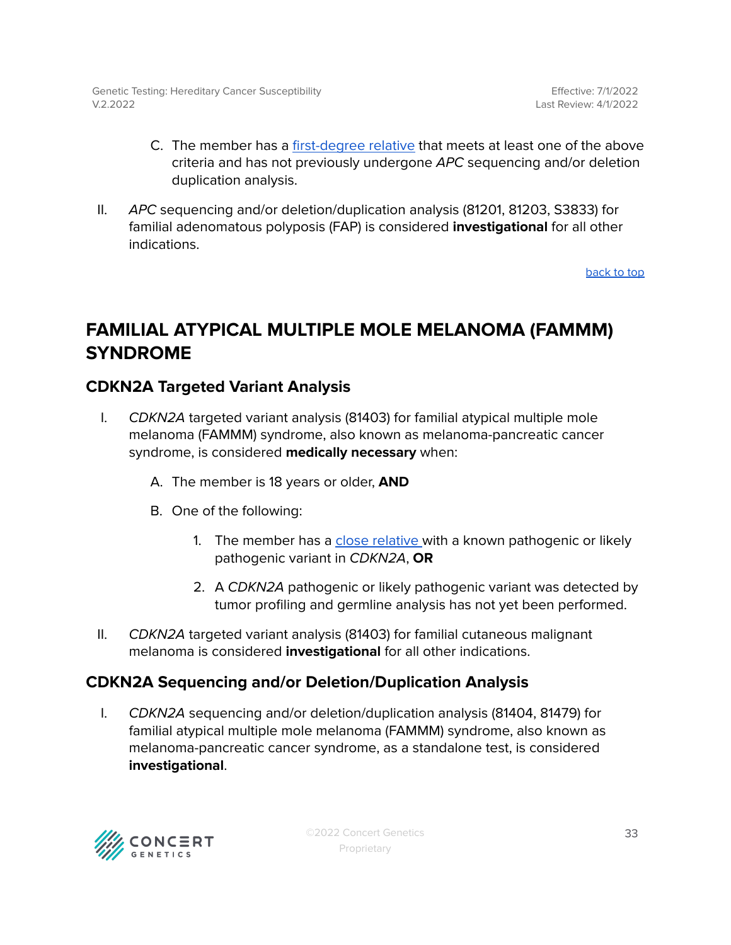- C. The member has a [first-degree](#page-47-0) relative that meets at least one of the above criteria and has not previously undergone APC sequencing and/or deletion duplication analysis.
- II. APC sequencing and/or deletion/duplication analysis (81201, 81203, S3833) for familial adenomatous polyposis (FAP) is considered **investigational** for all other indications.

## <span id="page-32-0"></span>**FAMILIAL ATYPICAL MULTIPLE MOLE MELANOMA (FAMMM) SYNDROME**

### <span id="page-32-1"></span>**CDKN2A Targeted Variant Analysis**

- I. CDKN2A targeted variant analysis (81403) for familial atypical multiple mole melanoma (FAMMM) syndrome, also known as melanoma-pancreatic cancer syndrome, is considered **medically necessary** when:
	- A. The member is 18 years or older, **AND**
	- B. One of the following:
		- 1. The member has a close [relative](#page-47-0) with a known pathogenic or likely pathogenic variant in CDKN2A, **OR**
		- 2. A CDKN2A pathogenic or likely pathogenic variant was detected by tumor profiling and germline analysis has not yet been performed.
- II. CDKN2A targeted variant analysis (81403) for familial cutaneous malignant melanoma is considered **investigational** for all other indications.

### <span id="page-32-2"></span>**CDKN2A Sequencing and/or Deletion/Duplication Analysis**

I. CDKN2A sequencing and/or deletion/duplication analysis (81404, 81479) for familial atypical multiple mole melanoma (FAMMM) syndrome, also known as melanoma-pancreatic cancer syndrome, as a standalone test, is considered **investigational**.

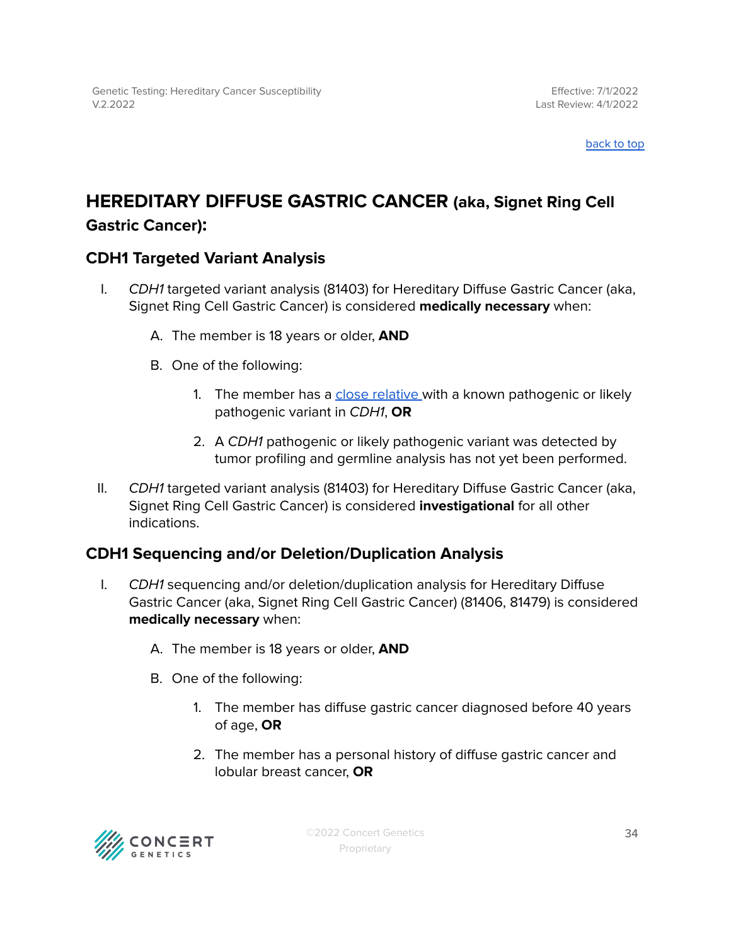### <span id="page-33-0"></span>**HEREDITARY DIFFUSE GASTRIC CANCER (aka, Signet Ring Cell Gastric Cancer):**

### <span id="page-33-1"></span>**CDH1 Targeted Variant Analysis**

- I. CDH1 targeted variant analysis (81403) for Hereditary Diffuse Gastric Cancer (aka, Signet Ring Cell Gastric Cancer) is considered **medically necessary** when:
	- A. The member is 18 years or older, **AND**
	- B. One of the following:
		- 1. The member has a close [relative](#page-47-0) with a known pathogenic or likely pathogenic variant in CDH1, **OR**
		- 2. A CDH1 pathogenic or likely pathogenic variant was detected by tumor profiling and germline analysis has not yet been performed.
- II. CDH1 targeted variant analysis (81403) for Hereditary Diffuse Gastric Cancer (aka, Signet Ring Cell Gastric Cancer) is considered **investigational** for all other indications.

### <span id="page-33-2"></span>**CDH1 Sequencing and/or Deletion/Duplication Analysis**

- I. CDH1 sequencing and/or deletion/duplication analysis for Hereditary Diffuse Gastric Cancer (aka, Signet Ring Cell Gastric Cancer) (81406, 81479) is considered **medically necessary** when:
	- A. The member is 18 years or older, **AND**
	- B. One of the following:
		- 1. The member has diffuse gastric cancer diagnosed before 40 years of age, **OR**
		- 2. The member has a personal history of diffuse gastric cancer and lobular breast cancer, **OR**

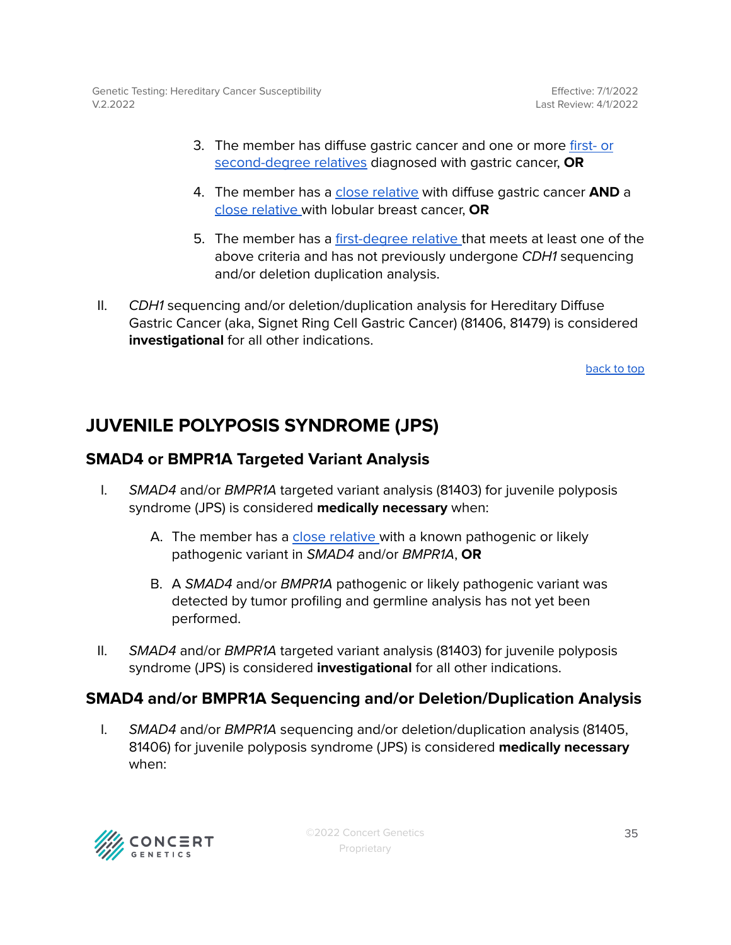Genetic Testing: Hereditary Cancer Susceptibility V.2.2022

- 3. The member has diffuse gastric cancer and one or more [first-](#page-47-0) or [second-degree](#page-47-0) relatives diagnosed with gastric cancer, **OR**
- 4. The member has a close [relative](#page-47-0) with diffuse gastric cancer **AND** a close [relative](#page-47-0) with lobular breast cancer, **OR**
- 5. The member has a [first-degree](#page-47-0) relative that meets at least one of the above criteria and has not previously undergone CDH1 sequencing and/or deletion duplication analysis.
- II. CDH1 sequencing and/or deletion/duplication analysis for Hereditary Diffuse Gastric Cancer (aka, Signet Ring Cell Gastric Cancer) (81406, 81479) is considered **investigational** for all other indications.

[back](#page-0-0) to top

### <span id="page-34-0"></span>**JUVENILE POLYPOSIS SYNDROME (JPS)**

### <span id="page-34-1"></span>**SMAD4 or BMPR1A Targeted Variant Analysis**

- I. SMAD4 and/or BMPR1A targeted variant analysis (81403) for juvenile polyposis syndrome (JPS) is considered **medically necessary** when:
	- A. The member has a close [relative](#page-47-0) with a known pathogenic or likely pathogenic variant in SMAD4 and/or BMPR1A, **OR**
	- B. A SMAD4 and/or BMPR1A pathogenic or likely pathogenic variant was detected by tumor profiling and germline analysis has not yet been performed.
- II. SMAD4 and/or BMPR1A targeted variant analysis (81403) for juvenile polyposis syndrome (JPS) is considered **investigational** for all other indications.

### <span id="page-34-2"></span>**SMAD4 and/or BMPR1A Sequencing and/or Deletion/Duplication Analysis**

I. SMAD4 and/or BMPR1A sequencing and/or deletion/duplication analysis (81405, 81406) for juvenile polyposis syndrome (JPS) is considered **medically necessary** when:

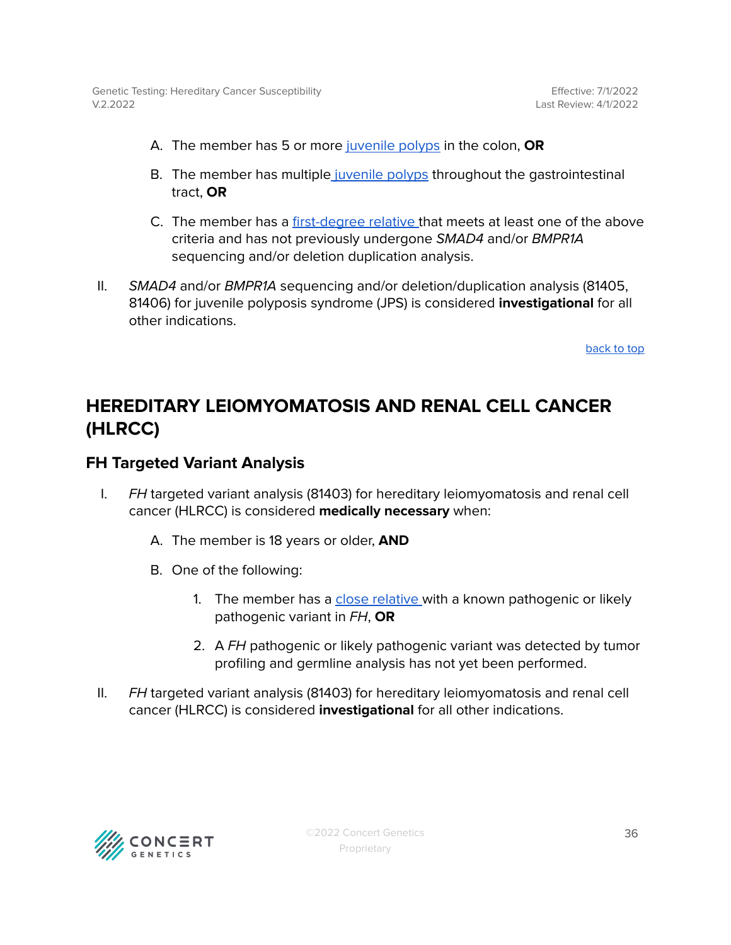- A. The member has 5 or more [juvenile](#page-47-0) polyps in the colon, **OR**
- B. The member has multiple [juvenile](#page-47-0) polyps throughout the gastrointestinal tract, **OR**
- C. The member has a [first-degree](#page-47-0) relative that meets at least one of the above criteria and has not previously undergone SMAD4 and/or BMPR1A sequencing and/or deletion duplication analysis.
- II. SMAD4 and/or BMPR1A sequencing and/or deletion/duplication analysis (81405, 81406) for juvenile polyposis syndrome (JPS) is considered **investigational** for all other indications.

# <span id="page-35-0"></span>**HEREDITARY LEIOMYOMATOSIS AND RENAL CELL CANCER (HLRCC)**

### <span id="page-35-1"></span>**FH Targeted Variant Analysis**

- I. FH targeted variant analysis (81403) for hereditary leiomyomatosis and renal cell cancer (HLRCC) is considered **medically necessary** when:
	- A. The member is 18 years or older, **AND**
	- B. One of the following:
		- 1. The member has a close [relative](#page-47-0) with a known pathogenic or likely pathogenic variant in FH, **OR**
		- 2. A FH pathogenic or likely pathogenic variant was detected by tumor profiling and germline analysis has not yet been performed.
- II. FH targeted variant analysis (81403) for hereditary leiomyomatosis and renal cell cancer (HLRCC) is considered **investigational** for all other indications.

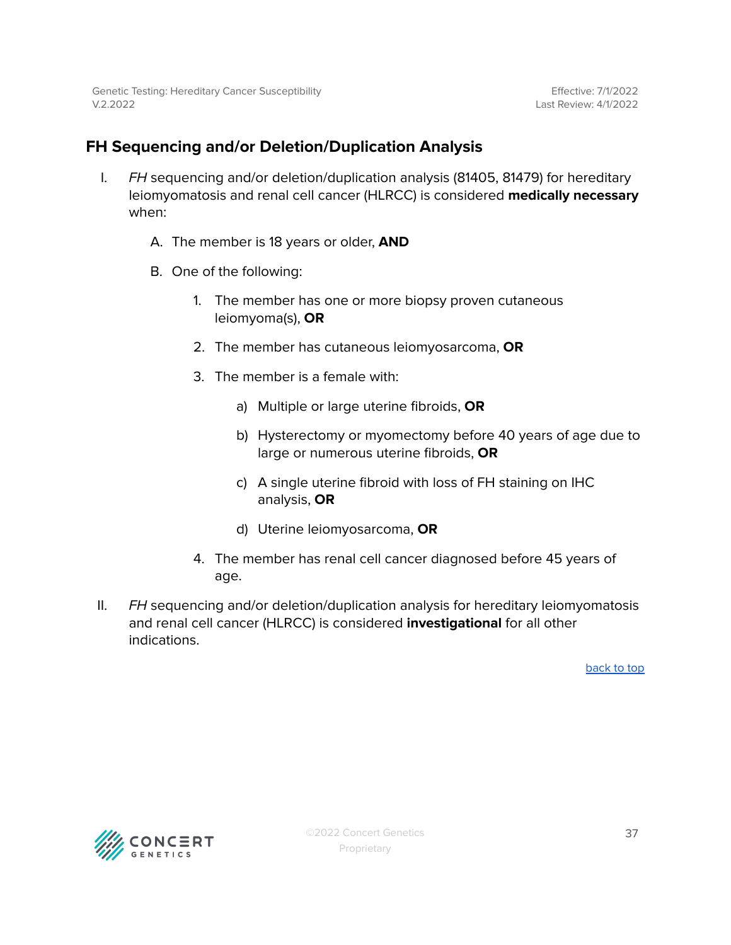### <span id="page-36-0"></span>**FH Sequencing and/or Deletion/Duplication Analysis**

- I. FH sequencing and/or deletion/duplication analysis (81405, 81479) for hereditary leiomyomatosis and renal cell cancer (HLRCC) is considered **medically necessary** when:
	- A. The member is 18 years or older, **AND**
	- B. One of the following:
		- 1. The member has one or more biopsy proven cutaneous leiomyoma(s), **OR**
		- 2. The member has cutaneous leiomyosarcoma, **OR**
		- 3. The member is a female with:
			- a) Multiple or large uterine fibroids, **OR**
			- b) Hysterectomy or myomectomy before 40 years of age due to large or numerous uterine fibroids, **OR**
			- c) A single uterine fibroid with loss of FH staining on IHC analysis, **OR**
			- d) Uterine leiomyosarcoma, **OR**
		- 4. The member has renal cell cancer diagnosed before 45 years of age.
- II. FH sequencing and/or deletion/duplication analysis for hereditary leiomyomatosis and renal cell cancer (HLRCC) is considered **investigational** for all other indications.

[back](#page-0-0) to top

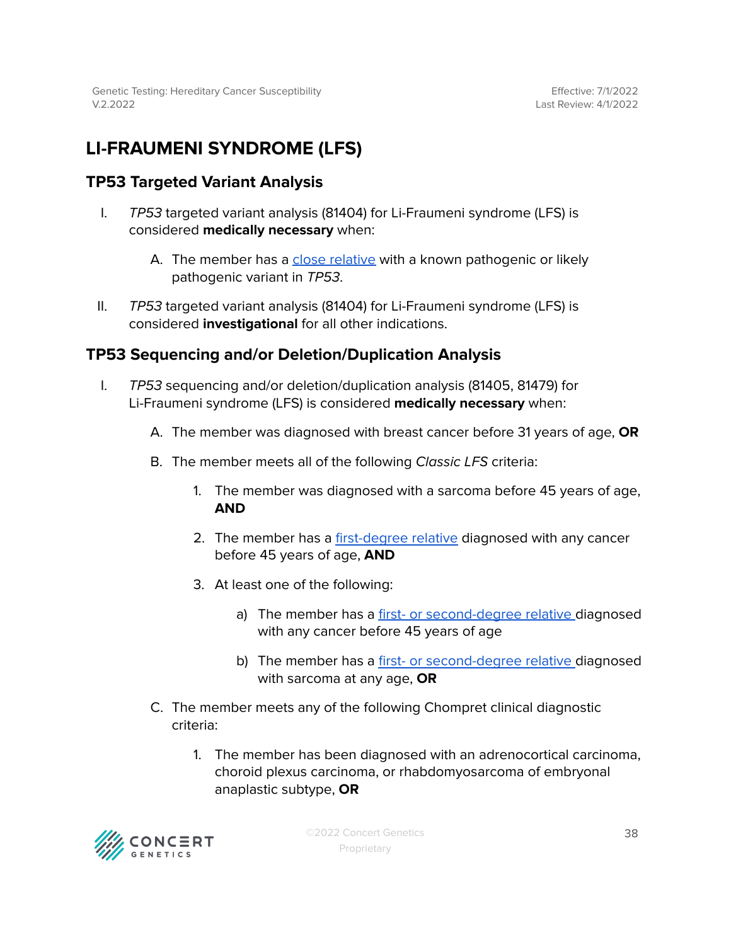# <span id="page-37-0"></span>**LI-FRAUMENI SYNDROME (LFS)**

### <span id="page-37-1"></span>**TP53 Targeted Variant Analysis**

- I. TP53 targeted variant analysis (81404) for Li-Fraumeni syndrome (LFS) is considered **medically necessary** when:
	- A. The member has a close [relative](#page-47-0) with a known pathogenic or likely pathogenic variant in TP53.
- II. TP53 targeted variant analysis (81404) for Li-Fraumeni syndrome (LFS) is considered **investigational** for all other indications.

### <span id="page-37-2"></span>**TP53 Sequencing and/or Deletion/Duplication Analysis**

- I. TP53 sequencing and/or deletion/duplication analysis (81405, 81479) for Li-Fraumeni syndrome (LFS) is considered **medically necessary** when:
	- A. The member was diagnosed with breast cancer before 31 years of age, **OR**
	- B. The member meets all of the following Classic LFS criteria:
		- 1. The member was diagnosed with a sarcoma before 45 years of age, **AND**
		- 2. The member has a [first-degree](#page-47-0) relative diagnosed with any cancer before 45 years of age, **AND**
		- 3. At least one of the following:
			- a) The member has a first- or [second-degree](#page-47-0) relative diagnosed with any cancer before 45 years of age
			- b) The member has a first- or [second-degree](#page-47-0) relative diagnosed with sarcoma at any age, **OR**
	- C. The member meets any of the following Chompret clinical diagnostic criteria:
		- 1. The member has been diagnosed with an adrenocortical carcinoma, choroid plexus carcinoma, or rhabdomyosarcoma of embryonal anaplastic subtype, **OR**

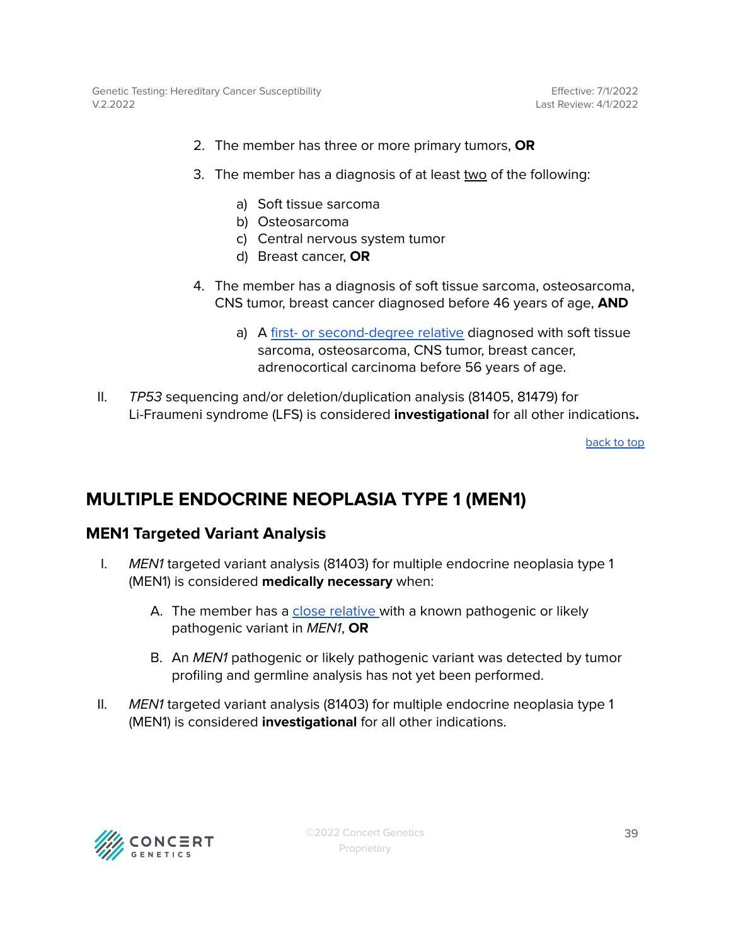Genetic Testing: Hereditary Cancer Susceptibility V.2.2022

- 2. The member has three or more primary tumors, **OR**
- 3. The member has a diagnosis of at least two of the following:
	- a) Soft tissue sarcoma
	- b) Osteosarcoma
	- c) Central nervous system tumor
	- d) Breast cancer, **OR**
- 4. The member has a diagnosis of soft tissue sarcoma, osteosarcoma, CNS tumor, breast cancer diagnosed before 46 years of age, **AND**
	- a) A first- or [second-degree](#page-47-0) relative diagnosed with soft tissue sarcoma, osteosarcoma, CNS tumor, breast cancer, adrenocortical carcinoma before 56 years of age.
- II. TP53 sequencing and/or deletion/duplication analysis (81405, 81479) for Li-Fraumeni syndrome (LFS) is considered **investigational** for all other indications**.**

[back](#page-0-0) to top

### <span id="page-38-0"></span>**MULTIPLE ENDOCRINE NEOPLASIA TYPE 1 (MEN1)**

### <span id="page-38-1"></span>**MEN1 Targeted Variant Analysis**

- I. MEN1 targeted variant analysis (81403) for multiple endocrine neoplasia type 1 (MEN1) is considered **medically necessary** when:
	- A. The member has a close [relative](#page-47-0) with a known pathogenic or likely pathogenic variant in MEN1, **OR**
	- B. An MEN1 pathogenic or likely pathogenic variant was detected by tumor profiling and germline analysis has not yet been performed.
- II. MEN1 targeted variant analysis (81403) for multiple endocrine neoplasia type 1 (MEN1) is considered **investigational** for all other indications.

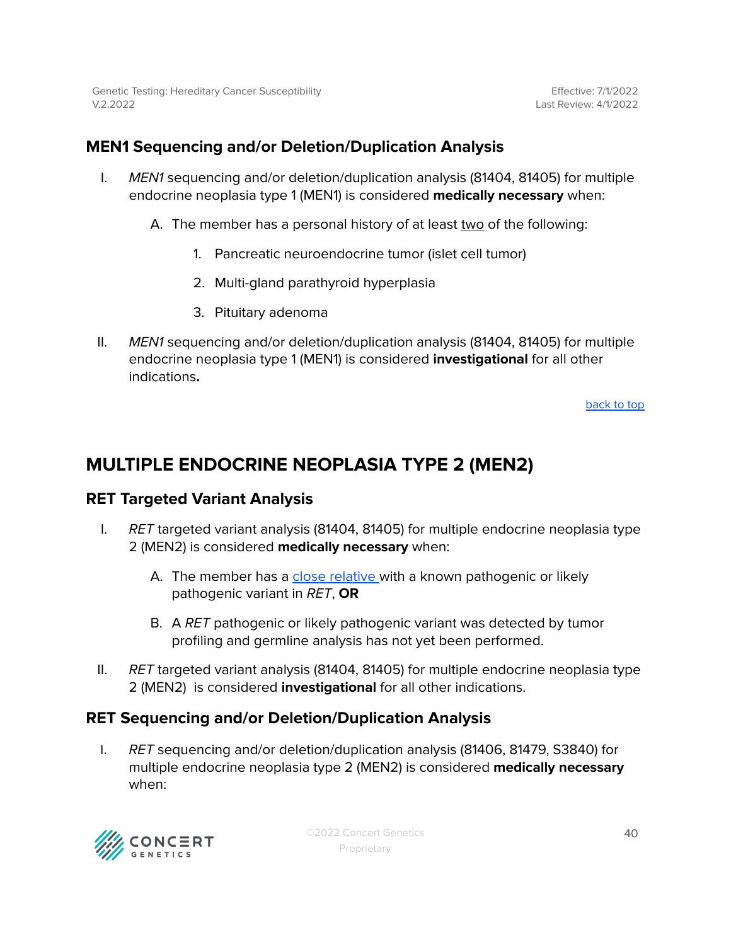### <span id="page-39-0"></span>**MEN1 Sequencing and/or Deletion/Duplication Analysis**

- I. MEN1 sequencing and/or deletion/duplication analysis (81404, 81405) for multiple endocrine neoplasia type 1 (MEN1) is considered **medically necessary** when:
	- A. The member has a personal history of at least two of the following:
		- 1. Pancreatic neuroendocrine tumor (islet cell tumor)
		- 2. Multi-gland parathyroid hyperplasia
		- 3. Pituitary adenoma
- II. MEN1 sequencing and/or deletion/duplication analysis (81404, 81405) for multiple endocrine neoplasia type 1 (MEN1) is considered **investigational** for all other indications**.**

[back](#page-0-0) to top

### <span id="page-39-1"></span>**MULTIPLE ENDOCRINE NEOPLASIA TYPE 2 (MEN2)**

### <span id="page-39-2"></span>**RET Targeted Variant Analysis**

- I. RET targeted variant analysis (81404, 81405) for multiple endocrine neoplasia type 2 (MEN2) is considered **medically necessary** when:
	- A. The member has a close [relative](#page-47-0) with a known pathogenic or likely pathogenic variant in RET, **OR**
	- B. A RET pathogenic or likely pathogenic variant was detected by tumor profiling and germline analysis has not yet been performed.
- II.  $RET$  targeted variant analysis (81404, 81405) for multiple endocrine neoplasia type 2 (MEN2) is considered **investigational** for all other indications.

### <span id="page-39-3"></span>**RET Sequencing and/or Deletion/Duplication Analysis**

I. RET sequencing and/or deletion/duplication analysis (81406, 81479, S3840) for multiple endocrine neoplasia type 2 (MEN2) is considered **medically necessary** when:

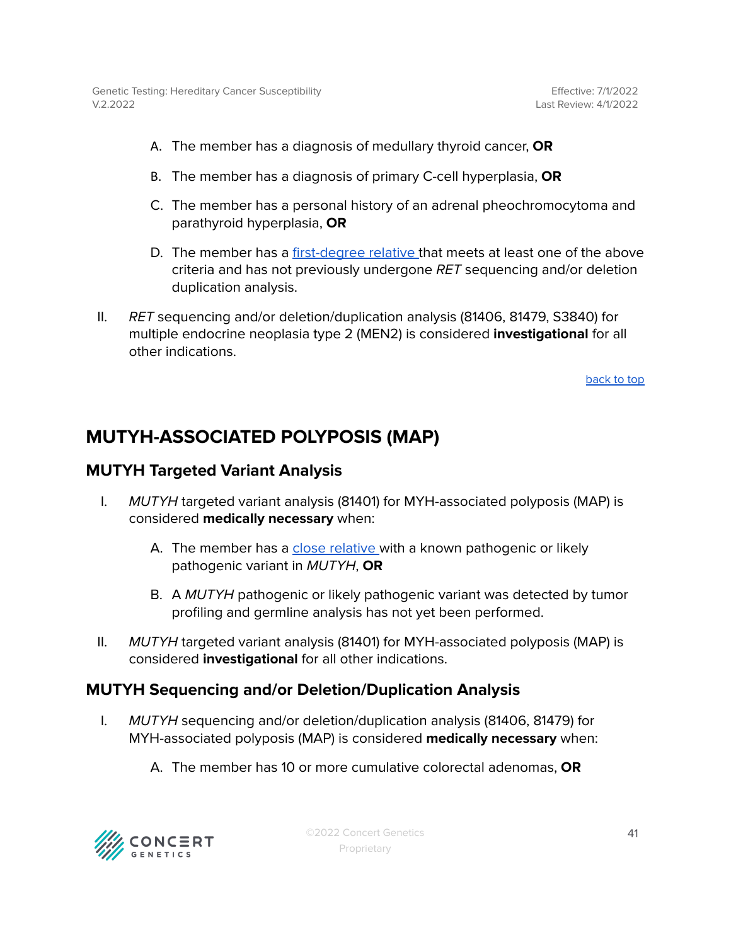- A. The member has a diagnosis of medullary thyroid cancer, **OR**
- B. The member has a diagnosis of primary C-cell hyperplasia, **OR**
- C. The member has a personal history of an adrenal pheochromocytoma and parathyroid hyperplasia, **OR**
- D. The member has a [first-degree](#page-47-0) relative that meets at least one of the above criteria and has not previously undergone RET sequencing and/or deletion duplication analysis.
- II. RET sequencing and/or deletion/duplication analysis (81406, 81479, S3840) for multiple endocrine neoplasia type 2 (MEN2) is considered **investigational** for all other indications.

## <span id="page-40-0"></span>**MUTYH-ASSOCIATED POLYPOSIS (MAP)**

### <span id="page-40-1"></span>**MUTYH Targeted Variant Analysis**

- I. MUTYH targeted variant analysis (81401) for MYH-associated polyposis (MAP) is considered **medically necessary** when:
	- A. The member has a close [relative](#page-47-0) with a known pathogenic or likely pathogenic variant in MUTYH, **OR**
	- B. A MUTYH pathogenic or likely pathogenic variant was detected by tumor profiling and germline analysis has not yet been performed.
- II. MUTYH targeted variant analysis (81401) for MYH-associated polyposis (MAP) is considered **investigational** for all other indications.

### <span id="page-40-2"></span>**MUTYH Sequencing and/or Deletion/Duplication Analysis**

- I. MUTYH sequencing and/or deletion/duplication analysis (81406, 81479) for MYH-associated polyposis (MAP) is considered **medically necessary** when:
	- A. The member has 10 or more cumulative colorectal adenomas, **OR**

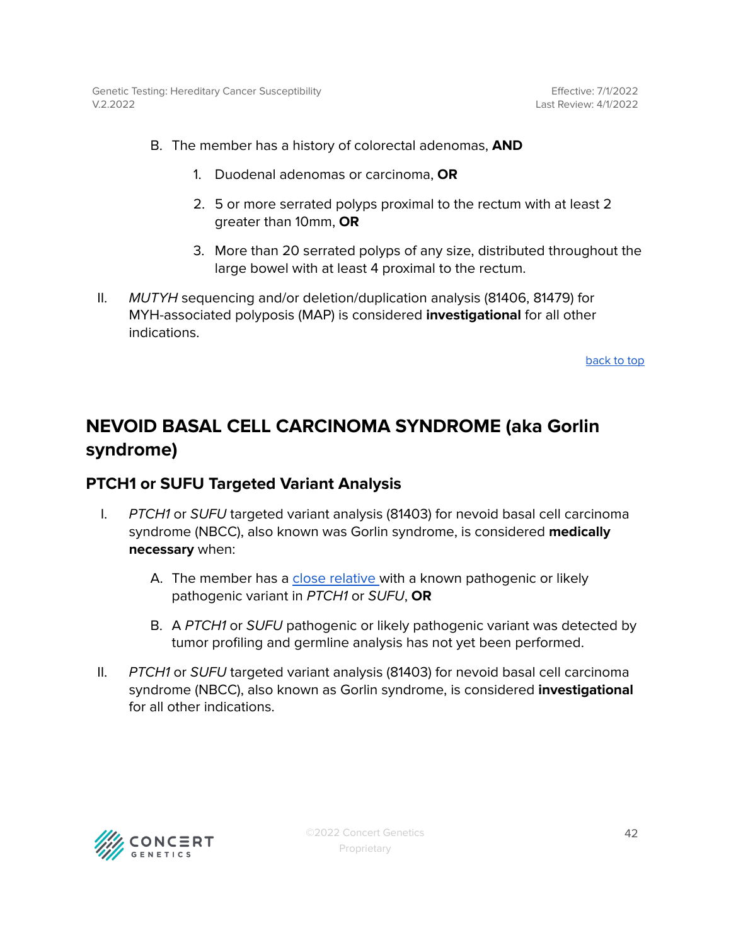- B. The member has a history of colorectal adenomas, **AND**
	- 1. Duodenal adenomas or carcinoma, **OR**
	- 2. 5 or more serrated polyps proximal to the rectum with at least 2 greater than 10mm, **OR**
	- 3. More than 20 serrated polyps of any size, distributed throughout the large bowel with at least 4 proximal to the rectum.
- II. MUTYH sequencing and/or deletion/duplication analysis (81406, 81479) for MYH-associated polyposis (MAP) is considered **investigational** for all other indications.

# <span id="page-41-0"></span>**NEVOID BASAL CELL CARCINOMA SYNDROME (aka Gorlin syndrome)**

### <span id="page-41-1"></span>**PTCH1 or SUFU Targeted Variant Analysis**

- I. PTCH1 or SUFU targeted variant analysis (81403) for nevoid basal cell carcinoma syndrome (NBCC), also known was Gorlin syndrome, is considered **medically necessary** when:
	- A. The member has a close [relative](#page-47-0) with a known pathogenic or likely pathogenic variant in PTCH1 or SUFU, **OR**
	- B. A PTCH1 or SUFU pathogenic or likely pathogenic variant was detected by tumor profiling and germline analysis has not yet been performed.
- II. PTCH1 or SUFU targeted variant analysis (81403) for nevoid basal cell carcinoma syndrome (NBCC), also known as Gorlin syndrome, is considered **investigational** for all other indications.

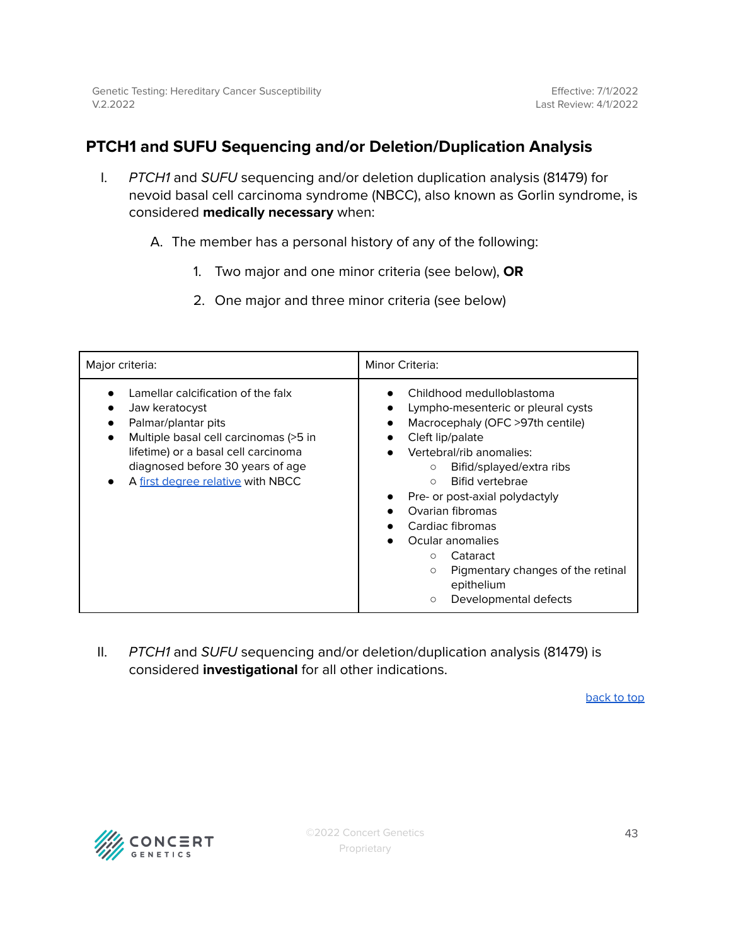### <span id="page-42-0"></span>**PTCH1 and SUFU Sequencing and/or Deletion/Duplication Analysis**

I. PTCH1 and SUFU sequencing and/or deletion duplication analysis (81479) for nevoid basal cell carcinoma syndrome (NBCC), also known as Gorlin syndrome, is considered **medically necessary** when:

A. The member has a personal history of any of the following:

- 1. Two major and one minor criteria (see below), **OR**
- 2. One major and three minor criteria (see below)

| Major criteria:                                                                                                                                                                                                                                   | Minor Criteria:                                                                                                                                                                                                                                                                                                                                                                                                                                                         |  |
|---------------------------------------------------------------------------------------------------------------------------------------------------------------------------------------------------------------------------------------------------|-------------------------------------------------------------------------------------------------------------------------------------------------------------------------------------------------------------------------------------------------------------------------------------------------------------------------------------------------------------------------------------------------------------------------------------------------------------------------|--|
| Lamellar calcification of the falx<br>Jaw keratocyst<br>Palmar/plantar pits<br>Multiple basal cell carcinomas (>5 in<br>$\bullet$<br>lifetime) or a basal cell carcinoma<br>diagnosed before 30 years of age<br>A first degree relative with NBCC | Childhood medulloblastoma<br>Lympho-mesenteric or pleural cysts<br>$\bullet$<br>Macrocephaly (OFC >97th centile)<br>$\bullet$<br>Cleft lip/palate<br>Vertebral/rib anomalies:<br>Bifid/splayed/extra ribs<br>$\circ$<br><b>Bifid vertebrae</b><br>$\bigcirc$<br>Pre- or post-axial polydactyly<br>Ovarian fibromas<br>Cardiac fibromas<br>Ocular anomalies<br>Cataract<br>O<br>Pigmentary changes of the retinal<br>$\circ$<br>epithelium<br>Developmental defects<br>O |  |

II. PTCH1 and SUFU sequencing and/or deletion/duplication analysis (81479) is considered **investigational** for all other indications.

[back](#page-0-0) to top

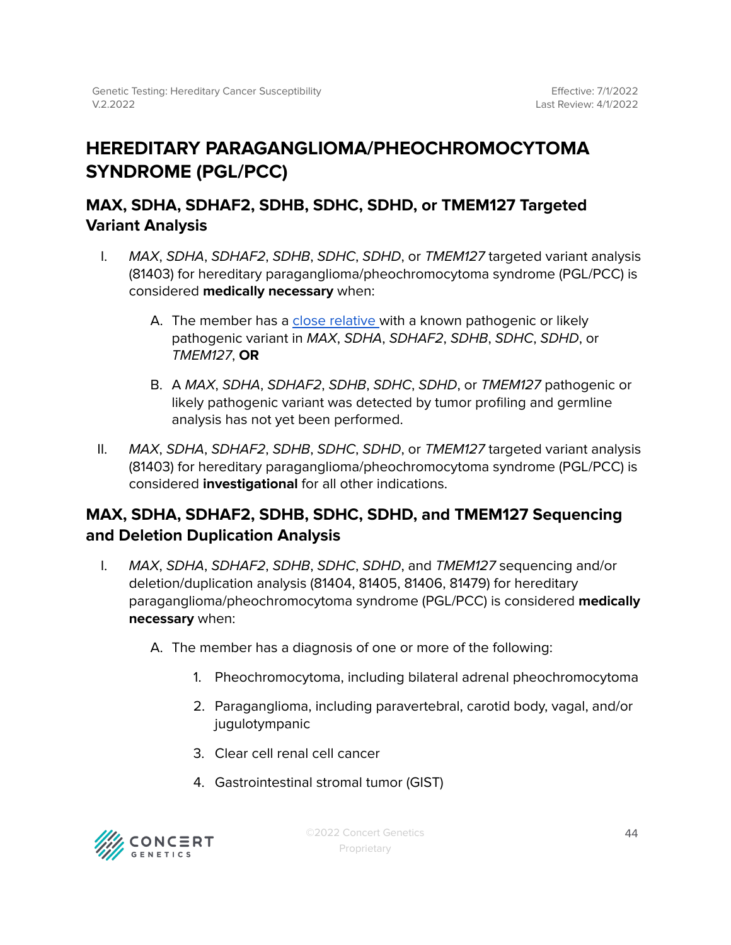# <span id="page-43-0"></span>**HEREDITARY PARAGANGLIOMA/PHEOCHROMOCYTOMA SYNDROME (PGL/PCC)**

### <span id="page-43-1"></span>**MAX, SDHA, SDHAF2, SDHB, SDHC, SDHD, or TMEM127 Targeted Variant Analysis**

- I. MAX, SDHA, SDHAF2, SDHB, SDHC, SDHD, or TMEM127 targeted variant analysis (81403) for hereditary paraganglioma/pheochromocytoma syndrome (PGL/PCC) is considered **medically necessary** when:
	- A. The member has a close [relative](#page-47-0) with a known pathogenic or likely pathogenic variant in MAX, SDHA, SDHAF2, SDHB, SDHC, SDHD, or TMEM127, **OR**
	- B. A MAX, SDHA, SDHAF2, SDHB, SDHC, SDHD, or TMEM127 pathogenic or likely pathogenic variant was detected by tumor profiling and germline analysis has not yet been performed.
- II. MAX, SDHA, SDHAF2, SDHB, SDHC, SDHD, or TMEM127 targeted variant analysis (81403) for hereditary paraganglioma/pheochromocytoma syndrome (PGL/PCC) is considered **investigational** for all other indications.

### <span id="page-43-2"></span>**MAX, SDHA, SDHAF2, SDHB, SDHC, SDHD, and TMEM127 Sequencing and Deletion Duplication Analysis**

- I. MAX, SDHA, SDHAF2, SDHB, SDHC, SDHD, and TMEM127 sequencing and/or deletion/duplication analysis (81404, 81405, 81406, 81479) for hereditary paraganglioma/pheochromocytoma syndrome (PGL/PCC) is considered **medically necessary** when:
	- A. The member has a diagnosis of one or more of the following:
		- 1. Pheochromocytoma, including bilateral adrenal pheochromocytoma
		- 2. Paraganglioma, including paravertebral, carotid body, vagal, and/or jugulotympanic
		- 3. Clear cell renal cell cancer
		- 4. Gastrointestinal stromal tumor (GIST)

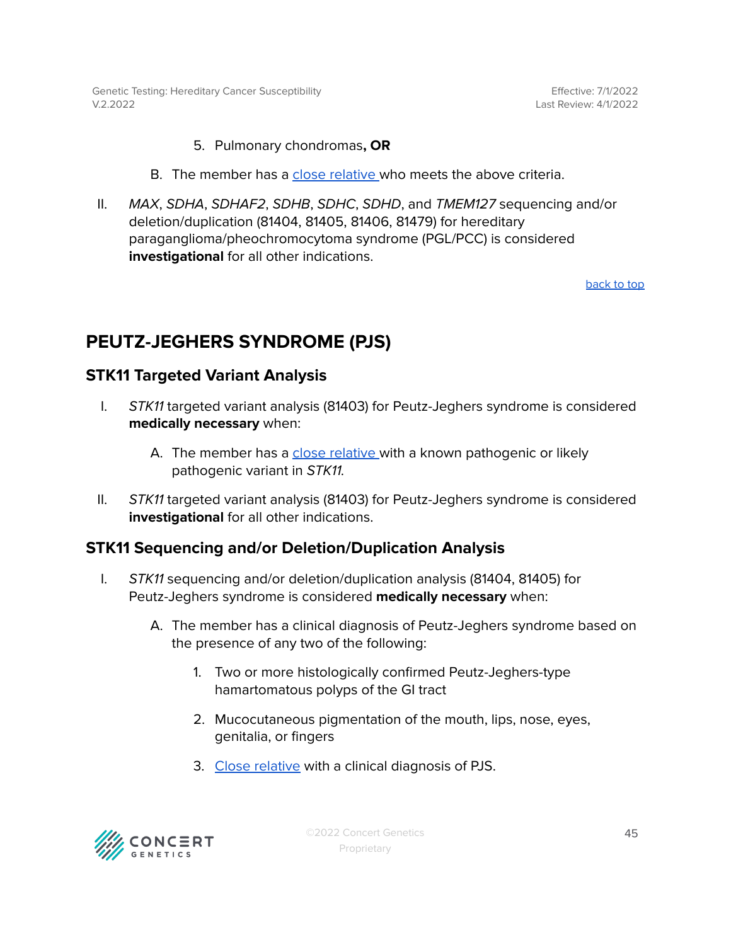Effective: 7/1/2022 Last Review: 4/1/2022

- 5. Pulmonary chondromas**, OR**
- B. The member has a close [relative](#page-47-0) who meets the above criteria.
- II. MAX, SDHA, SDHAF2, SDHB, SDHC, SDHD, and TMEM127 sequencing and/or deletion/duplication (81404, 81405, 81406, 81479) for hereditary paraganglioma/pheochromocytoma syndrome (PGL/PCC) is considered **investigational** for all other indications.

[back](#page-0-0) to top

### <span id="page-44-0"></span>**PEUTZ-JEGHERS SYNDROME (PJS)**

#### <span id="page-44-1"></span>**STK11 Targeted Variant Analysis**

- I. STK11 targeted variant analysis (81403) for Peutz-Jeghers syndrome is considered **medically necessary** when:
	- A. The member has a close [relative](#page-47-0) with a known pathogenic or likely pathogenic variant in STK11.
- II. STK11 targeted variant analysis (81403) for Peutz-Jeghers syndrome is considered **investigational** for all other indications.

### <span id="page-44-2"></span>**STK11 Sequencing and/or Deletion/Duplication Analysis**

- I. STK11 sequencing and/or deletion/duplication analysis (81404, 81405) for Peutz-Jeghers syndrome is considered **medically necessary** when:
	- A. The member has a clinical diagnosis of Peutz-Jeghers syndrome based on the presence of any two of the following:
		- 1. Two or more histologically confirmed Peutz-Jeghers-type hamartomatous polyps of the GI tract
		- 2. Mucocutaneous pigmentation of the mouth, lips, nose, eyes, genitalia, or fingers
		- 3. Close [relative](#page-47-0) with a clinical diagnosis of PJS.

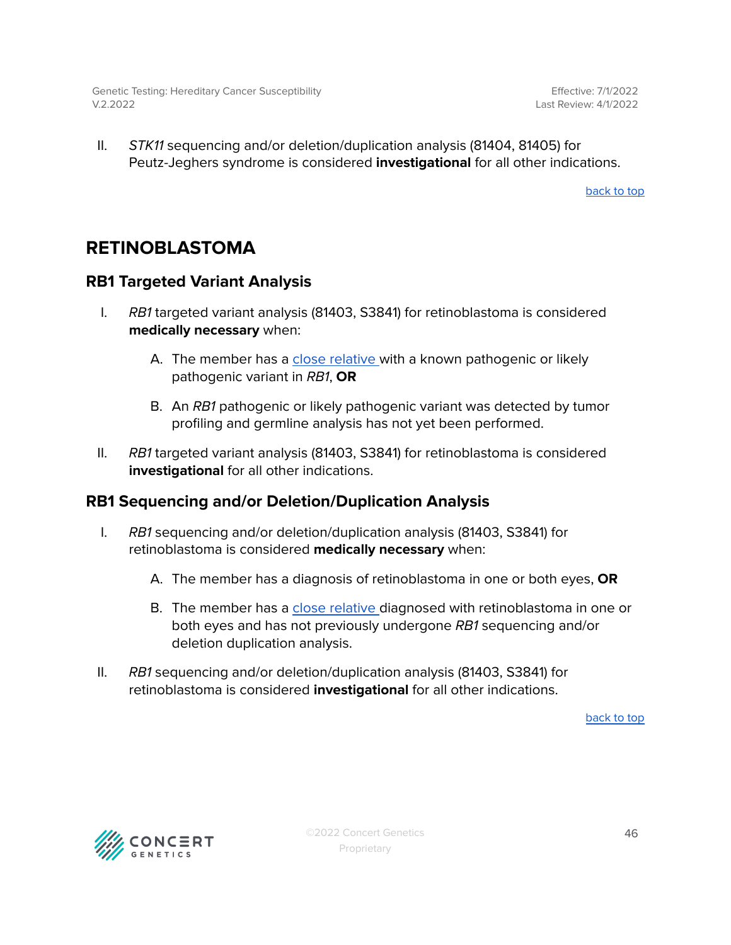II. STK11 sequencing and/or deletion/duplication analysis (81404, 81405) for Peutz-Jeghers syndrome is considered **investigational** for all other indications.

[back](#page-0-0) to top

## <span id="page-45-0"></span>**RETINOBLASTOMA**

### <span id="page-45-1"></span>**RB1 Targeted Variant Analysis**

- I. RB1 targeted variant analysis (81403, S3841) for retinoblastoma is considered **medically necessary** when:
	- A. The member has a close [relative](#page-47-0) with a known pathogenic or likely pathogenic variant in RB1, **OR**
	- B. An RB1 pathogenic or likely pathogenic variant was detected by tumor profiling and germline analysis has not yet been performed.
- II. RB1 targeted variant analysis (81403, S3841) for retinoblastoma is considered **investigational** for all other indications.

### <span id="page-45-2"></span>**RB1 Sequencing and/or Deletion/Duplication Analysis**

- I. RB1 sequencing and/or deletion/duplication analysis (81403, S3841) for retinoblastoma is considered **medically necessary** when:
	- A. The member has a diagnosis of retinoblastoma in one or both eyes, **OR**
	- B. The member has a close [relative](#page-47-0) diagnosed with retinoblastoma in one or both eyes and has not previously undergone RB1 sequencing and/or deletion duplication analysis.
- II. RB1 sequencing and/or deletion/duplication analysis (81403, S3841) for retinoblastoma is considered **investigational** for all other indications.

[back](#page-0-0) to top

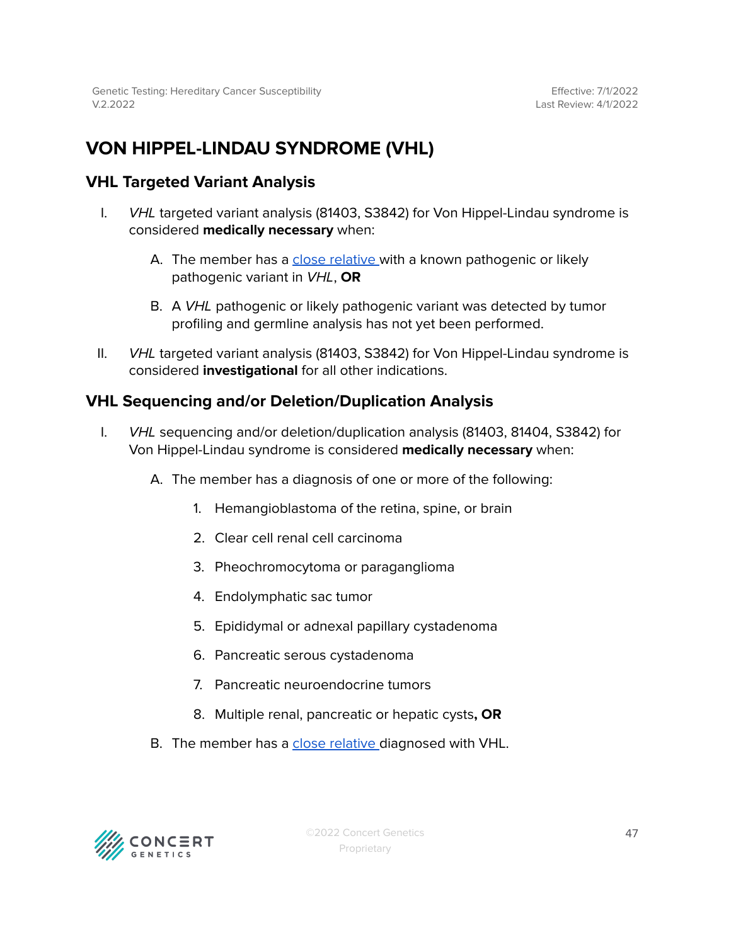# <span id="page-46-0"></span>**VON HIPPEL-LINDAU SYNDROME (VHL)**

### <span id="page-46-1"></span>**VHL Targeted Variant Analysis**

- I. *VHL* targeted variant analysis (81403, S3842) for Von Hippel-Lindau syndrome is considered **medically necessary** when:
	- A. The member has a close [relative](#page-47-0) with a known pathogenic or likely pathogenic variant in VHL, **OR**
	- B. A VHL pathogenic or likely pathogenic variant was detected by tumor profiling and germline analysis has not yet been performed.
- II. *VHL* targeted variant analysis (81403, S3842) for Von Hippel-Lindau syndrome is considered **investigational** for all other indications.

### <span id="page-46-2"></span>**VHL Sequencing and/or Deletion/Duplication Analysis**

- I. VHL sequencing and/or deletion/duplication analysis (81403, 81404, S3842) for Von Hippel-Lindau syndrome is considered **medically necessary** when:
	- A. The member has a diagnosis of one or more of the following:
		- 1. Hemangioblastoma of the retina, spine, or brain
		- 2. Clear cell renal cell carcinoma
		- 3. Pheochromocytoma or paraganglioma
		- 4. Endolymphatic sac tumor
		- 5. Epididymal or adnexal papillary cystadenoma
		- 6. Pancreatic serous cystadenoma
		- 7. Pancreatic neuroendocrine tumors
		- 8. Multiple renal, pancreatic or hepatic cysts**, OR**
	- B. The member has a close [relative](#page-47-0) diagnosed with VHL.

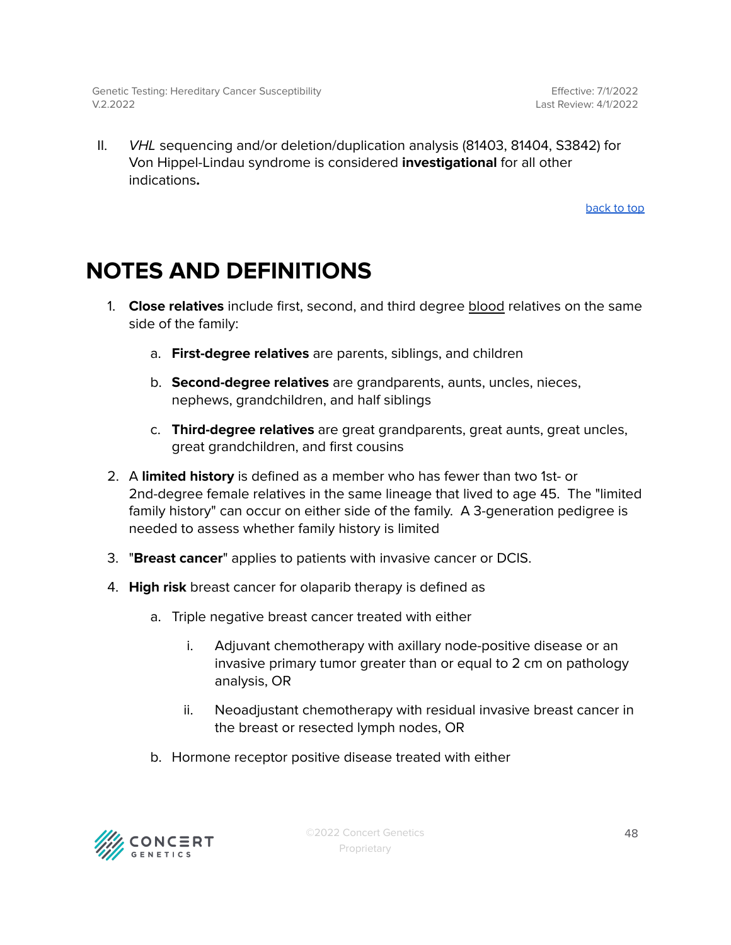II. VHL sequencing and/or deletion/duplication analysis (81403, 81404, S3842) for Von Hippel-Lindau syndrome is considered **investigational** for all other indications**.**

[back](#page-0-0) to top

# <span id="page-47-0"></span>**NOTES AND DEFINITIONS**

- 1. **Close relatives** include first, second, and third degree blood relatives on the same side of the family:
	- a. **First-degree relatives** are parents, siblings, and children
	- b. **Second-degree relatives** are grandparents, aunts, uncles, nieces, nephews, grandchildren, and half siblings
	- c. **Third-degree relatives** are great grandparents, great aunts, great uncles, great grandchildren, and first cousins
- 2. A **limited history** is defined as a member who has fewer than two 1st- or 2nd-degree female relatives in the same lineage that lived to age 45. The "limited family history" can occur on either side of the family. A 3-generation pedigree is needed to assess whether family history is limited
- 3. "**Breast cancer**" applies to patients with invasive cancer or DCIS.
- 4. **High risk** breast cancer for olaparib therapy is defined as
	- a. Triple negative breast cancer treated with either
		- i. Adjuvant chemotherapy with axillary node-positive disease or an invasive primary tumor greater than or equal to 2 cm on pathology analysis, OR
		- ii. Neoadjustant chemotherapy with residual invasive breast cancer in the breast or resected lymph nodes, OR
	- b. Hormone receptor positive disease treated with either

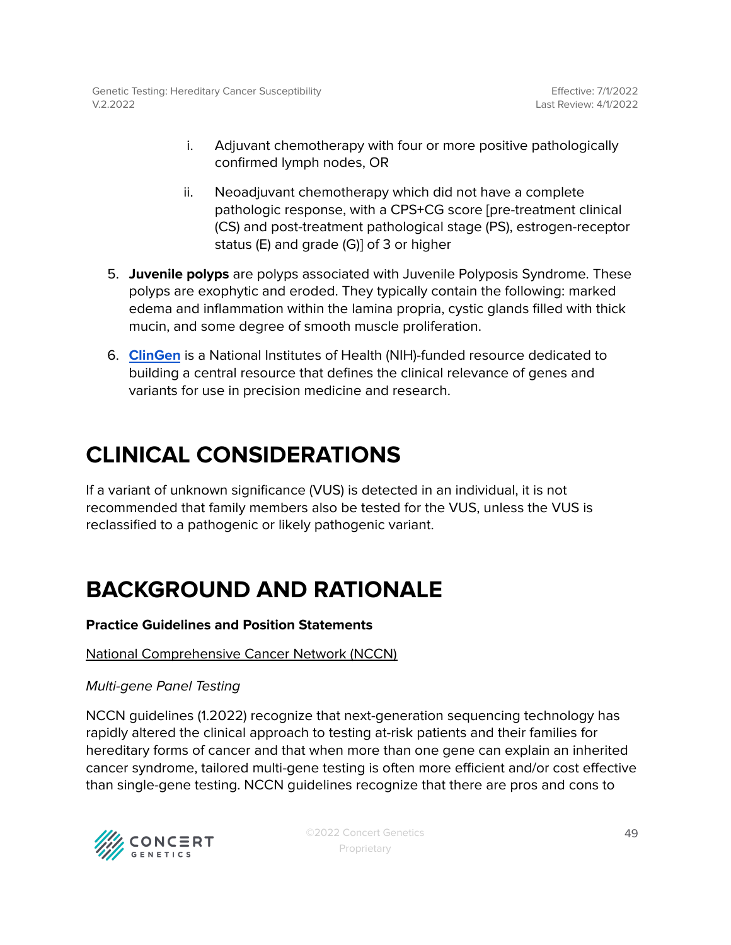- i. Adjuvant chemotherapy with four or more positive pathologically confirmed lymph nodes, OR
- ii. Neoadjuvant chemotherapy which did not have a complete pathologic response, with a CPS+CG score [pre-treatment clinical (CS) and post-treatment pathological stage (PS), estrogen-receptor status (E) and grade (G)] of 3 or higher
- 5. **Juvenile polyps** are polyps associated with Juvenile Polyposis Syndrome. These polyps are exophytic and eroded. They typically contain the following: marked edema and inflammation within the lamina propria, cystic glands filled with thick mucin, and some degree of smooth muscle proliferation.
- 6. **[ClinGen](https://clinicalgenome.org/)** is a National Institutes of Health (NIH)-funded resource dedicated to building a central resource that defines the clinical relevance of genes and variants for use in precision medicine and research.

# **CLINICAL CONSIDERATIONS**

If a variant of unknown significance (VUS) is detected in an individual, it is not recommended that family members also be tested for the VUS, unless the VUS is reclassified to a pathogenic or likely pathogenic variant.

# **BACKGROUND AND RATIONALE**

### **Practice Guidelines and Position Statements**

### National Comprehensive Cancer Network (NCCN)

### Multi-gene Panel Testing

NCCN guidelines (1.2022) recognize that next-generation sequencing technology has rapidly altered the clinical approach to testing at-risk patients and their families for hereditary forms of cancer and that when more than one gene can explain an inherited cancer syndrome, tailored multi-gene testing is often more efficient and/or cost effective than single-gene testing. NCCN guidelines recognize that there are pros and cons to

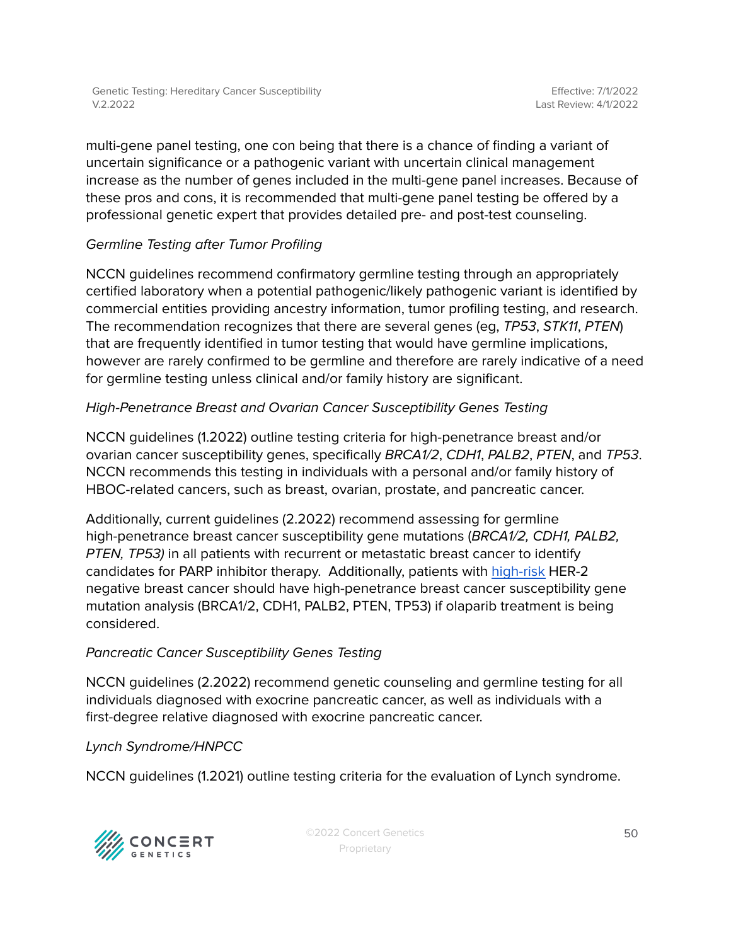Genetic Testing: Hereditary Cancer Susceptibility V.2.2022

multi-gene panel testing, one con being that there is a chance of finding a variant of uncertain significance or a pathogenic variant with uncertain clinical management increase as the number of genes included in the multi-gene panel increases. Because of these pros and cons, it is recommended that multi-gene panel testing be offered by a professional genetic expert that provides detailed pre- and post-test counseling.

### Germline Testing after Tumor Profiling

NCCN guidelines recommend confirmatory germline testing through an appropriately certified laboratory when a potential pathogenic/likely pathogenic variant is identified by commercial entities providing ancestry information, tumor profiling testing, and research. The recommendation recognizes that there are several genes (eg, TP53, STK11, PTEN) that are frequently identified in tumor testing that would have germline implications, however are rarely confirmed to be germline and therefore are rarely indicative of a need for germline testing unless clinical and/or family history are significant.

### High-Penetrance Breast and Ovarian Cancer Susceptibility Genes Testing

NCCN guidelines (1.2022) outline testing criteria for high-penetrance breast and/or ovarian cancer susceptibility genes, specifically BRCA1/2, CDH1, PALB2, PTEN, and TP53. NCCN recommends this testing in individuals with a personal and/or family history of HBOC-related cancers, such as breast, ovarian, prostate, and pancreatic cancer.

Additionally, current guidelines (2.2022) recommend assessing for germline high-penetrance breast cancer susceptibility gene mutations (BRCA1/2, CDH1, PALB2, PTEN, TP53) in all patients with recurrent or metastatic breast cancer to identify candidates for PARP inhibitor therapy. Additionally, patients with [high-risk](#page-47-0) HER-2 negative breast cancer should have high-penetrance breast cancer susceptibility gene mutation analysis (BRCA1/2, CDH1, PALB2, PTEN, TP53) if olaparib treatment is being considered.

### Pancreatic Cancer Susceptibility Genes Testing

NCCN guidelines (2.2022) recommend genetic counseling and germline testing for all individuals diagnosed with exocrine pancreatic cancer, as well as individuals with a first-degree relative diagnosed with exocrine pancreatic cancer.

### Lynch Syndrome/HNPCC

NCCN guidelines (1.2021) outline testing criteria for the evaluation of Lynch syndrome.

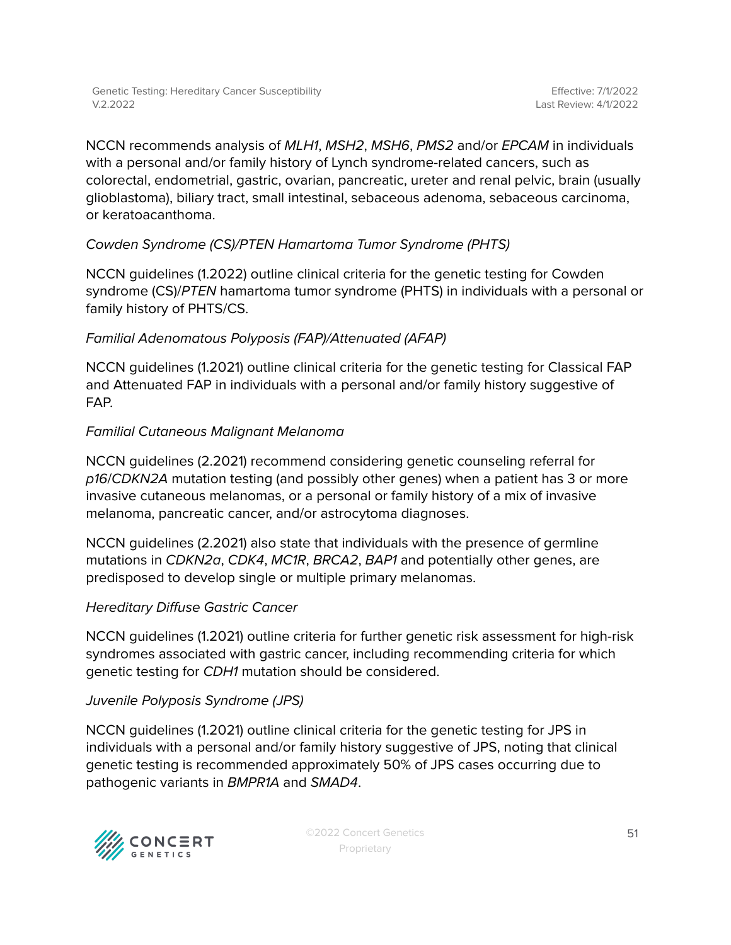NCCN recommends analysis of MLH1, MSH2, MSH6, PMS2 and/or EPCAM in individuals with a personal and/or family history of Lynch syndrome-related cancers, such as colorectal, endometrial, gastric, ovarian, pancreatic, ureter and renal pelvic, brain (usually glioblastoma), biliary tract, small intestinal, sebaceous adenoma, sebaceous carcinoma, or keratoacanthoma.

### Cowden Syndrome (CS)/PTEN Hamartoma Tumor Syndrome (PHTS)

NCCN guidelines (1.2022) outline clinical criteria for the genetic testing for Cowden syndrome (CS)/PTEN hamartoma tumor syndrome (PHTS) in individuals with a personal or family history of PHTS/CS.

### Familial Adenomatous Polyposis (FAP)/Attenuated (AFAP)

NCCN guidelines (1.2021) outline clinical criteria for the genetic testing for Classical FAP and Attenuated FAP in individuals with a personal and/or family history suggestive of FAP.

### Familial Cutaneous Malignant Melanoma

NCCN guidelines (2.2021) recommend considering genetic counseling referral for p16/CDKN2A mutation testing (and possibly other genes) when a patient has 3 or more invasive cutaneous melanomas, or a personal or family history of a mix of invasive melanoma, pancreatic cancer, and/or astrocytoma diagnoses.

NCCN guidelines (2.2021) also state that individuals with the presence of germline mutations in CDKN2a, CDK4, MC1R, BRCA2, BAP1 and potentially other genes, are predisposed to develop single or multiple primary melanomas.

### Hereditary Diffuse Gastric Cancer

NCCN guidelines (1.2021) outline criteria for further genetic risk assessment for high-risk syndromes associated with gastric cancer, including recommending criteria for which genetic testing for CDH1 mutation should be considered.

### Juvenile Polyposis Syndrome (JPS)

NCCN guidelines (1.2021) outline clinical criteria for the genetic testing for JPS in individuals with a personal and/or family history suggestive of JPS, noting that clinical genetic testing is recommended approximately 50% of JPS cases occurring due to pathogenic variants in BMPR1A and SMAD4.

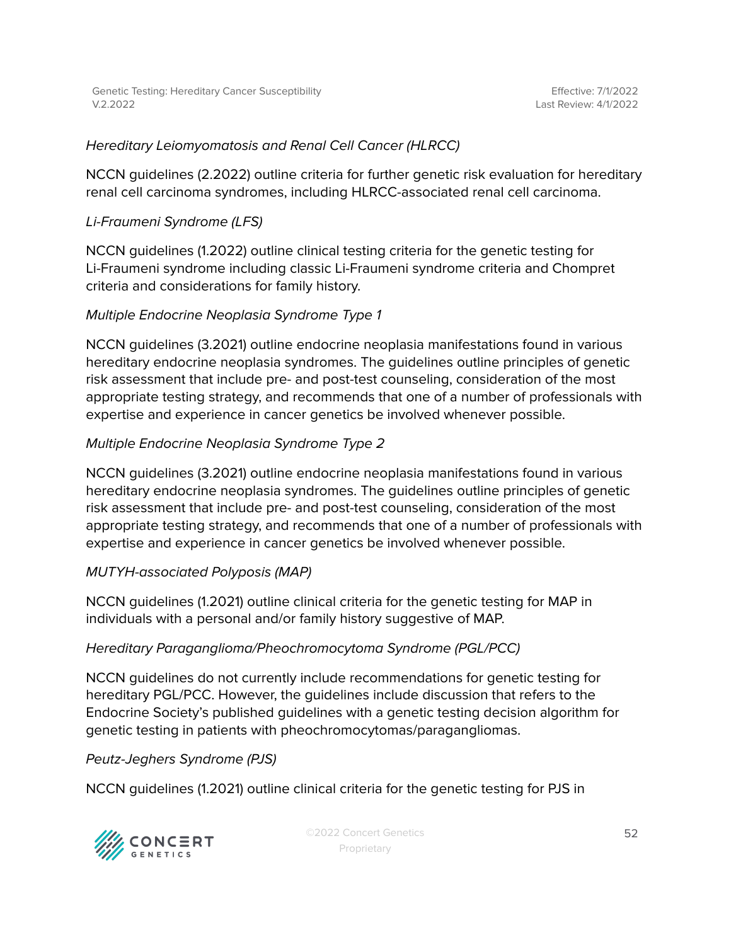Genetic Testing: Hereditary Cancer Susceptibility V.2.2022

#### Hereditary Leiomyomatosis and Renal Cell Cancer (HLRCC)

NCCN guidelines (2.2022) outline criteria for further genetic risk evaluation for hereditary renal cell carcinoma syndromes, including HLRCC-associated renal cell carcinoma.

#### Li-Fraumeni Syndrome (LFS)

NCCN guidelines (1.2022) outline clinical testing criteria for the genetic testing for Li-Fraumeni syndrome including classic Li-Fraumeni syndrome criteria and Chompret criteria and considerations for family history.

#### Multiple Endocrine Neoplasia Syndrome Type 1

NCCN guidelines (3.2021) outline endocrine neoplasia manifestations found in various hereditary endocrine neoplasia syndromes. The guidelines outline principles of genetic risk assessment that include pre- and post-test counseling, consideration of the most appropriate testing strategy, and recommends that one of a number of professionals with expertise and experience in cancer genetics be involved whenever possible.

#### Multiple Endocrine Neoplasia Syndrome Type 2

NCCN guidelines (3.2021) outline endocrine neoplasia manifestations found in various hereditary endocrine neoplasia syndromes. The guidelines outline principles of genetic risk assessment that include pre- and post-test counseling, consideration of the most appropriate testing strategy, and recommends that one of a number of professionals with expertise and experience in cancer genetics be involved whenever possible.

#### MUTYH-associated Polyposis (MAP)

NCCN guidelines (1.2021) outline clinical criteria for the genetic testing for MAP in individuals with a personal and/or family history suggestive of MAP.

#### Hereditary Paraganglioma/Pheochromocytoma Syndrome (PGL/PCC)

NCCN guidelines do not currently include recommendations for genetic testing for hereditary PGL/PCC. However, the guidelines include discussion that refers to the Endocrine Society's published guidelines with a genetic testing decision algorithm for genetic testing in patients with pheochromocytomas/paragangliomas.

Peutz-Jeghers Syndrome (PJS)

NCCN guidelines (1.2021) outline clinical criteria for the genetic testing for PJS in



©2022 Concert Genetics Proprietary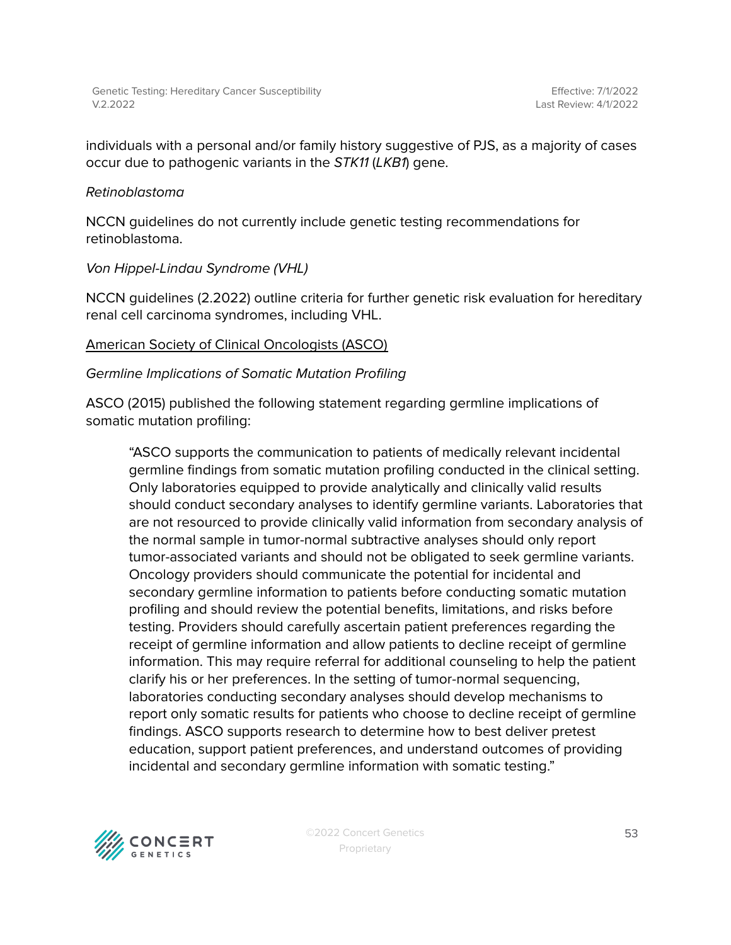individuals with a personal and/or family history suggestive of PJS, as a majority of cases occur due to pathogenic variants in the STK11 (LKB1) gene.

#### Retinoblastoma

NCCN guidelines do not currently include genetic testing recommendations for retinoblastoma.

#### Von Hippel-Lindau Syndrome (VHL)

NCCN guidelines (2.2022) outline criteria for further genetic risk evaluation for hereditary renal cell carcinoma syndromes, including VHL.

#### American Society of Clinical Oncologists (ASCO)

#### Germline Implications of Somatic Mutation Profiling

ASCO (2015) published the following statement regarding germline implications of somatic mutation profiling:

"ASCO supports the communication to patients of medically relevant incidental germline findings from somatic mutation profiling conducted in the clinical setting. Only laboratories equipped to provide analytically and clinically valid results should conduct secondary analyses to identify germline variants. Laboratories that are not resourced to provide clinically valid information from secondary analysis of the normal sample in tumor-normal subtractive analyses should only report tumor-associated variants and should not be obligated to seek germline variants. Oncology providers should communicate the potential for incidental and secondary germline information to patients before conducting somatic mutation profiling and should review the potential benefits, limitations, and risks before testing. Providers should carefully ascertain patient preferences regarding the receipt of germline information and allow patients to decline receipt of germline information. This may require referral for additional counseling to help the patient clarify his or her preferences. In the setting of tumor-normal sequencing, laboratories conducting secondary analyses should develop mechanisms to report only somatic results for patients who choose to decline receipt of germline findings. ASCO supports research to determine how to best deliver pretest education, support patient preferences, and understand outcomes of providing incidental and secondary germline information with somatic testing."

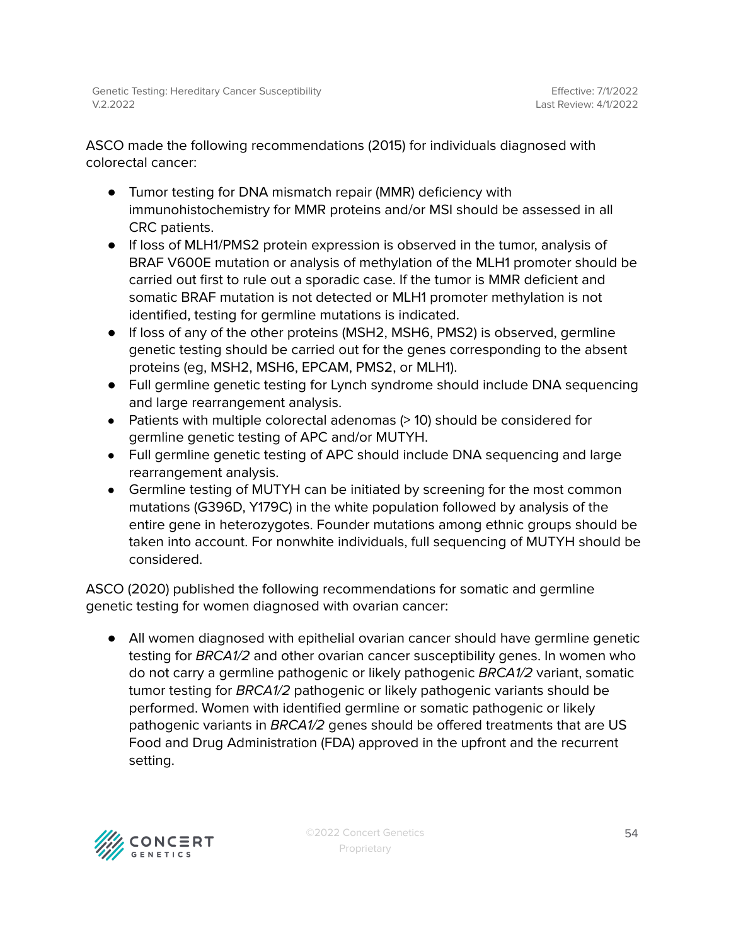ASCO made the following recommendations (2015) for individuals diagnosed with colorectal cancer:

- Tumor testing for DNA mismatch repair (MMR) deficiency with immunohistochemistry for MMR proteins and/or MSI should be assessed in all CRC patients.
- If loss of MLH1/PMS2 protein expression is observed in the tumor, analysis of BRAF V600E mutation or analysis of methylation of the MLH1 promoter should be carried out first to rule out a sporadic case. If the tumor is MMR deficient and somatic BRAF mutation is not detected or MLH1 promoter methylation is not identified, testing for germline mutations is indicated.
- If loss of any of the other proteins (MSH2, MSH6, PMS2) is observed, germline genetic testing should be carried out for the genes corresponding to the absent proteins (eg, MSH2, MSH6, EPCAM, PMS2, or MLH1).
- Full germline genetic testing for Lynch syndrome should include DNA sequencing and large rearrangement analysis.
- Patients with multiple colorectal adenomas (> 10) should be considered for germline genetic testing of APC and/or MUTYH.
- Full germline genetic testing of APC should include DNA sequencing and large rearrangement analysis.
- Germline testing of MUTYH can be initiated by screening for the most common mutations (G396D, Y179C) in the white population followed by analysis of the entire gene in heterozygotes. Founder mutations among ethnic groups should be taken into account. For nonwhite individuals, full sequencing of MUTYH should be considered.

ASCO (2020) published the following recommendations for somatic and germline genetic testing for women diagnosed with ovarian cancer:

● All women diagnosed with epithelial ovarian cancer should have germline genetic testing for BRCA1/2 and other ovarian cancer susceptibility genes. In women who do not carry a germline pathogenic or likely pathogenic BRCA1/2 variant, somatic tumor testing for BRCA1/2 pathogenic or likely pathogenic variants should be performed. Women with identified germline or somatic pathogenic or likely pathogenic variants in BRCA1/2 genes should be offered treatments that are US Food and Drug Administration (FDA) approved in the upfront and the recurrent setting.

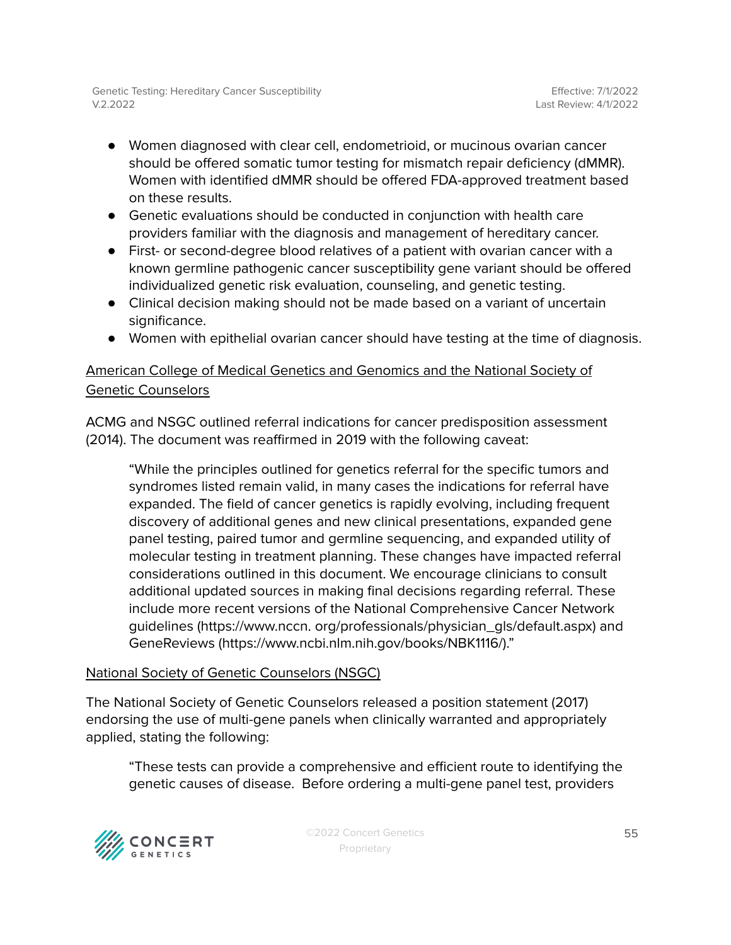- Women diagnosed with clear cell, endometrioid, or mucinous ovarian cancer should be offered somatic tumor testing for mismatch repair deficiency (dMMR). Women with identified dMMR should be offered FDA-approved treatment based on these results.
- Genetic evaluations should be conducted in conjunction with health care providers familiar with the diagnosis and management of hereditary cancer.
- First- or second-degree blood relatives of a patient with ovarian cancer with a known germline pathogenic cancer susceptibility gene variant should be offered individualized genetic risk evaluation, counseling, and genetic testing.
- Clinical decision making should not be made based on a variant of uncertain significance.
- Women with epithelial ovarian cancer should have testing at the time of diagnosis.

### American College of Medical Genetics and Genomics and the National Society of Genetic Counselors

ACMG and NSGC outlined referral indications for cancer predisposition assessment (2014). The document was reaffirmed in 2019 with the following caveat:

"While the principles outlined for genetics referral for the specific tumors and syndromes listed remain valid, in many cases the indications for referral have expanded. The field of cancer genetics is rapidly evolving, including frequent discovery of additional genes and new clinical presentations, expanded gene panel testing, paired tumor and germline sequencing, and expanded utility of molecular testing in treatment planning. These changes have impacted referral considerations outlined in this document. We encourage clinicians to consult additional updated sources in making final decisions regarding referral. These include more recent versions of the National Comprehensive Cancer Network guidelines (https://www.nccn. org/professionals/physician\_gls/default.aspx) and GeneReviews (https://www.ncbi.nlm.nih.gov/books/NBK1116/)."

### National Society of Genetic Counselors (NSGC)

The National Society of Genetic Counselors released a position statement (2017) endorsing the use of multi-gene panels when clinically warranted and appropriately applied, stating the following:

"These tests can provide a comprehensive and efficient route to identifying the genetic causes of disease. Before ordering a multi-gene panel test, providers

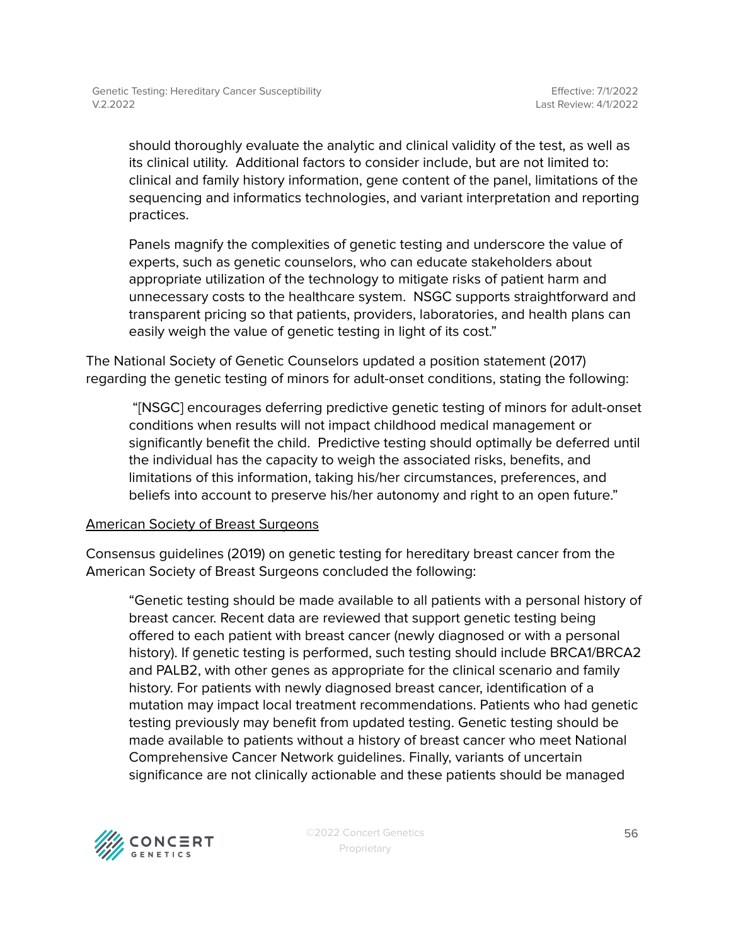should thoroughly evaluate the analytic and clinical validity of the test, as well as its clinical utility. Additional factors to consider include, but are not limited to: clinical and family history information, gene content of the panel, limitations of the sequencing and informatics technologies, and variant interpretation and reporting practices.

Panels magnify the complexities of genetic testing and underscore the value of experts, such as genetic counselors, who can educate stakeholders about appropriate utilization of the technology to mitigate risks of patient harm and unnecessary costs to the healthcare system. NSGC supports straightforward and transparent pricing so that patients, providers, laboratories, and health plans can easily weigh the value of genetic testing in light of its cost."

The National Society of Genetic Counselors updated a position statement (2017) regarding the genetic testing of minors for adult-onset conditions, stating the following:

"[NSGC] encourages deferring predictive genetic testing of minors for adult-onset conditions when results will not impact childhood medical management or significantly benefit the child. Predictive testing should optimally be deferred until the individual has the capacity to weigh the associated risks, benefits, and limitations of this information, taking his/her circumstances, preferences, and beliefs into account to preserve his/her autonomy and right to an open future."

#### American Society of Breast Surgeons

Consensus guidelines (2019) on genetic testing for hereditary breast cancer from the American Society of Breast Surgeons concluded the following:

"Genetic testing should be made available to all patients with a personal history of breast cancer. Recent data are reviewed that support genetic testing being offered to each patient with breast cancer (newly diagnosed or with a personal history). If genetic testing is performed, such testing should include BRCA1/BRCA2 and PALB2, with other genes as appropriate for the clinical scenario and family history. For patients with newly diagnosed breast cancer, identification of a mutation may impact local treatment recommendations. Patients who had genetic testing previously may benefit from updated testing. Genetic testing should be made available to patients without a history of breast cancer who meet National Comprehensive Cancer Network guidelines. Finally, variants of uncertain significance are not clinically actionable and these patients should be managed

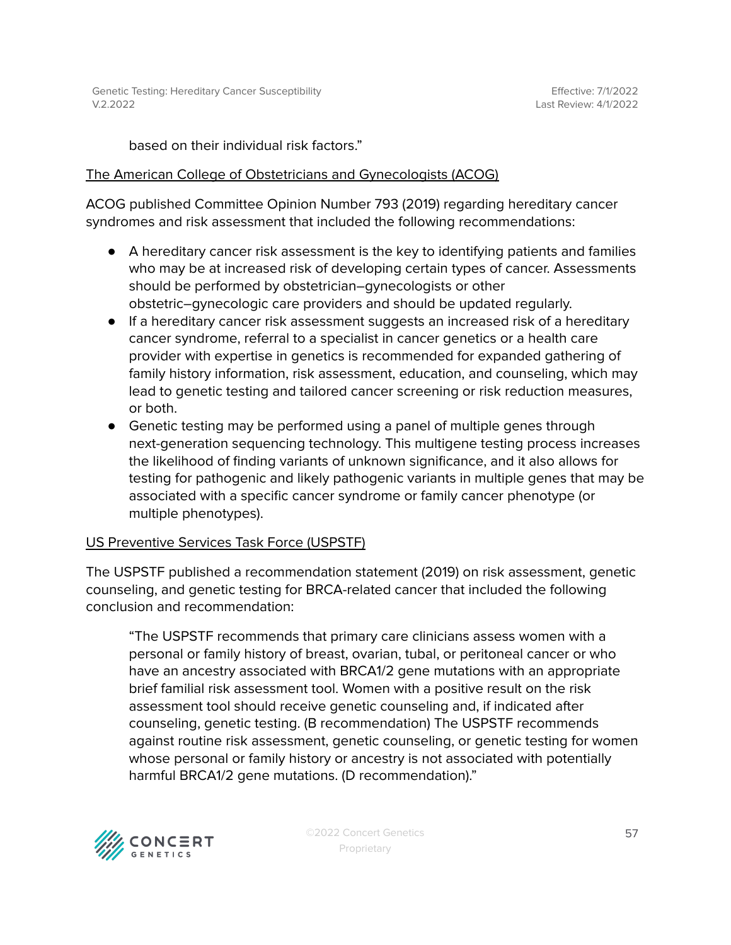based on their individual risk factors."

#### The American College of Obstetricians and Gynecologists (ACOG)

ACOG published Committee Opinion Number 793 (2019) regarding hereditary cancer syndromes and risk assessment that included the following recommendations:

- A hereditary cancer risk assessment is the key to identifying patients and families who may be at increased risk of developing certain types of cancer. Assessments should be performed by obstetrician–gynecologists or other obstetric–gynecologic care providers and should be updated regularly.
- If a hereditary cancer risk assessment suggests an increased risk of a hereditary cancer syndrome, referral to a specialist in cancer genetics or a health care provider with expertise in genetics is recommended for expanded gathering of family history information, risk assessment, education, and counseling, which may lead to genetic testing and tailored cancer screening or risk reduction measures, or both.
- Genetic testing may be performed using a panel of multiple genes through next-generation sequencing technology. This multigene testing process increases the likelihood of finding variants of unknown significance, and it also allows for testing for pathogenic and likely pathogenic variants in multiple genes that may be associated with a specific cancer syndrome or family cancer phenotype (or multiple phenotypes).

#### US Preventive Services Task Force (USPSTF)

The USPSTF published a recommendation statement (2019) on risk assessment, genetic counseling, and genetic testing for BRCA-related cancer that included the following conclusion and recommendation:

"The USPSTF recommends that primary care clinicians assess women with a personal or family history of breast, ovarian, tubal, or peritoneal cancer or who have an ancestry associated with BRCA1/2 gene mutations with an appropriate brief familial risk assessment tool. Women with a positive result on the risk assessment tool should receive genetic counseling and, if indicated after counseling, genetic testing. (B recommendation) The USPSTF recommends against routine risk assessment, genetic counseling, or genetic testing for women whose personal or family history or ancestry is not associated with potentially harmful BRCA1/2 gene mutations. (D recommendation)."

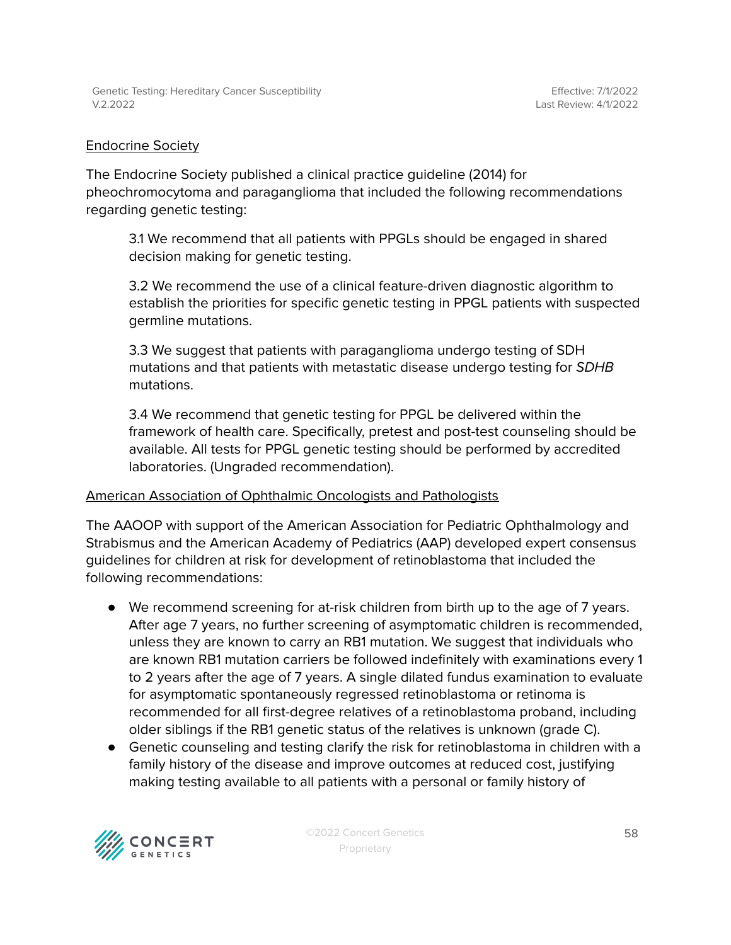#### Endocrine Society

The Endocrine Society published a clinical practice guideline (2014) for pheochromocytoma and paraganglioma that included the following recommendations regarding genetic testing:

3.1 We recommend that all patients with PPGLs should be engaged in shared decision making for genetic testing.

3.2 We recommend the use of a clinical feature-driven diagnostic algorithm to establish the priorities for specific genetic testing in PPGL patients with suspected germline mutations.

3.3 We suggest that patients with paraganglioma undergo testing of SDH mutations and that patients with metastatic disease undergo testing for SDHB mutations.

3.4 We recommend that genetic testing for PPGL be delivered within the framework of health care. Specifically, pretest and post-test counseling should be available. All tests for PPGL genetic testing should be performed by accredited laboratories. (Ungraded recommendation).

#### American Association of Ophthalmic Oncologists and Pathologists

The AAOOP with support of the American Association for Pediatric Ophthalmology and Strabismus and the American Academy of Pediatrics (AAP) developed expert consensus guidelines for children at risk for development of retinoblastoma that included the following recommendations:

- We recommend screening for at-risk children from birth up to the age of 7 years. After age 7 years, no further screening of asymptomatic children is recommended, unless they are known to carry an RB1 mutation. We suggest that individuals who are known RB1 mutation carriers be followed indefinitely with examinations every 1 to 2 years after the age of 7 years. A single dilated fundus examination to evaluate for asymptomatic spontaneously regressed retinoblastoma or retinoma is recommended for all first-degree relatives of a retinoblastoma proband, including older siblings if the RB1 genetic status of the relatives is unknown (grade C).
- Genetic counseling and testing clarify the risk for retinoblastoma in children with a family history of the disease and improve outcomes at reduced cost, justifying making testing available to all patients with a personal or family history of

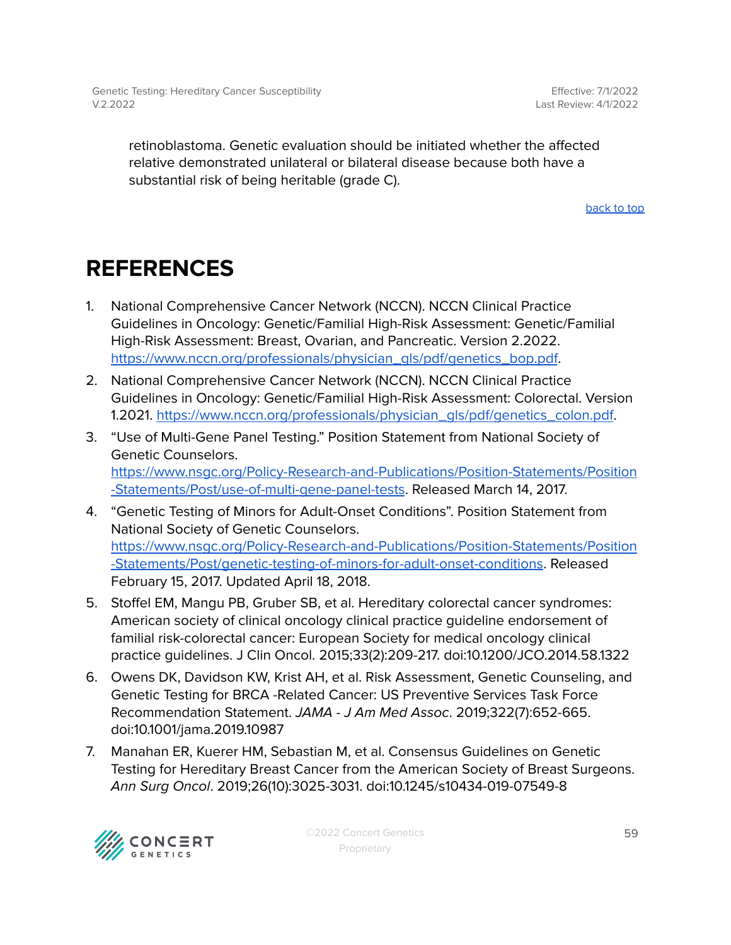retinoblastoma. Genetic evaluation should be initiated whether the affected relative demonstrated unilateral or bilateral disease because both have a substantial risk of being heritable (grade C).

[back](#page-0-0) to top

# <span id="page-58-0"></span>**REFERENCES**

- 1. National Comprehensive Cancer Network (NCCN). NCCN Clinical Practice Guidelines in Oncology: Genetic/Familial High-Risk Assessment: Genetic/Familial High-Risk Assessment: Breast, Ovarian, and Pancreatic. Version 2.2022. [https://www.nccn.org/professionals/physician\\_gls/pdf/genetics\\_bop.pdf](https://www.nccn.org/professionals/physician_gls/pdf/genetics_bop.pdf).
- 2. National Comprehensive Cancer Network (NCCN). NCCN Clinical Practice Guidelines in Oncology: Genetic/Familial High-Risk Assessment: Colorectal. Version 1.2021. [https://www.nccn.org/professionals/physician\\_gls/pdf/genetics\\_colon.pdf](https://www.nccn.org/professionals/physician_gls/pdf/genetics_colon.pdf).
- 3. "Use of Multi-Gene Panel Testing." Position Statement from National Society of Genetic Counselors. [https://www.nsgc.org/Policy-Research-and-Publications/Position-Statements/Position](https://www.nsgc.org/Policy-Research-and-Publications/Position-Statements/Position-Statements/Post/use-of-multi-gene-panel-tests) [-Statements/Post/use-of-multi-gene-panel-tests](https://www.nsgc.org/Policy-Research-and-Publications/Position-Statements/Position-Statements/Post/use-of-multi-gene-panel-tests). Released March 14, 2017.
- 4. "Genetic Testing of Minors for Adult-Onset Conditions". Position Statement from National Society of Genetic Counselors. [https://www.nsgc.org/Policy-Research-and-Publications/Position-Statements/Position](https://www.nsgc.org/Policy-Research-and-Publications/Position-Statements/Position-Statements/Post/genetic-testing-of-minors-for-adult-onset-conditions) [-Statements/Post/genetic-testing-of-minors-for-adult-onset-conditions](https://www.nsgc.org/Policy-Research-and-Publications/Position-Statements/Position-Statements/Post/genetic-testing-of-minors-for-adult-onset-conditions). Released February 15, 2017. Updated April 18, 2018.
- 5. Stoffel EM, Mangu PB, Gruber SB, et al. Hereditary colorectal cancer syndromes: American society of clinical oncology clinical practice guideline endorsement of familial risk-colorectal cancer: European Society for medical oncology clinical practice guidelines. J Clin Oncol. 2015;33(2):209-217. doi:10.1200/JCO.2014.58.1322
- 6. Owens DK, Davidson KW, Krist AH, et al. Risk Assessment, Genetic Counseling, and Genetic Testing for BRCA -Related Cancer: US Preventive Services Task Force Recommendation Statement. JAMA - J Am Med Assoc. 2019;322(7):652-665. doi:10.1001/jama.2019.10987
- 7. Manahan ER, Kuerer HM, Sebastian M, et al. Consensus Guidelines on Genetic Testing for Hereditary Breast Cancer from the American Society of Breast Surgeons. Ann Surg Oncol. 2019;26(10):3025-3031. doi:10.1245/s10434-019-07549-8

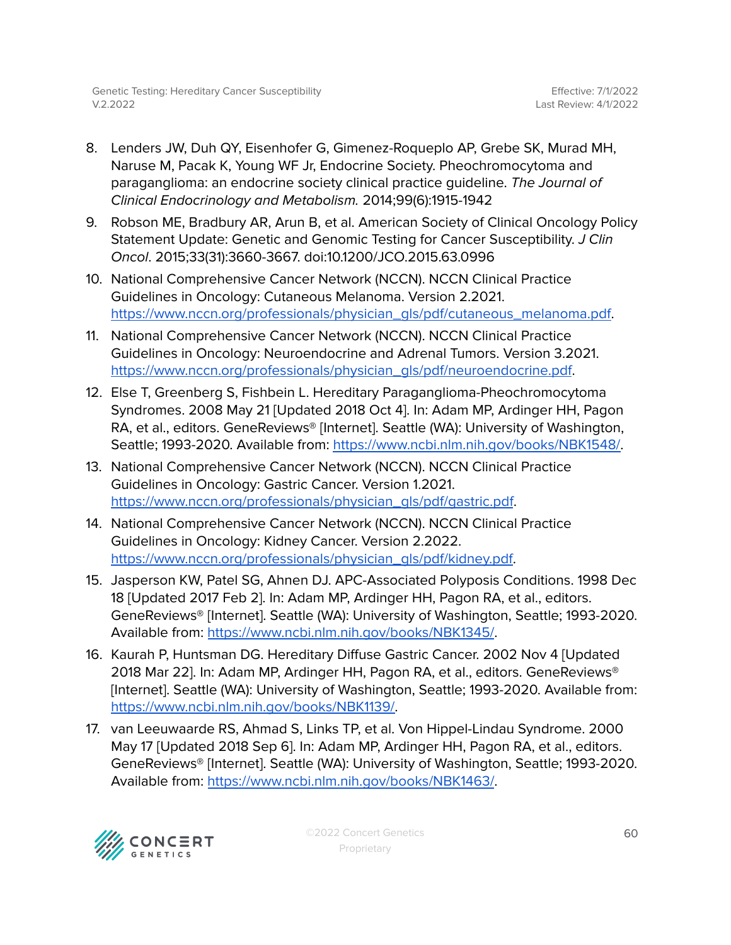- 8. Lenders JW, Duh QY, Eisenhofer G, Gimenez-Roqueplo AP, Grebe SK, Murad MH, Naruse M, Pacak K, Young WF Jr, Endocrine Society. Pheochromocytoma and paraganglioma: an endocrine society clinical practice guideline. The Journal of Clinical Endocrinology and Metabolism. 2014;99(6):1915-1942
- 9. Robson ME, Bradbury AR, Arun B, et al. American Society of Clinical Oncology Policy Statement Update: Genetic and Genomic Testing for Cancer Susceptibility. J Clin Oncol. 2015;33(31):3660-3667. doi:10.1200/JCO.2015.63.0996
- 10. National Comprehensive Cancer Network (NCCN). NCCN Clinical Practice Guidelines in Oncology: Cutaneous Melanoma. Version 2.2021. [https://www.nccn.org/professionals/physician\\_gls/pdf/cutaneous\\_melanoma.pdf.](https://www.nccn.org/professionals/physician_gls/pdf/cutaneous_melanoma.pdf)
- 11. National Comprehensive Cancer Network (NCCN). NCCN Clinical Practice Guidelines in Oncology: Neuroendocrine and Adrenal Tumors. Version 3.2021. [https://www.nccn.org/professionals/physician\\_gls/pdf/neuroendocrine.pdf](https://www.nccn.org/professionals/physician_gls/pdf/neuroendocrine.pdf).
- 12. Else T, Greenberg S, Fishbein L. Hereditary Paraganglioma-Pheochromocytoma Syndromes. 2008 May 21 [Updated 2018 Oct 4]. In: Adam MP, Ardinger HH, Pagon RA, et al., editors. GeneReviews® [Internet]. Seattle (WA): University of Washington, Seattle; 1993-2020. Available from: [https://www.ncbi.nlm.nih.gov/books/NBK1548/.](https://www.ncbi.nlm.nih.gov/books/NBK1548/)
- 13. National Comprehensive Cancer Network (NCCN). NCCN Clinical Practice Guidelines in Oncology: Gastric Cancer. Version 1.2021. [https://www.nccn.org/professionals/physician\\_gls/pdf/gastric.pdf](https://www.nccn.org/professionals/physician_gls/pdf/gastric.pdf).
- 14. National Comprehensive Cancer Network (NCCN). NCCN Clinical Practice Guidelines in Oncology: Kidney Cancer. Version 2.2022. [https://www.nccn.org/professionals/physician\\_gls/pdf/kidney.pdf.](https://www.nccn.org/professionals/physician_gls/pdf/kidney.pdf)
- 15. Jasperson KW, Patel SG, Ahnen DJ. APC-Associated Polyposis Conditions. 1998 Dec 18 [Updated 2017 Feb 2]. In: Adam MP, Ardinger HH, Pagon RA, et al., editors. GeneReviews® [Internet]. Seattle (WA): University of Washington, Seattle; 1993-2020. Available from: <https://www.ncbi.nlm.nih.gov/books/NBK1345/>.
- 16. Kaurah P, Huntsman DG. Hereditary Diffuse Gastric Cancer. 2002 Nov 4 [Updated 2018 Mar 22]. In: Adam MP, Ardinger HH, Pagon RA, et al., editors. GeneReviews® [Internet]. Seattle (WA): University of Washington, Seattle; 1993-2020. Available from: [https://www.ncbi.nlm.nih.gov/books/NBK1139/.](https://www.ncbi.nlm.nih.gov/books/NBK1139/)
- 17. van Leeuwaarde RS, Ahmad S, Links TP, et al. Von Hippel-Lindau Syndrome. 2000 May 17 [Updated 2018 Sep 6]. In: Adam MP, Ardinger HH, Pagon RA, et al., editors. GeneReviews® [Internet]. Seattle (WA): University of Washington, Seattle; 1993-2020. Available from: <https://www.ncbi.nlm.nih.gov/books/NBK1463/>.

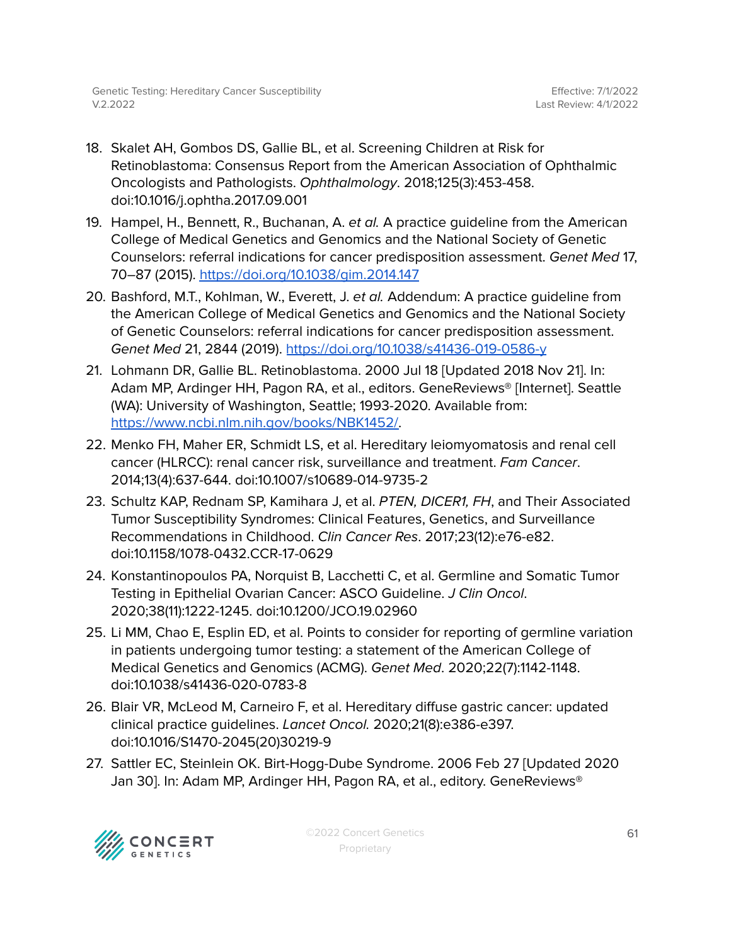- 18. Skalet AH, Gombos DS, Gallie BL, et al. Screening Children at Risk for Retinoblastoma: Consensus Report from the American Association of Ophthalmic Oncologists and Pathologists. Ophthalmology. 2018;125(3):453-458. doi:10.1016/j.ophtha.2017.09.001
- 19. Hampel, H., Bennett, R., Buchanan, A. et al. A practice guideline from the American College of Medical Genetics and Genomics and the National Society of Genetic Counselors: referral indications for cancer predisposition assessment. Genet Med 17, 70–87 (2015). <https://doi.org/10.1038/gim.2014.147>
- 20. Bashford, M.T., Kohlman, W., Everett, J. et al. Addendum: A practice guideline from the American College of Medical Genetics and Genomics and the National Society of Genetic Counselors: referral indications for cancer predisposition assessment. Genet Med 21, 2844 (2019). <https://doi.org/10.1038/s41436-019-0586-y>
- 21. Lohmann DR, Gallie BL. Retinoblastoma. 2000 Jul 18 [Updated 2018 Nov 21]. In: Adam MP, Ardinger HH, Pagon RA, et al., editors. GeneReviews® [Internet]. Seattle (WA): University of Washington, Seattle; 1993-2020. Available from: [https://www.ncbi.nlm.nih.gov/books/NBK1452/.](https://www.ncbi.nlm.nih.gov/books/NBK1452/)
- 22. Menko FH, Maher ER, Schmidt LS, et al. Hereditary leiomyomatosis and renal cell cancer (HLRCC): renal cancer risk, surveillance and treatment. Fam Cancer. 2014;13(4):637-644. doi:10.1007/s10689-014-9735-2
- 23. Schultz KAP, Rednam SP, Kamihara J, et al. PTEN, DICER1, FH, and Their Associated Tumor Susceptibility Syndromes: Clinical Features, Genetics, and Surveillance Recommendations in Childhood. Clin Cancer Res. 2017;23(12):e76-e82. doi:10.1158/1078-0432.CCR-17-0629
- 24. Konstantinopoulos PA, Norquist B, Lacchetti C, et al. Germline and Somatic Tumor Testing in Epithelial Ovarian Cancer: ASCO Guideline. J Clin Oncol. 2020;38(11):1222-1245. doi:10.1200/JCO.19.02960
- 25. Li MM, Chao E, Esplin ED, et al. Points to consider for reporting of germline variation in patients undergoing tumor testing: a statement of the American College of Medical Genetics and Genomics (ACMG). Genet Med. 2020;22(7):1142-1148. doi:10.1038/s41436-020-0783-8
- 26. Blair VR, McLeod M, Carneiro F, et al. Hereditary diffuse gastric cancer: updated clinical practice guidelines. Lancet Oncol. 2020;21(8):e386-e397. doi:10.1016/S1470-2045(20)30219-9
- 27. Sattler EC, Steinlein OK. Birt-Hogg-Dube Syndrome. 2006 Feb 27 [Updated 2020 Jan 30]. In: Adam MP, Ardinger HH, Pagon RA, et al., editory. GeneReviews®